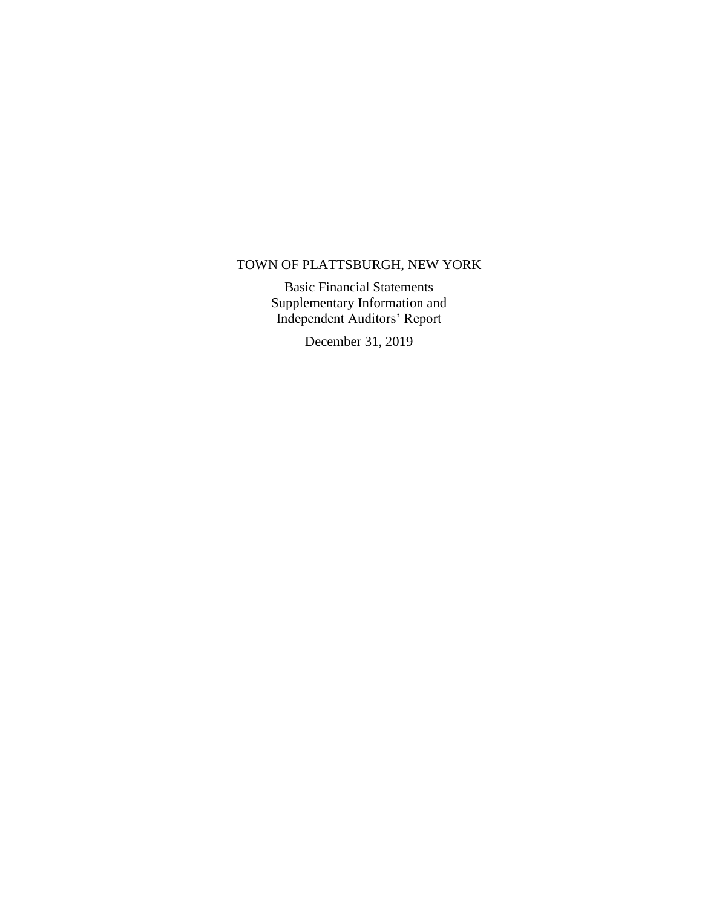Basic Financial Statements Supplementary Information and Independent Auditors' Report

December 31, 2019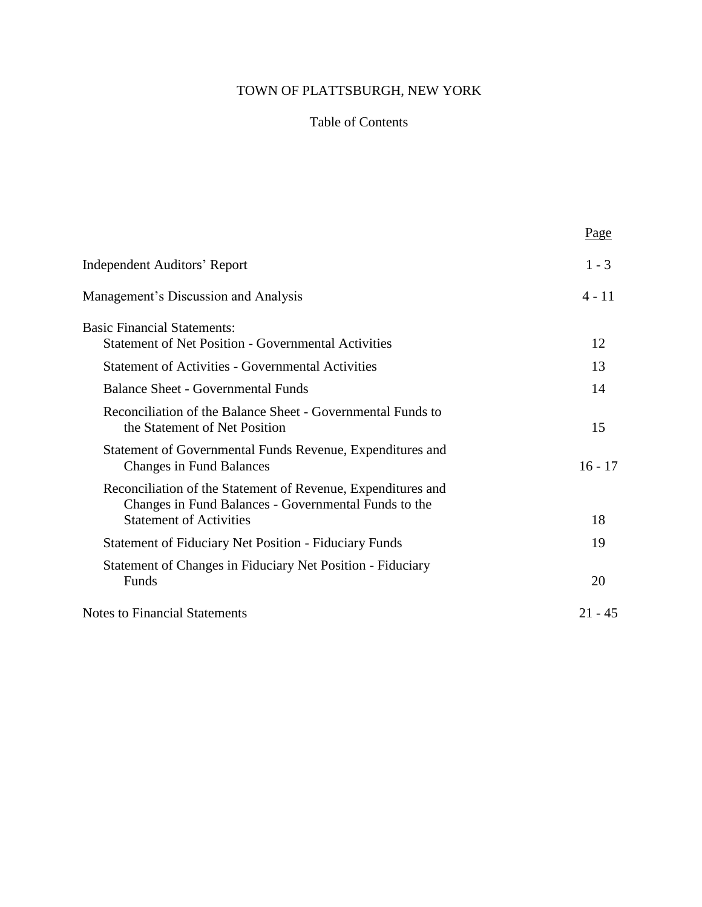# Table of Contents

|                                                                                                                      | Page      |
|----------------------------------------------------------------------------------------------------------------------|-----------|
| <b>Independent Auditors' Report</b>                                                                                  | $1 - 3$   |
| Management's Discussion and Analysis                                                                                 | $4 - 11$  |
| <b>Basic Financial Statements:</b>                                                                                   |           |
| <b>Statement of Net Position - Governmental Activities</b>                                                           | 12        |
| <b>Statement of Activities - Governmental Activities</b>                                                             | 13        |
| <b>Balance Sheet - Governmental Funds</b>                                                                            | 14        |
| Reconciliation of the Balance Sheet - Governmental Funds to<br>the Statement of Net Position                         | 15        |
| Statement of Governmental Funds Revenue, Expenditures and<br><b>Changes in Fund Balances</b>                         | $16 - 17$ |
| Reconciliation of the Statement of Revenue, Expenditures and<br>Changes in Fund Balances - Governmental Funds to the |           |
| <b>Statement of Activities</b>                                                                                       | 18        |
| <b>Statement of Fiduciary Net Position - Fiduciary Funds</b>                                                         | 19        |
| Statement of Changes in Fiduciary Net Position - Fiduciary<br>Funds                                                  | 20        |
| <b>Notes to Financial Statements</b>                                                                                 | $21 - 45$ |
|                                                                                                                      |           |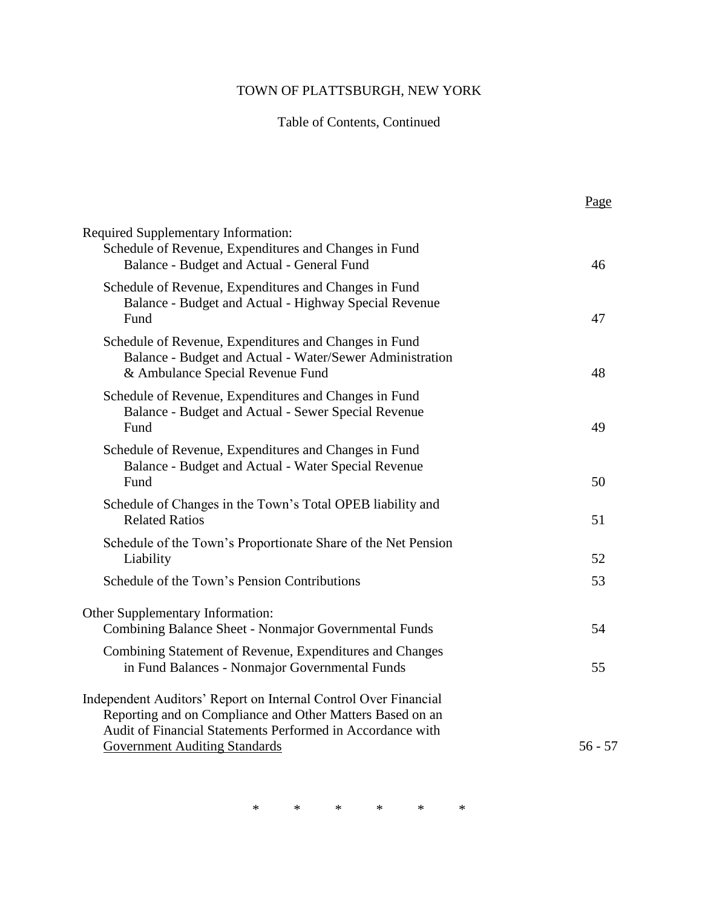# Table of Contents, Continued

|                                                                                                                                                       | Page      |
|-------------------------------------------------------------------------------------------------------------------------------------------------------|-----------|
| Required Supplementary Information:<br>Schedule of Revenue, Expenditures and Changes in Fund<br>Balance - Budget and Actual - General Fund            | 46        |
| Schedule of Revenue, Expenditures and Changes in Fund<br>Balance - Budget and Actual - Highway Special Revenue<br>Fund                                | 47        |
| Schedule of Revenue, Expenditures and Changes in Fund<br>Balance - Budget and Actual - Water/Sewer Administration<br>& Ambulance Special Revenue Fund | 48        |
| Schedule of Revenue, Expenditures and Changes in Fund<br>Balance - Budget and Actual - Sewer Special Revenue<br>Fund                                  | 49        |
| Schedule of Revenue, Expenditures and Changes in Fund<br>Balance - Budget and Actual - Water Special Revenue<br>Fund                                  | 50        |
| Schedule of Changes in the Town's Total OPEB liability and<br><b>Related Ratios</b>                                                                   | 51        |
| Schedule of the Town's Proportionate Share of the Net Pension<br>Liability                                                                            | 52        |
| Schedule of the Town's Pension Contributions                                                                                                          | 53        |
| Other Supplementary Information:<br>Combining Balance Sheet - Nonmajor Governmental Funds                                                             | 54        |
| Combining Statement of Revenue, Expenditures and Changes<br>in Fund Balances - Nonmajor Governmental Funds                                            | 55        |
| Independent Auditors' Report on Internal Control Over Financial<br>Reporting and on Compliance and Other Matters Based on an                          |           |
| Audit of Financial Statements Performed in Accordance with<br><b>Government Auditing Standards</b>                                                    | $56 - 57$ |

\* \* \* \* \* \*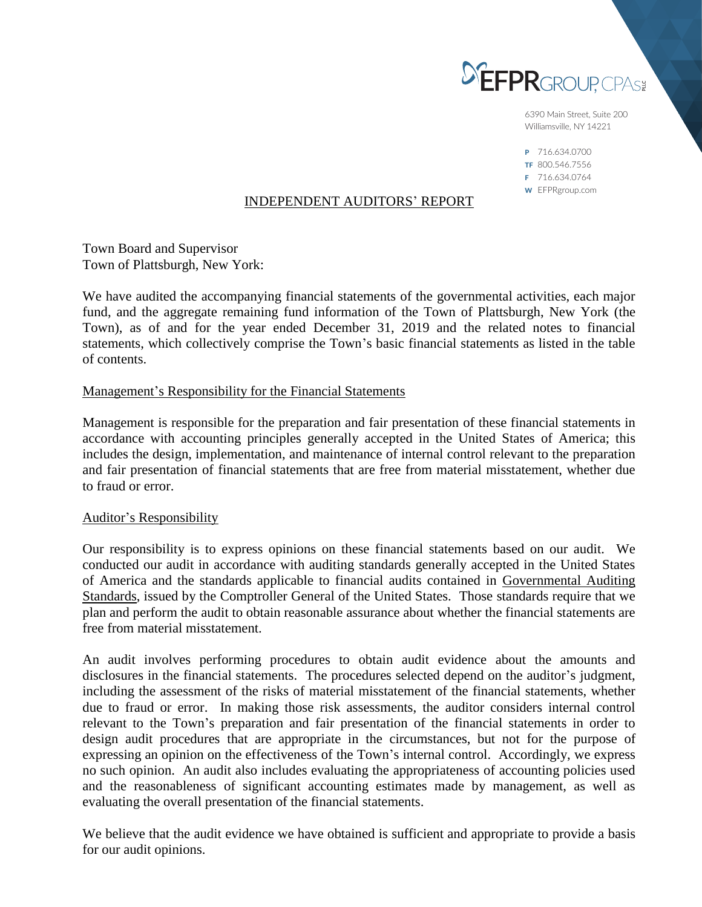

6390 Main Street, Suite 200 Williamsville, NY 14221

P 716.634.0700 TF 800.546.7556 F 716.634.0764 W EFPRgroup.com

# INDEPENDENT AUDITORS' REPORT

Town Board and Supervisor Town of Plattsburgh, New York:

We have audited the accompanying financial statements of the governmental activities, each major fund, and the aggregate remaining fund information of the Town of Plattsburgh, New York (the Town), as of and for the year ended December 31, 2019 and the related notes to financial statements, which collectively comprise the Town's basic financial statements as listed in the table of contents.

### Management's Responsibility for the Financial Statements

Management is responsible for the preparation and fair presentation of these financial statements in accordance with accounting principles generally accepted in the United States of America; this includes the design, implementation, and maintenance of internal control relevant to the preparation and fair presentation of financial statements that are free from material misstatement, whether due to fraud or error.

#### Auditor's Responsibility

Our responsibility is to express opinions on these financial statements based on our audit. We conducted our audit in accordance with auditing standards generally accepted in the United States of America and the standards applicable to financial audits contained in Governmental Auditing Standards, issued by the Comptroller General of the United States. Those standards require that we plan and perform the audit to obtain reasonable assurance about whether the financial statements are free from material misstatement.

An audit involves performing procedures to obtain audit evidence about the amounts and disclosures in the financial statements. The procedures selected depend on the auditor's judgment, including the assessment of the risks of material misstatement of the financial statements, whether due to fraud or error. In making those risk assessments, the auditor considers internal control relevant to the Town's preparation and fair presentation of the financial statements in order to design audit procedures that are appropriate in the circumstances, but not for the purpose of expressing an opinion on the effectiveness of the Town's internal control. Accordingly, we express no such opinion. An audit also includes evaluating the appropriateness of accounting policies used and the reasonableness of significant accounting estimates made by management, as well as evaluating the overall presentation of the financial statements.

We believe that the audit evidence we have obtained is sufficient and appropriate to provide a basis for our audit opinions.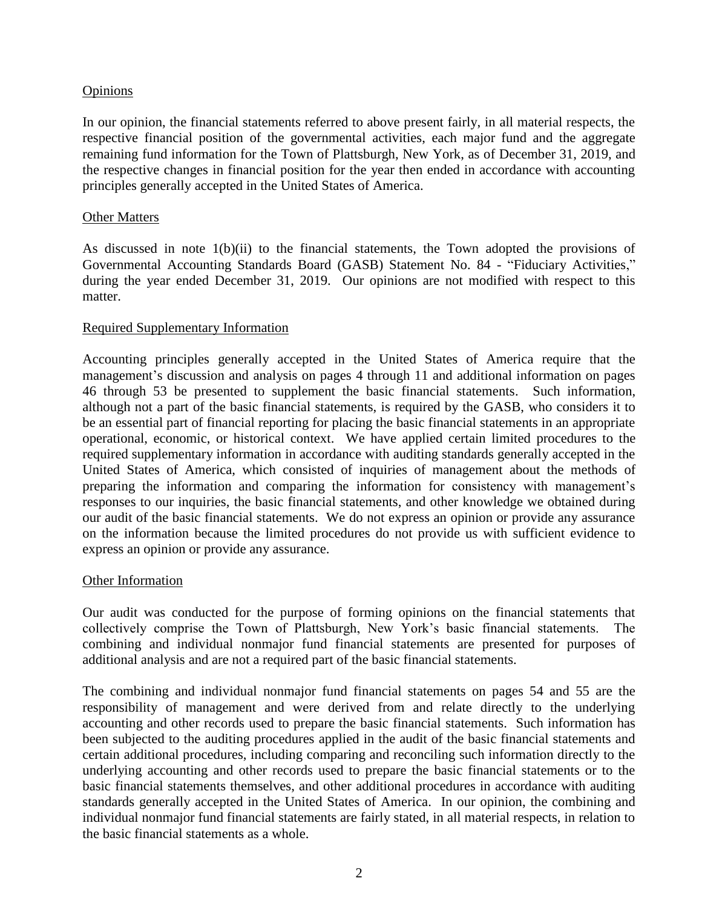# Opinions

In our opinion, the financial statements referred to above present fairly, in all material respects, the respective financial position of the governmental activities, each major fund and the aggregate remaining fund information for the Town of Plattsburgh, New York, as of December 31, 2019, and the respective changes in financial position for the year then ended in accordance with accounting principles generally accepted in the United States of America.

# Other Matters

As discussed in note 1(b)(ii) to the financial statements, the Town adopted the provisions of Governmental Accounting Standards Board (GASB) Statement No. 84 - "Fiduciary Activities," during the year ended December 31, 2019. Our opinions are not modified with respect to this matter.

# Required Supplementary Information

Accounting principles generally accepted in the United States of America require that the management's discussion and analysis on pages 4 through 11 and additional information on pages 46 through 53 be presented to supplement the basic financial statements. Such information, although not a part of the basic financial statements, is required by the GASB, who considers it to be an essential part of financial reporting for placing the basic financial statements in an appropriate operational, economic, or historical context. We have applied certain limited procedures to the required supplementary information in accordance with auditing standards generally accepted in the United States of America, which consisted of inquiries of management about the methods of preparing the information and comparing the information for consistency with management's responses to our inquiries, the basic financial statements, and other knowledge we obtained during our audit of the basic financial statements. We do not express an opinion or provide any assurance on the information because the limited procedures do not provide us with sufficient evidence to express an opinion or provide any assurance.

# Other Information

Our audit was conducted for the purpose of forming opinions on the financial statements that collectively comprise the Town of Plattsburgh, New York's basic financial statements. The combining and individual nonmajor fund financial statements are presented for purposes of additional analysis and are not a required part of the basic financial statements.

The combining and individual nonmajor fund financial statements on pages 54 and 55 are the responsibility of management and were derived from and relate directly to the underlying accounting and other records used to prepare the basic financial statements. Such information has been subjected to the auditing procedures applied in the audit of the basic financial statements and certain additional procedures, including comparing and reconciling such information directly to the underlying accounting and other records used to prepare the basic financial statements or to the basic financial statements themselves, and other additional procedures in accordance with auditing standards generally accepted in the United States of America. In our opinion, the combining and individual nonmajor fund financial statements are fairly stated, in all material respects, in relation to the basic financial statements as a whole.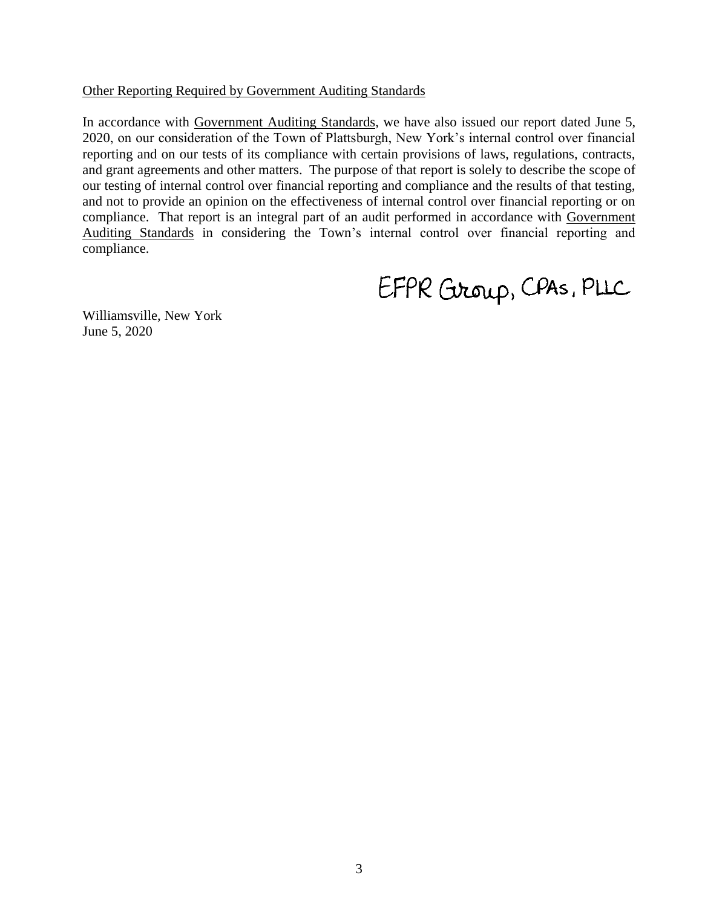# Other Reporting Required by Government Auditing Standards

In accordance with Government Auditing Standards, we have also issued our report dated June 5, 2020, on our consideration of the Town of Plattsburgh, New York's internal control over financial reporting and on our tests of its compliance with certain provisions of laws, regulations, contracts, and grant agreements and other matters. The purpose of that report is solely to describe the scope of our testing of internal control over financial reporting and compliance and the results of that testing, and not to provide an opinion on the effectiveness of internal control over financial reporting or on compliance. That report is an integral part of an audit performed in accordance with Government Auditing Standards in considering the Town's internal control over financial reporting and compliance.

EFPR Group, CPAS, PLLC

Williamsville, New York June 5, 2020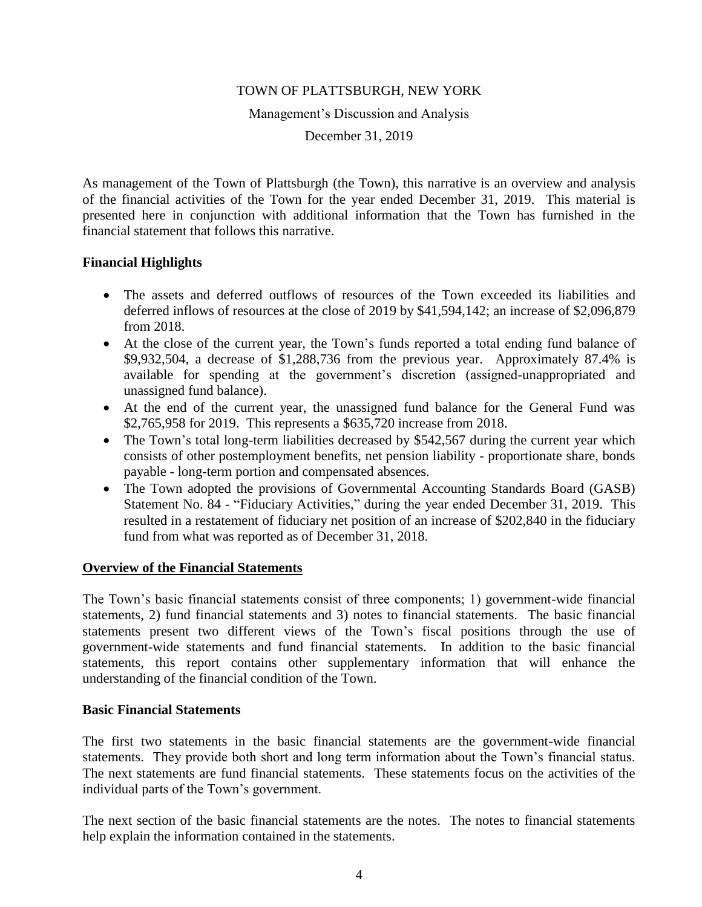Management's Discussion and Analysis

December 31, 2019

As management of the Town of Plattsburgh (the Town), this narrative is an overview and analysis of the financial activities of the Town for the year ended December 31, 2019. This material is presented here in conjunction with additional information that the Town has furnished in the financial statement that follows this narrative.

# **Financial Highlights**

- The assets and deferred outflows of resources of the Town exceeded its liabilities and deferred inflows of resources at the close of 2019 by \$41,594,142; an increase of \$2,096,879 from 2018.
- At the close of the current year, the Town's funds reported a total ending fund balance of \$9,932,504, a decrease of \$1,288,736 from the previous year. Approximately 87.4% is available for spending at the government's discretion (assigned-unappropriated and unassigned fund balance).
- At the end of the current year, the unassigned fund balance for the General Fund was \$2,765,958 for 2019. This represents a \$635,720 increase from 2018.
- The Town's total long-term liabilities decreased by \$542,567 during the current year which consists of other postemployment benefits, net pension liability - proportionate share, bonds payable - long-term portion and compensated absences.
- The Town adopted the provisions of Governmental Accounting Standards Board (GASB) Statement No. 84 - "Fiduciary Activities," during the year ended December 31, 2019. This resulted in a restatement of fiduciary net position of an increase of \$202,840 in the fiduciary fund from what was reported as of December 31, 2018.

#### **Overview of the Financial Statements**

The Town's basic financial statements consist of three components; 1) government-wide financial statements, 2) fund financial statements and 3) notes to financial statements. The basic financial statements present two different views of the Town's fiscal positions through the use of government-wide statements and fund financial statements. In addition to the basic financial statements, this report contains other supplementary information that will enhance the understanding of the financial condition of the Town.

#### **Basic Financial Statements**

The first two statements in the basic financial statements are the government-wide financial statements. They provide both short and long term information about the Town's financial status. The next statements are fund financial statements. These statements focus on the activities of the individual parts of the Town's government.

The next section of the basic financial statements are the notes. The notes to financial statements help explain the information contained in the statements.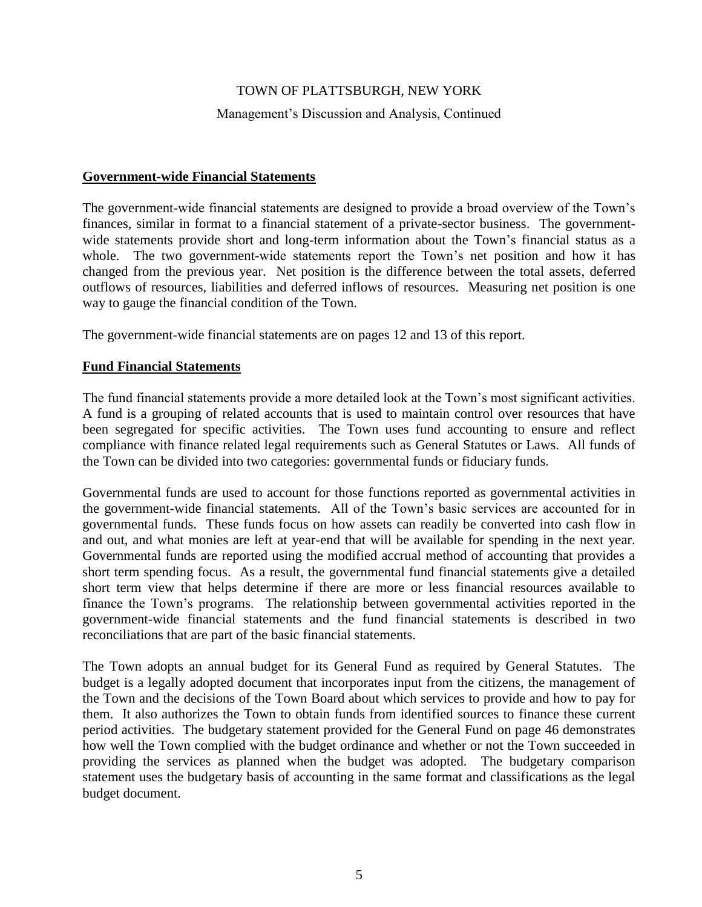## Management's Discussion and Analysis, Continued

### **Government-wide Financial Statements**

The government-wide financial statements are designed to provide a broad overview of the Town's finances, similar in format to a financial statement of a private-sector business. The governmentwide statements provide short and long-term information about the Town's financial status as a whole. The two government-wide statements report the Town's net position and how it has changed from the previous year. Net position is the difference between the total assets, deferred outflows of resources, liabilities and deferred inflows of resources. Measuring net position is one way to gauge the financial condition of the Town.

The government-wide financial statements are on pages 12 and 13 of this report.

# **Fund Financial Statements**

The fund financial statements provide a more detailed look at the Town's most significant activities. A fund is a grouping of related accounts that is used to maintain control over resources that have been segregated for specific activities. The Town uses fund accounting to ensure and reflect compliance with finance related legal requirements such as General Statutes or Laws. All funds of the Town can be divided into two categories: governmental funds or fiduciary funds.

Governmental funds are used to account for those functions reported as governmental activities in the government-wide financial statements. All of the Town's basic services are accounted for in governmental funds. These funds focus on how assets can readily be converted into cash flow in and out, and what monies are left at year-end that will be available for spending in the next year. Governmental funds are reported using the modified accrual method of accounting that provides a short term spending focus. As a result, the governmental fund financial statements give a detailed short term view that helps determine if there are more or less financial resources available to finance the Town's programs. The relationship between governmental activities reported in the government-wide financial statements and the fund financial statements is described in two reconciliations that are part of the basic financial statements.

The Town adopts an annual budget for its General Fund as required by General Statutes. The budget is a legally adopted document that incorporates input from the citizens, the management of the Town and the decisions of the Town Board about which services to provide and how to pay for them. It also authorizes the Town to obtain funds from identified sources to finance these current period activities. The budgetary statement provided for the General Fund on page 46 demonstrates how well the Town complied with the budget ordinance and whether or not the Town succeeded in providing the services as planned when the budget was adopted. The budgetary comparison statement uses the budgetary basis of accounting in the same format and classifications as the legal budget document.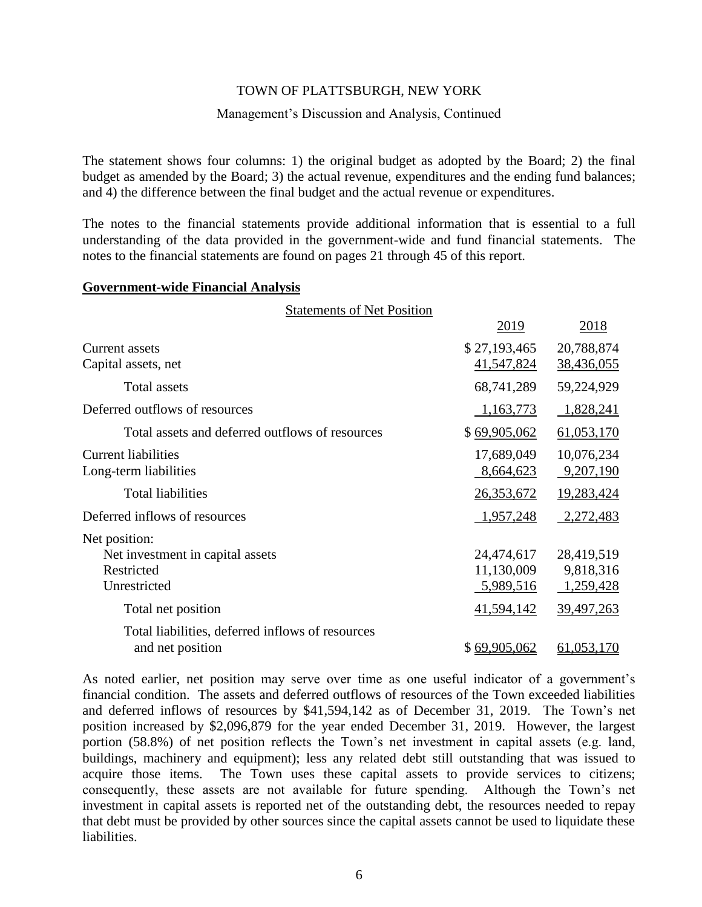#### Management's Discussion and Analysis, Continued

The statement shows four columns: 1) the original budget as adopted by the Board; 2) the final budget as amended by the Board; 3) the actual revenue, expenditures and the ending fund balances; and 4) the difference between the final budget and the actual revenue or expenditures.

The notes to the financial statements provide additional information that is essential to a full understanding of the data provided in the government-wide and fund financial statements. The notes to the financial statements are found on pages 21 through 45 of this report.

#### **Government-wide Financial Analysis**

| <b>Statements of Net Position</b>                                               | 2019                                  | 2018                                 |
|---------------------------------------------------------------------------------|---------------------------------------|--------------------------------------|
| Current assets                                                                  | \$27,193,465                          | 20,788,874                           |
| Capital assets, net                                                             | 41,547,824                            | 38,436,055                           |
| <b>Total assets</b>                                                             | 68,741,289                            | 59,224,929                           |
| Deferred outflows of resources                                                  | 1,163,773                             | 1,828,241                            |
| Total assets and deferred outflows of resources                                 | \$69,905,062                          | 61,053,170                           |
| <b>Current liabilities</b><br>Long-term liabilities                             | 17,689,049<br>8,664,623               | 10,076,234<br>9,207,190              |
| <b>Total liabilities</b>                                                        | 26,353,672                            | <u>19,283,424</u>                    |
| Deferred inflows of resources                                                   | 1,957,248                             | 2,272,483                            |
| Net position:<br>Net investment in capital assets<br>Restricted<br>Unrestricted | 24,474,617<br>11,130,009<br>5,989,516 | 28,419,519<br>9,818,316<br>1,259,428 |
| Total net position                                                              | 41,594,142                            | 39,497,263                           |
| Total liabilities, deferred inflows of resources<br>and net position            | \$69,905,062                          | 61,053,170                           |

As noted earlier, net position may serve over time as one useful indicator of a government's financial condition. The assets and deferred outflows of resources of the Town exceeded liabilities and deferred inflows of resources by \$41,594,142 as of December 31, 2019. The Town's net position increased by \$2,096,879 for the year ended December 31, 2019. However, the largest portion (58.8%) of net position reflects the Town's net investment in capital assets (e.g. land, buildings, machinery and equipment); less any related debt still outstanding that was issued to acquire those items. The Town uses these capital assets to provide services to citizens; consequently, these assets are not available for future spending. Although the Town's net investment in capital assets is reported net of the outstanding debt, the resources needed to repay that debt must be provided by other sources since the capital assets cannot be used to liquidate these liabilities.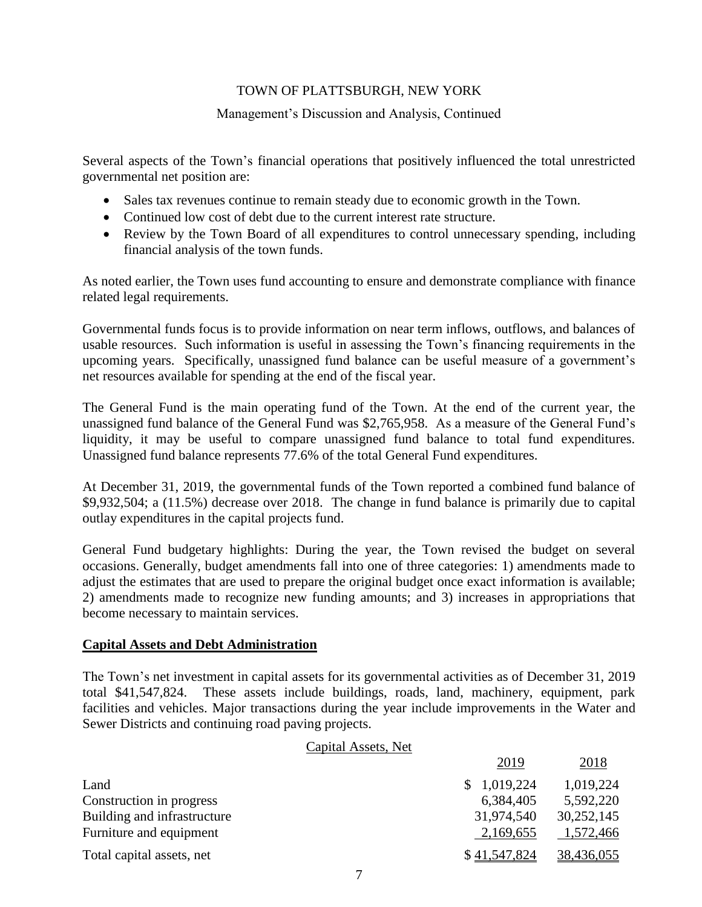# Management's Discussion and Analysis, Continued

Several aspects of the Town's financial operations that positively influenced the total unrestricted governmental net position are:

- Sales tax revenues continue to remain steady due to economic growth in the Town.
- Continued low cost of debt due to the current interest rate structure.
- Review by the Town Board of all expenditures to control unnecessary spending, including financial analysis of the town funds.

As noted earlier, the Town uses fund accounting to ensure and demonstrate compliance with finance related legal requirements.

Governmental funds focus is to provide information on near term inflows, outflows, and balances of usable resources. Such information is useful in assessing the Town's financing requirements in the upcoming years. Specifically, unassigned fund balance can be useful measure of a government's net resources available for spending at the end of the fiscal year.

The General Fund is the main operating fund of the Town. At the end of the current year, the unassigned fund balance of the General Fund was \$2,765,958. As a measure of the General Fund's liquidity, it may be useful to compare unassigned fund balance to total fund expenditures. Unassigned fund balance represents 77.6% of the total General Fund expenditures.

At December 31, 2019, the governmental funds of the Town reported a combined fund balance of \$9,932,504; a (11.5%) decrease over 2018. The change in fund balance is primarily due to capital outlay expenditures in the capital projects fund.

General Fund budgetary highlights: During the year, the Town revised the budget on several occasions. Generally, budget amendments fall into one of three categories: 1) amendments made to adjust the estimates that are used to prepare the original budget once exact information is available; 2) amendments made to recognize new funding amounts; and 3) increases in appropriations that become necessary to maintain services.

# **Capital Assets and Debt Administration**

The Town's net investment in capital assets for its governmental activities as of December 31, 2019 total \$41,547,824. These assets include buildings, roads, land, machinery, equipment, park facilities and vehicles. Major transactions during the year include improvements in the Water and Sewer Districts and continuing road paving projects.

| Capital Assets, Net         |                 |            |
|-----------------------------|-----------------|------------|
|                             | 2019            | 2018       |
| Land                        | 1,019,224<br>S. | 1,019,224  |
| Construction in progress    | 6,384,405       | 5,592,220  |
| Building and infrastructure | 31,974,540      | 30,252,145 |
| Furniture and equipment     | 2,169,655       | 1,572,466  |
| Total capital assets, net   | \$41,547,824    | 38,436,055 |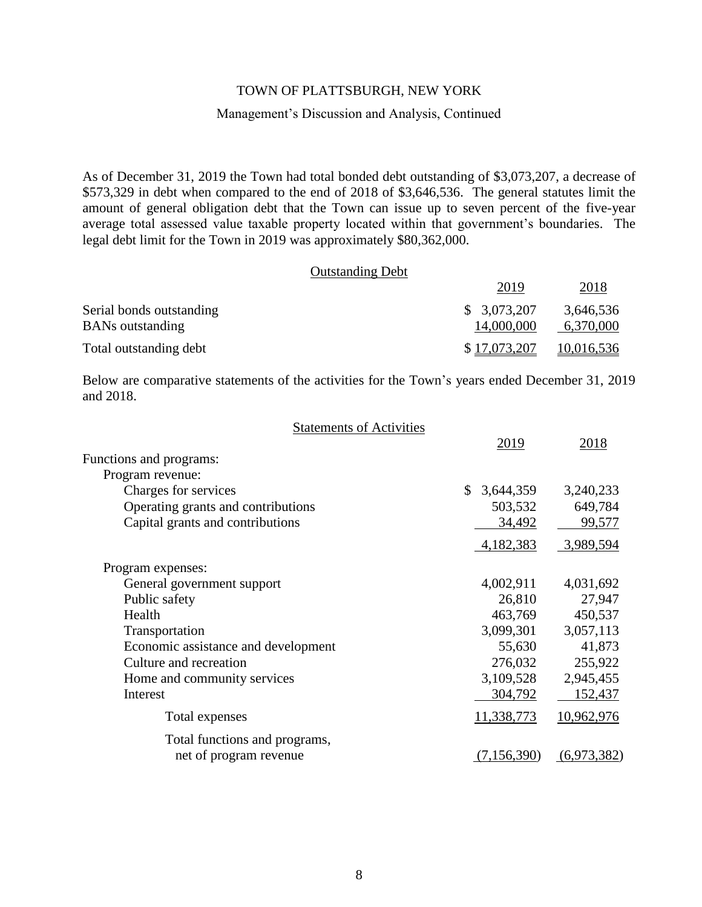### Management's Discussion and Analysis, Continued

As of December 31, 2019 the Town had total bonded debt outstanding of \$3,073,207, a decrease of \$573,329 in debt when compared to the end of 2018 of \$3,646,536. The general statutes limit the amount of general obligation debt that the Town can issue up to seven percent of the five-year average total assessed value taxable property located within that government's boundaries. The legal debt limit for the Town in 2019 was approximately \$80,362,000.

|                                                     | <b>Outstanding Debt</b>   |                        |
|-----------------------------------------------------|---------------------------|------------------------|
|                                                     | 2019                      | 2018                   |
| Serial bonds outstanding<br><b>BANs</b> outstanding | \$3,073,207<br>14,000,000 | 3,646,536<br>6,370,000 |
| Total outstanding debt                              | \$17,073,207              | 10,016,536             |

Below are comparative statements of the activities for the Town's years ended December 31, 2019 and 2018.

| <b>Statements of Activities</b>     |                 |             |
|-------------------------------------|-----------------|-------------|
|                                     | 2019            | 2018        |
| Functions and programs:             |                 |             |
| Program revenue:                    |                 |             |
| Charges for services                | 3,644,359<br>\$ | 3,240,233   |
| Operating grants and contributions  | 503,532         | 649,784     |
| Capital grants and contributions    | 34,492          | 99,577      |
|                                     | 4,182,383       | 3,989,594   |
| Program expenses:                   |                 |             |
| General government support          | 4,002,911       | 4,031,692   |
| Public safety                       | 26,810          | 27,947      |
| Health                              | 463,769         | 450,537     |
| Transportation                      | 3,099,301       | 3,057,113   |
| Economic assistance and development | 55,630          | 41,873      |
| Culture and recreation              | 276,032         | 255,922     |
| Home and community services         | 3,109,528       | 2,945,455   |
| Interest                            | 304,792         | 152,437     |
| Total expenses                      | 11,338,773      | 10,962,976  |
| Total functions and programs,       |                 |             |
| net of program revenue              | (7, 156, 390)   | (6,973,382) |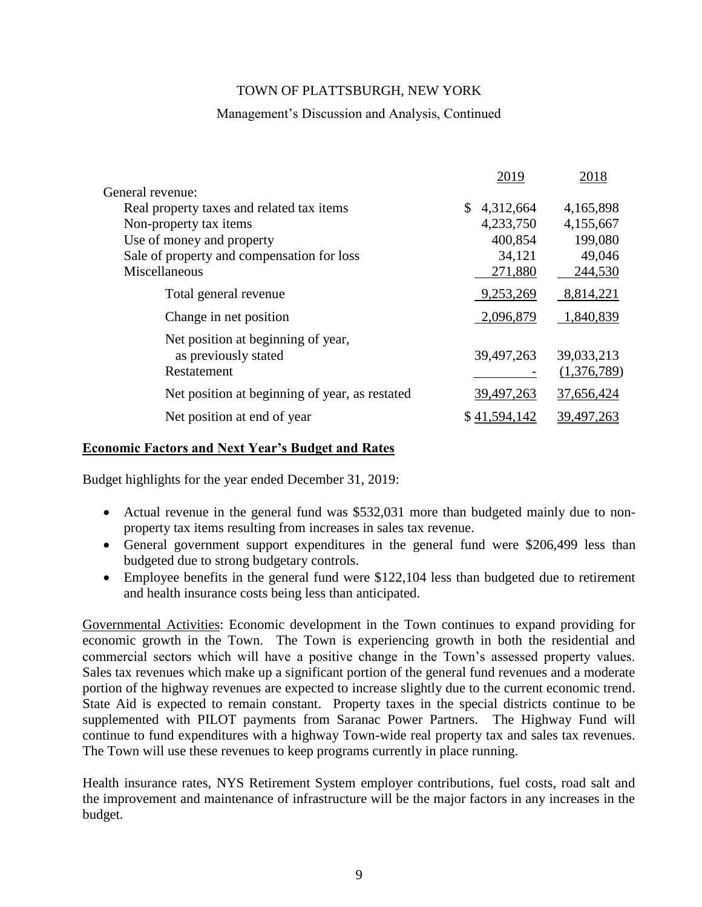### Management's Discussion and Analysis, Continued

|                                                | 2019            | 2018        |
|------------------------------------------------|-----------------|-------------|
| General revenue:                               |                 |             |
| Real property taxes and related tax items      | \$<br>4,312,664 | 4,165,898   |
| Non-property tax items                         | 4,233,750       | 4,155,667   |
| Use of money and property                      | 400,854         | 199,080     |
| Sale of property and compensation for loss     | 34,121          | 49,046      |
| Miscellaneous                                  | 271,880         | 244,530     |
| Total general revenue                          | 9,253,269       | 8,814,221   |
| Change in net position                         | 2,096,879       | 1,840,839   |
| Net position at beginning of year,             |                 |             |
| as previously stated                           | 39,497,263      | 39,033,213  |
| Restatement                                    |                 | (1,376,789) |
| Net position at beginning of year, as restated | 39,497,263      | 37,656,424  |
| Net position at end of year                    | \$41,594,142    | 39,497,263  |

# **Economic Factors and Next Year's Budget and Rates**

Budget highlights for the year ended December 31, 2019:

- Actual revenue in the general fund was \$532,031 more than budgeted mainly due to nonproperty tax items resulting from increases in sales tax revenue.
- General government support expenditures in the general fund were \$206,499 less than budgeted due to strong budgetary controls.
- Employee benefits in the general fund were \$122,104 less than budgeted due to retirement and health insurance costs being less than anticipated.

Governmental Activities: Economic development in the Town continues to expand providing for economic growth in the Town. The Town is experiencing growth in both the residential and commercial sectors which will have a positive change in the Town's assessed property values. Sales tax revenues which make up a significant portion of the general fund revenues and a moderate portion of the highway revenues are expected to increase slightly due to the current economic trend. State Aid is expected to remain constant. Property taxes in the special districts continue to be supplemented with PILOT payments from Saranac Power Partners. The Highway Fund will continue to fund expenditures with a highway Town-wide real property tax and sales tax revenues. The Town will use these revenues to keep programs currently in place running.

Health insurance rates, NYS Retirement System employer contributions, fuel costs, road salt and the improvement and maintenance of infrastructure will be the major factors in any increases in the budget.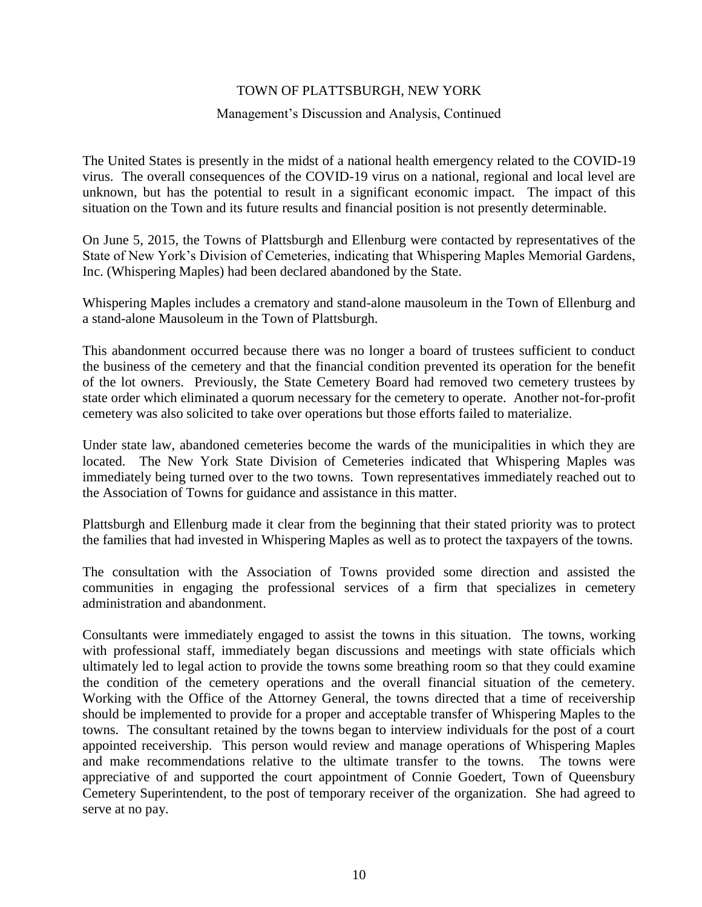#### Management's Discussion and Analysis, Continued

The United States is presently in the midst of a national health emergency related to the COVID-19 virus. The overall consequences of the COVID-19 virus on a national, regional and local level are unknown, but has the potential to result in a significant economic impact. The impact of this situation on the Town and its future results and financial position is not presently determinable.

On June 5, 2015, the Towns of Plattsburgh and Ellenburg were contacted by representatives of the State of New York's Division of Cemeteries, indicating that Whispering Maples Memorial Gardens, Inc. (Whispering Maples) had been declared abandoned by the State.

Whispering Maples includes a crematory and stand-alone mausoleum in the Town of Ellenburg and a stand-alone Mausoleum in the Town of Plattsburgh.

This abandonment occurred because there was no longer a board of trustees sufficient to conduct the business of the cemetery and that the financial condition prevented its operation for the benefit of the lot owners. Previously, the State Cemetery Board had removed two cemetery trustees by state order which eliminated a quorum necessary for the cemetery to operate. Another not-for-profit cemetery was also solicited to take over operations but those efforts failed to materialize.

Under state law, abandoned cemeteries become the wards of the municipalities in which they are located. The New York State Division of Cemeteries indicated that Whispering Maples was immediately being turned over to the two towns. Town representatives immediately reached out to the Association of Towns for guidance and assistance in this matter.

Plattsburgh and Ellenburg made it clear from the beginning that their stated priority was to protect the families that had invested in Whispering Maples as well as to protect the taxpayers of the towns.

The consultation with the Association of Towns provided some direction and assisted the communities in engaging the professional services of a firm that specializes in cemetery administration and abandonment.

Consultants were immediately engaged to assist the towns in this situation. The towns, working with professional staff, immediately began discussions and meetings with state officials which ultimately led to legal action to provide the towns some breathing room so that they could examine the condition of the cemetery operations and the overall financial situation of the cemetery. Working with the Office of the Attorney General, the towns directed that a time of receivership should be implemented to provide for a proper and acceptable transfer of Whispering Maples to the towns. The consultant retained by the towns began to interview individuals for the post of a court appointed receivership. This person would review and manage operations of Whispering Maples and make recommendations relative to the ultimate transfer to the towns. The towns were appreciative of and supported the court appointment of Connie Goedert, Town of Queensbury Cemetery Superintendent, to the post of temporary receiver of the organization. She had agreed to serve at no pay.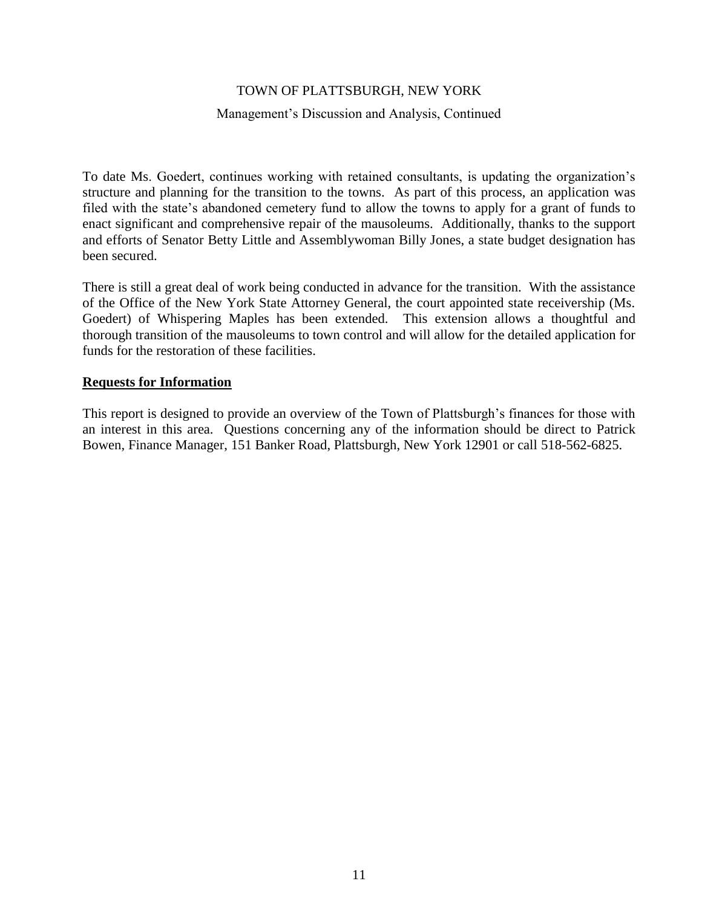#### Management's Discussion and Analysis, Continued

To date Ms. Goedert, continues working with retained consultants, is updating the organization's structure and planning for the transition to the towns. As part of this process, an application was filed with the state's abandoned cemetery fund to allow the towns to apply for a grant of funds to enact significant and comprehensive repair of the mausoleums. Additionally, thanks to the support and efforts of Senator Betty Little and Assemblywoman Billy Jones, a state budget designation has been secured.

There is still a great deal of work being conducted in advance for the transition. With the assistance of the Office of the New York State Attorney General, the court appointed state receivership (Ms. Goedert) of Whispering Maples has been extended. This extension allows a thoughtful and thorough transition of the mausoleums to town control and will allow for the detailed application for funds for the restoration of these facilities.

### **Requests for Information**

This report is designed to provide an overview of the Town of Plattsburgh's finances for those with an interest in this area. Questions concerning any of the information should be direct to Patrick Bowen, Finance Manager, 151 Banker Road, Plattsburgh, New York 12901 or call 518-562-6825.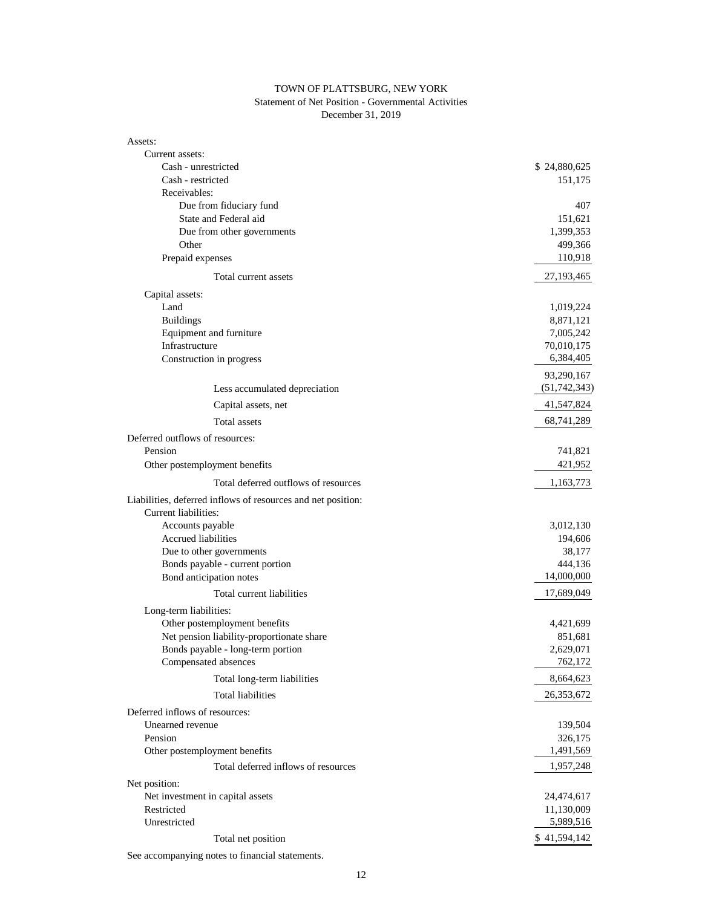#### TOWN OF PLATTSBURG, NEW YORK Statement of Net Position - Governmental Activities

December 31, 2019

| Assets:                                                                              |                |
|--------------------------------------------------------------------------------------|----------------|
| Current assets:                                                                      |                |
| Cash - unrestricted                                                                  | \$24,880,625   |
| Cash - restricted                                                                    | 151,175        |
| Receivables:                                                                         |                |
| Due from fiduciary fund<br>State and Federal aid                                     | 407<br>151,621 |
| Due from other governments                                                           | 1,399,353      |
| Other                                                                                | 499,366        |
| Prepaid expenses                                                                     | 110,918        |
| Total current assets                                                                 | 27,193,465     |
| Capital assets:                                                                      |                |
| Land                                                                                 | 1,019,224      |
| <b>Buildings</b>                                                                     | 8,871,121      |
| Equipment and furniture                                                              | 7,005,242      |
| Infrastructure                                                                       | 70,010,175     |
| Construction in progress                                                             | 6,384,405      |
|                                                                                      | 93,290,167     |
| Less accumulated depreciation                                                        | (51, 742, 343) |
| Capital assets, net                                                                  | 41,547,824     |
| Total assets                                                                         | 68,741,289     |
| Deferred outflows of resources:                                                      |                |
| Pension                                                                              | 741,821        |
| Other postemployment benefits                                                        | 421,952        |
| Total deferred outflows of resources                                                 | 1,163,773      |
|                                                                                      |                |
| Liabilities, deferred inflows of resources and net position:<br>Current liabilities: |                |
| Accounts payable                                                                     | 3,012,130      |
| Accrued liabilities                                                                  | 194,606        |
| Due to other governments                                                             | 38,177         |
| Bonds payable - current portion                                                      | 444,136        |
| Bond anticipation notes                                                              | 14,000,000     |
| Total current liabilities                                                            | 17,689,049     |
| Long-term liabilities:                                                               |                |
| Other postemployment benefits                                                        | 4,421,699      |
| Net pension liability-proportionate share                                            | 851,681        |
| Bonds payable - long-term portion                                                    | 2,629,071      |
| Compensated absences                                                                 | 762,172        |
| Total long-term liabilities                                                          | 8,664,623      |
| <b>Total liabilities</b>                                                             | 26, 353, 672   |
| Deferred inflows of resources:                                                       |                |
| Unearned revenue                                                                     | 139,504        |
| Pension                                                                              | 326,175        |
| Other postemployment benefits                                                        | 1,491,569      |
| Total deferred inflows of resources                                                  | 1,957,248      |
| Net position:                                                                        |                |
| Net investment in capital assets                                                     | 24,474,617     |
| Restricted                                                                           | 11,130,009     |
| Unrestricted                                                                         | 5,989,516      |
| Total net position                                                                   | \$41,594,142   |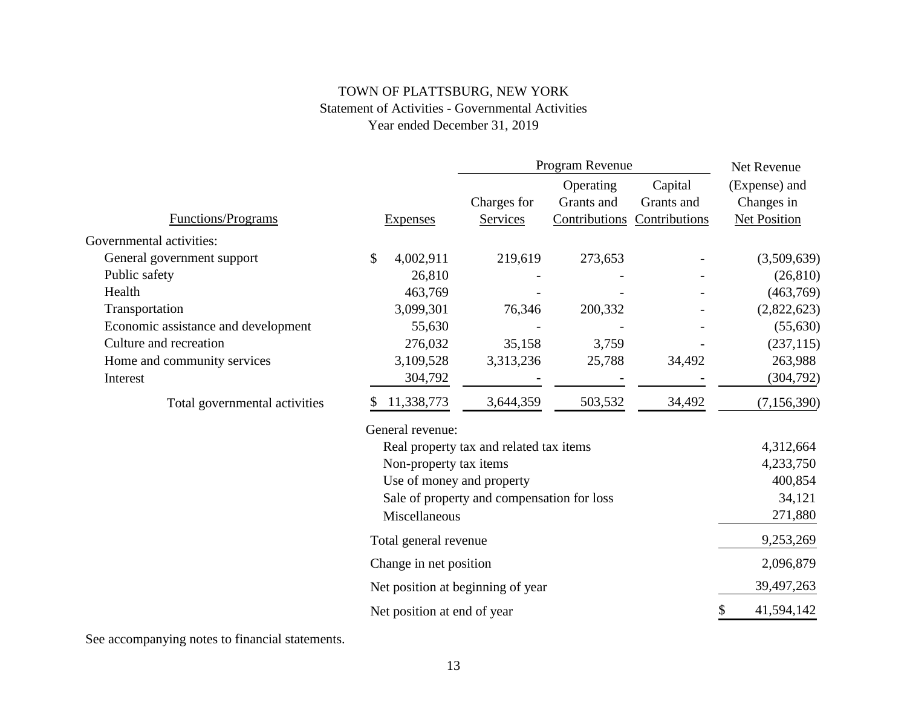# TOWN OF PLATTSBURG, NEW YORK Statement of Activities - Governmental Activities Year ended December 31, 2019

|                                     |                                   |                                            | Program Revenue |               |                     |  |
|-------------------------------------|-----------------------------------|--------------------------------------------|-----------------|---------------|---------------------|--|
|                                     |                                   |                                            | Operating       | Capital       | (Expense) and       |  |
|                                     |                                   | Charges for                                | Grants and      | Grants and    | Changes in          |  |
| Functions/Programs                  | <b>Expenses</b>                   | Services                                   | Contributions   | Contributions | <b>Net Position</b> |  |
| Governmental activities:            |                                   |                                            |                 |               |                     |  |
| General government support          | \$<br>4,002,911                   | 219,619                                    | 273,653         |               | (3,509,639)         |  |
| Public safety                       | 26,810                            |                                            |                 |               | (26, 810)           |  |
| Health                              | 463,769                           |                                            |                 |               | (463,769)           |  |
| Transportation                      | 3,099,301                         | 76,346                                     | 200,332         |               | (2,822,623)         |  |
| Economic assistance and development | 55,630                            |                                            |                 |               | (55, 630)           |  |
| Culture and recreation              | 276,032                           | 35,158                                     | 3,759           |               | (237, 115)          |  |
| Home and community services         | 3,109,528                         | 3,313,236                                  | 25,788          | 34,492        | 263,988             |  |
| Interest                            | 304,792                           |                                            |                 |               | (304, 792)          |  |
| Total governmental activities       | 11,338,773                        | 3,644,359                                  | 503,532         | 34,492        | (7, 156, 390)       |  |
|                                     | General revenue:                  |                                            |                 |               |                     |  |
|                                     |                                   | Real property tax and related tax items    |                 |               | 4,312,664           |  |
|                                     | Non-property tax items            |                                            |                 |               | 4,233,750           |  |
|                                     |                                   | Use of money and property                  |                 |               | 400,854             |  |
|                                     |                                   | Sale of property and compensation for loss |                 |               | 34,121              |  |
|                                     | Miscellaneous                     |                                            |                 |               | 271,880             |  |
|                                     | Total general revenue             |                                            |                 |               | 9,253,269           |  |
|                                     | Change in net position            |                                            |                 |               | 2,096,879           |  |
|                                     | Net position at beginning of year | 39,497,263                                 |                 |               |                     |  |
|                                     | Net position at end of year       |                                            |                 |               | \$<br>41,594,142    |  |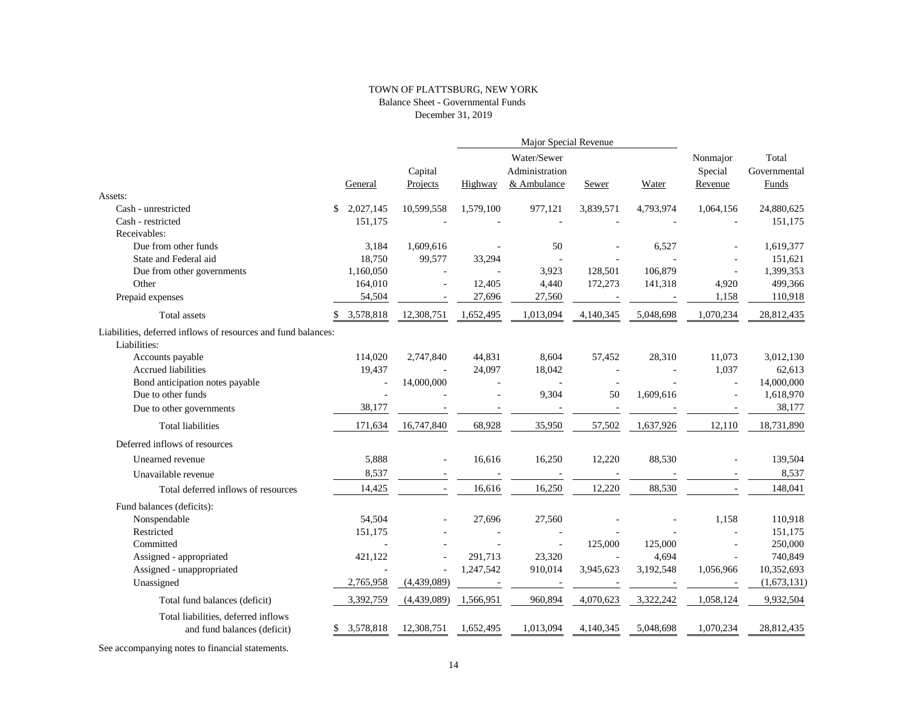#### TOWN OF PLATTSBURG, NEW YORK Balance Sheet - Governmental Funds December 31, 2019

|                                                                               |                 |                     |                | Major Special Revenue                        |           |           |                                |                                |
|-------------------------------------------------------------------------------|-----------------|---------------------|----------------|----------------------------------------------|-----------|-----------|--------------------------------|--------------------------------|
|                                                                               | General         | Capital<br>Projects | Highway        | Water/Sewer<br>Administration<br>& Ambulance | Sewer     | Water     | Nonmajor<br>Special<br>Revenue | Total<br>Governmental<br>Funds |
| Assets:                                                                       |                 |                     |                |                                              |           |           |                                |                                |
| Cash - unrestricted                                                           | \$<br>2,027,145 | 10,599,558          | 1,579,100      | 977,121                                      | 3,839,571 | 4,793,974 | 1.064.156                      | 24,880,625                     |
| Cash - restricted                                                             | 151,175         |                     |                |                                              |           |           |                                | 151,175                        |
| Receivables:                                                                  |                 |                     |                |                                              |           |           |                                |                                |
| Due from other funds                                                          | 3,184           | 1,609,616           |                | 50                                           |           | 6,527     |                                | 1,619,377                      |
| State and Federal aid                                                         | 18,750          | 99,577              | 33,294         |                                              |           |           |                                | 151,621                        |
| Due from other governments                                                    | 1,160,050       |                     | ÷.             | 3,923                                        | 128,501   | 106,879   |                                | 1,399,353                      |
| Other                                                                         | 164,010         |                     | 12,405         | 4,440                                        | 172,273   | 141,318   | 4,920                          | 499,366                        |
| Prepaid expenses                                                              | 54,504          |                     | 27,696         | 27,560                                       |           |           | 1,158                          | 110,918                        |
| Total assets                                                                  | 3,578,818       | 12,308,751          | 1,652,495      | 1,013,094                                    | 4,140,345 | 5,048,698 | 1,070,234                      | 28,812,435                     |
| Liabilities, deferred inflows of resources and fund balances:<br>Liabilities: |                 |                     |                |                                              |           |           |                                |                                |
| Accounts payable                                                              | 114,020         | 2,747,840           | 44,831         | 8,604                                        | 57,452    | 28,310    | 11,073                         | 3,012,130                      |
| <b>Accrued liabilities</b>                                                    | 19,437          | $\sim$              | 24,097         | 18,042                                       |           |           | 1,037                          | 62,613                         |
| Bond anticipation notes payable                                               | $\sim$          | 14,000,000          | $\overline{a}$ |                                              |           |           | $\sim$                         | 14,000,000                     |
| Due to other funds                                                            |                 |                     |                | 9,304                                        | 50        | 1,609,616 |                                | 1,618,970                      |
| Due to other governments                                                      | 38,177          |                     |                |                                              |           |           |                                | 38,177                         |
| <b>Total liabilities</b>                                                      | 171,634         | 16,747,840          | 68,928         | 35,950                                       | 57,502    | 1,637,926 | 12,110                         | 18,731,890                     |
| Deferred inflows of resources                                                 |                 |                     |                |                                              |           |           |                                |                                |
| Unearned revenue                                                              | 5,888           | $\sim$              | 16,616         | 16,250                                       | 12,220    | 88,530    |                                | 139,504                        |
| Unavailable revenue                                                           | 8,537           |                     |                |                                              |           |           |                                | 8,537                          |
| Total deferred inflows of resources                                           | 14,425          |                     | 16,616         | 16,250                                       | 12,220    | 88,530    |                                | 148,041                        |
| Fund balances (deficits):                                                     |                 |                     |                |                                              |           |           |                                |                                |
| Nonspendable                                                                  | 54,504          |                     | 27,696         | 27,560                                       |           |           | 1,158                          | 110,918                        |
| Restricted                                                                    | 151,175         |                     |                |                                              |           |           |                                | 151,175                        |
| Committed                                                                     |                 |                     | $\sim$         | $\sim$                                       | 125,000   | 125,000   | $\sim$                         | 250,000                        |
| Assigned - appropriated                                                       | 421,122         |                     | 291,713        | 23,320                                       |           | 4,694     | $\bar{a}$                      | 740,849                        |
| Assigned - unappropriated                                                     |                 | $\overline{a}$      | 1,247,542      | 910,014                                      | 3,945,623 | 3,192,548 | 1,056,966                      | 10,352,693                     |
| Unassigned                                                                    | 2,765,958       | (4,439,089)         |                |                                              |           |           |                                | (1,673,131)                    |
| Total fund balances (deficit)                                                 | 3,392,759       | (4,439,089)         | 1,566,951      | 960,894                                      | 4,070,623 | 3,322,242 | 1,058,124                      | 9,932,504                      |
| Total liabilities, deferred inflows                                           |                 |                     |                |                                              |           |           |                                |                                |
| and fund balances (deficit)                                                   | 3,578,818       | 12,308,751          | 1,652,495      | 1,013,094                                    | 4,140,345 | 5,048,698 | 1,070,234                      | 28,812,435                     |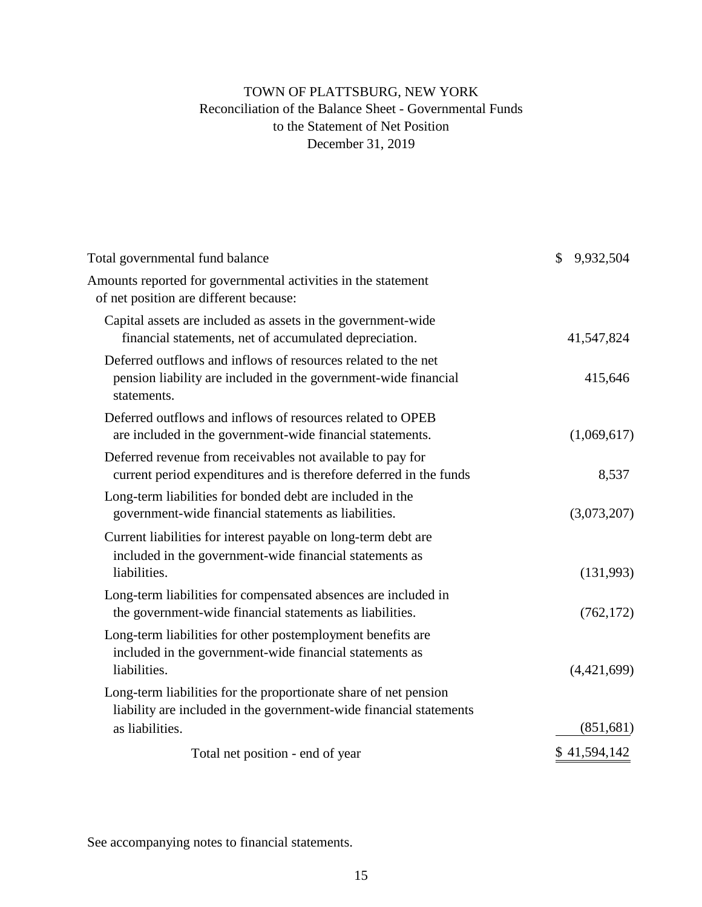# Reconciliation of the Balance Sheet - Governmental Funds to the Statement of Net Position December 31, 2019 TOWN OF PLATTSBURG, NEW YORK

| Total governmental fund balance                                                                                                                 | 9,932,504<br>$\mathcal{S}$ |
|-------------------------------------------------------------------------------------------------------------------------------------------------|----------------------------|
| Amounts reported for governmental activities in the statement<br>of net position are different because:                                         |                            |
| Capital assets are included as assets in the government-wide<br>financial statements, net of accumulated depreciation.                          | 41,547,824                 |
| Deferred outflows and inflows of resources related to the net<br>pension liability are included in the government-wide financial<br>statements. | 415,646                    |
| Deferred outflows and inflows of resources related to OPEB<br>are included in the government-wide financial statements.                         | (1,069,617)                |
| Deferred revenue from receivables not available to pay for<br>current period expenditures and is therefore deferred in the funds                | 8,537                      |
| Long-term liabilities for bonded debt are included in the<br>government-wide financial statements as liabilities.                               | (3,073,207)                |
| Current liabilities for interest payable on long-term debt are<br>included in the government-wide financial statements as<br>liabilities.       | (131,993)                  |
| Long-term liabilities for compensated absences are included in<br>the government-wide financial statements as liabilities.                      | (762, 172)                 |
| Long-term liabilities for other postemployment benefits are<br>included in the government-wide financial statements as<br>liabilities.          | (4,421,699)                |
| Long-term liabilities for the proportionate share of net pension<br>liability are included in the government-wide financial statements          |                            |
| as liabilities.                                                                                                                                 | (851,681)                  |
| Total net position - end of year                                                                                                                | \$41,594,142               |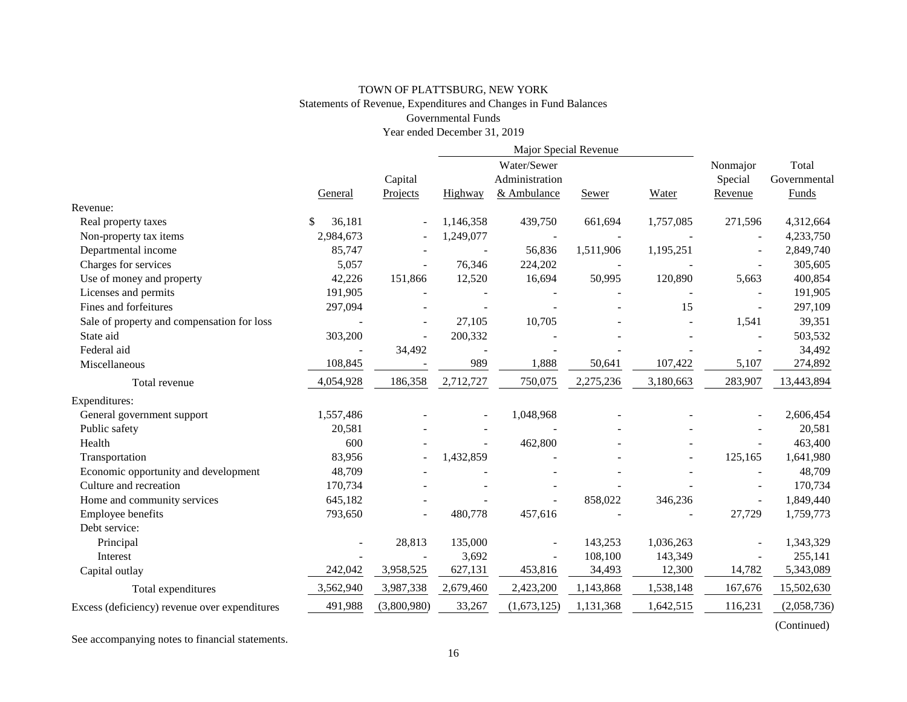#### TOWN OF PLATTSBURG, NEW YORK Statements of Revenue, Expenditures and Changes in Fund Balances Governmental Funds Year ended December 31, 2019

|                                               |                          |                | Major Special Revenue    |                          |           |           |                |              |
|-----------------------------------------------|--------------------------|----------------|--------------------------|--------------------------|-----------|-----------|----------------|--------------|
|                                               |                          |                |                          | Water/Sewer              |           |           | Nonmajor       | Total        |
|                                               |                          | Capital        |                          | Administration           |           |           | Special        | Governmental |
|                                               | General                  | Projects       | Highway                  | & Ambulance              | Sewer     | Water     | Revenue        | <b>Funds</b> |
| Revenue:                                      |                          |                |                          |                          |           |           |                |              |
| Real property taxes                           | 36,181                   |                | 1,146,358                | 439,750                  | 661,694   | 1,757,085 | 271,596        | 4,312,664    |
| Non-property tax items                        | 2,984,673                |                | 1,249,077                | $\overline{\phantom{a}}$ |           |           |                | 4,233,750    |
| Departmental income                           | 85,747                   |                | $\overline{\phantom{a}}$ | 56,836                   | 1,511,906 | 1,195,251 |                | 2,849,740    |
| Charges for services                          | 5,057                    |                | 76,346                   | 224,202                  |           |           |                | 305,605      |
| Use of money and property                     | 42,226                   | 151,866        | 12,520                   | 16,694                   | 50,995    | 120,890   | 5,663          | 400,854      |
| Licenses and permits                          | 191,905                  |                |                          |                          |           |           |                | 191,905      |
| Fines and forfeitures                         | 297,094                  |                | $\overline{\phantom{a}}$ |                          |           | 15        |                | 297,109      |
| Sale of property and compensation for loss    |                          |                | 27,105                   | 10,705                   |           |           | 1,541          | 39,351       |
| State aid                                     | 303,200                  | $\overline{a}$ | 200,332                  |                          |           |           |                | 503,532      |
| Federal aid                                   |                          | 34,492         |                          |                          |           |           |                | 34,492       |
| Miscellaneous                                 | 108,845                  |                | 989                      | 1,888                    | 50,641    | 107,422   | 5,107          | 274,892      |
| Total revenue                                 | 4,054,928                | 186,358        | 2,712,727                | 750,075                  | 2,275,236 | 3,180,663 | 283,907        | 13,443,894   |
| Expenditures:                                 |                          |                |                          |                          |           |           |                |              |
| General government support                    | 1,557,486                |                |                          | 1,048,968                |           |           |                | 2,606,454    |
| Public safety                                 | 20,581                   |                |                          |                          |           |           |                | 20,581       |
| Health                                        | 600                      |                |                          | 462,800                  |           |           |                | 463,400      |
| Transportation                                | 83,956                   |                | 1,432,859                |                          |           |           | 125,165        | 1,641,980    |
| Economic opportunity and development          | 48,709                   |                |                          |                          |           |           |                | 48,709       |
| Culture and recreation                        | 170,734                  |                |                          |                          |           |           |                | 170,734      |
| Home and community services                   | 645,182                  |                |                          | ÷,                       | 858,022   | 346,236   | $\overline{a}$ | 1,849,440    |
| Employee benefits                             | 793,650                  |                | 480,778                  | 457,616                  |           |           | 27,729         | 1,759,773    |
| Debt service:                                 |                          |                |                          |                          |           |           |                |              |
| Principal                                     | $\overline{\phantom{a}}$ | 28,813         | 135,000                  | $\overline{a}$           | 143,253   | 1,036,263 |                | 1,343,329    |
| Interest                                      |                          |                | 3,692                    | $\blacksquare$           | 108,100   | 143,349   |                | 255,141      |
| Capital outlay                                | 242,042                  | 3,958,525      | 627,131                  | 453,816                  | 34,493    | 12,300    | 14,782         | 5,343,089    |
| Total expenditures                            | 3,562,940                | 3,987,338      | 2,679,460                | 2,423,200                | 1,143,868 | 1,538,148 | 167,676        | 15,502,630   |
| Excess (deficiency) revenue over expenditures | 491,988                  | (3,800,980)    | 33,267                   | (1,673,125)              | 1,131,368 | 1,642,515 | 116,231        | (2,058,736)  |

See accompanying notes to financial statements.

(Continued)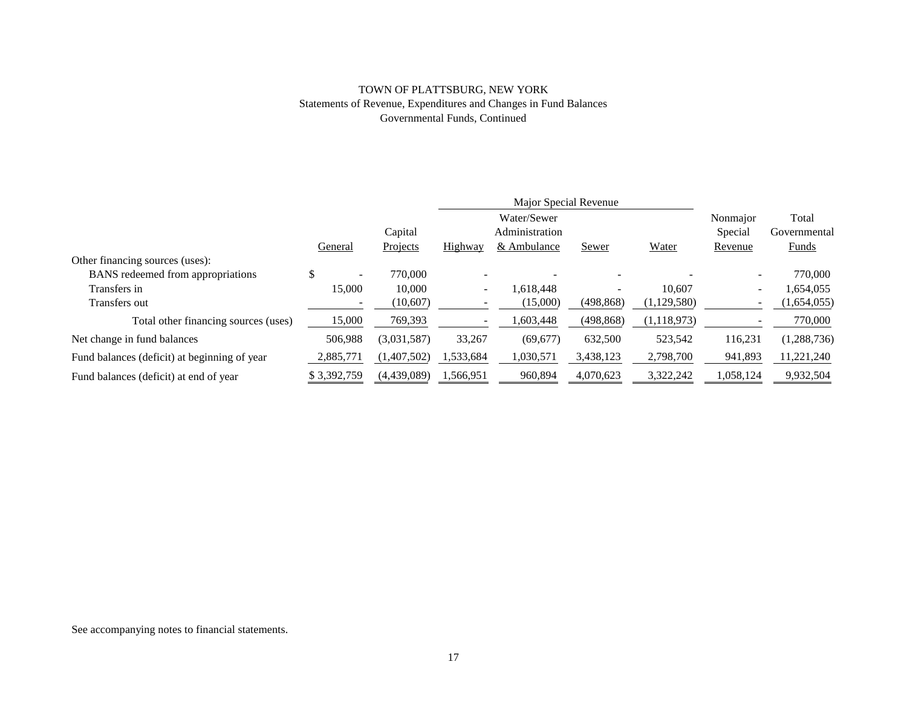#### TOWN OF PLATTSBURG, NEW YORK Statements of Revenue, Expenditures and Changes in Fund Balances Governmental Funds, Continued

|                                              | Major Special Revenue |                     |                          |                                              |            |               |                                |                                       |
|----------------------------------------------|-----------------------|---------------------|--------------------------|----------------------------------------------|------------|---------------|--------------------------------|---------------------------------------|
|                                              | General               | Capital<br>Projects | Highway                  | Water/Sewer<br>Administration<br>& Ambulance | Sewer      | Water         | Nonmaior<br>Special<br>Revenue | Total<br>Governmental<br><b>Funds</b> |
| Other financing sources (uses):              |                       |                     |                          |                                              |            |               |                                |                                       |
| BANS redeemed from appropriations            | -                     | 770,000             | $\overline{\phantom{a}}$ |                                              |            |               | ۰                              | 770,000                               |
| Transfers in                                 | 15.000                | 10,000              | $\overline{\phantom{a}}$ | .618.448                                     |            | 10.607        | -                              | .654.055                              |
| Transfers out                                |                       | (10,607)            |                          | (15,000)                                     | (498, 868) | (1,129,580)   |                                | (1,654,055)                           |
| Total other financing sources (uses)         | 15,000                | 769,393             |                          | 1,603,448                                    | (498, 868) | (1, 118, 973) |                                | 770,000                               |
| Net change in fund balances                  | 506.988               | (3,031,587)         | 33,267                   | (69,677)                                     | 632,500    | 523,542       | 116,231                        | (1, 288, 736)                         |
| Fund balances (deficit) at beginning of year | 2,885,771             | (1,407,502)         | 1,533,684                | 1,030,571                                    | 3,438,123  | 2,798,700     | 941,893                        | 11,221,240                            |
| Fund balances (deficit) at end of year       | \$3,392,759           | (4,439,089)         | ,566,951                 | 960,894                                      | 4,070,623  | 3,322,242     | 1,058,124                      | 9,932,504                             |
|                                              |                       |                     |                          |                                              |            |               |                                |                                       |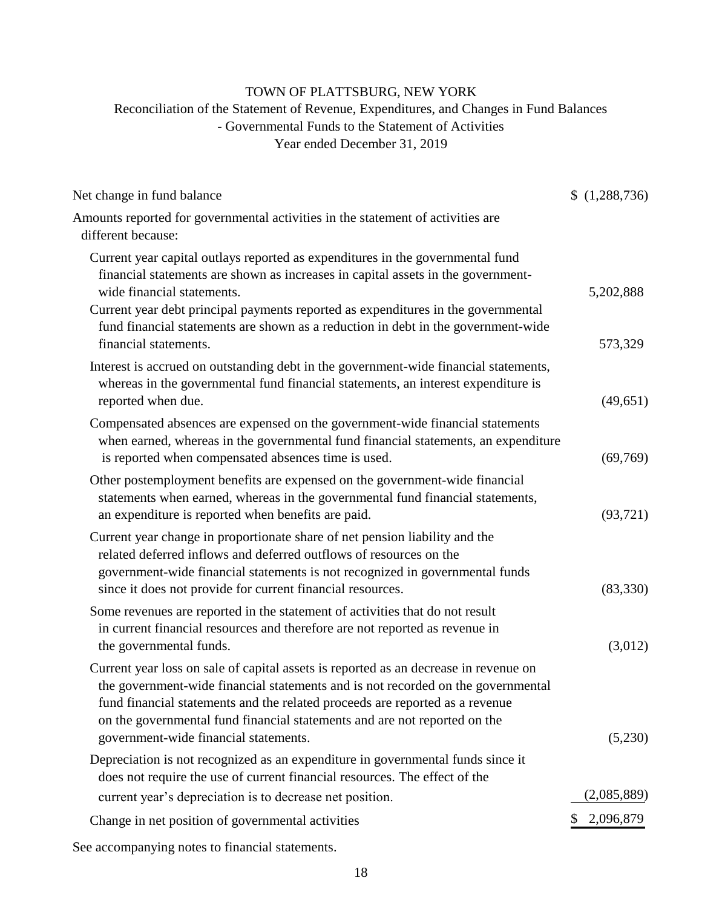# Reconciliation of the Statement of Revenue, Expenditures, and Changes in Fund Balances - Governmental Funds to the Statement of Activities Year ended December 31, 2019

| Net change in fund balance                                                                                                                                                                                                                                                                                                                                                     | (1,288,736) |
|--------------------------------------------------------------------------------------------------------------------------------------------------------------------------------------------------------------------------------------------------------------------------------------------------------------------------------------------------------------------------------|-------------|
| Amounts reported for governmental activities in the statement of activities are<br>different because:                                                                                                                                                                                                                                                                          |             |
| Current year capital outlays reported as expenditures in the governmental fund<br>financial statements are shown as increases in capital assets in the government-<br>wide financial statements.<br>Current year debt principal payments reported as expenditures in the governmental<br>fund financial statements are shown as a reduction in debt in the government-wide     | 5,202,888   |
| financial statements.<br>Interest is accrued on outstanding debt in the government-wide financial statements,                                                                                                                                                                                                                                                                  | 573,329     |
| whereas in the governmental fund financial statements, an interest expenditure is<br>reported when due.                                                                                                                                                                                                                                                                        | (49, 651)   |
| Compensated absences are expensed on the government-wide financial statements<br>when earned, whereas in the governmental fund financial statements, an expenditure<br>is reported when compensated absences time is used.                                                                                                                                                     | (69,769)    |
| Other postemployment benefits are expensed on the government-wide financial<br>statements when earned, whereas in the governmental fund financial statements,<br>an expenditure is reported when benefits are paid.                                                                                                                                                            | (93, 721)   |
| Current year change in proportionate share of net pension liability and the<br>related deferred inflows and deferred outflows of resources on the<br>government-wide financial statements is not recognized in governmental funds<br>since it does not provide for current financial resources.                                                                                | (83,330)    |
| Some revenues are reported in the statement of activities that do not result<br>in current financial resources and therefore are not reported as revenue in<br>the governmental funds.                                                                                                                                                                                         | (3,012)     |
| Current year loss on sale of capital assets is reported as an decrease in revenue on<br>the government-wide financial statements and is not recorded on the governmental<br>fund financial statements and the related proceeds are reported as a revenue<br>on the governmental fund financial statements and are not reported on the<br>government-wide financial statements. | (5,230)     |
| Depreciation is not recognized as an expenditure in governmental funds since it<br>does not require the use of current financial resources. The effect of the                                                                                                                                                                                                                  |             |
| current year's depreciation is to decrease net position.                                                                                                                                                                                                                                                                                                                       | (2,085,889) |
| Change in net position of governmental activities                                                                                                                                                                                                                                                                                                                              | 2,096,879   |
|                                                                                                                                                                                                                                                                                                                                                                                |             |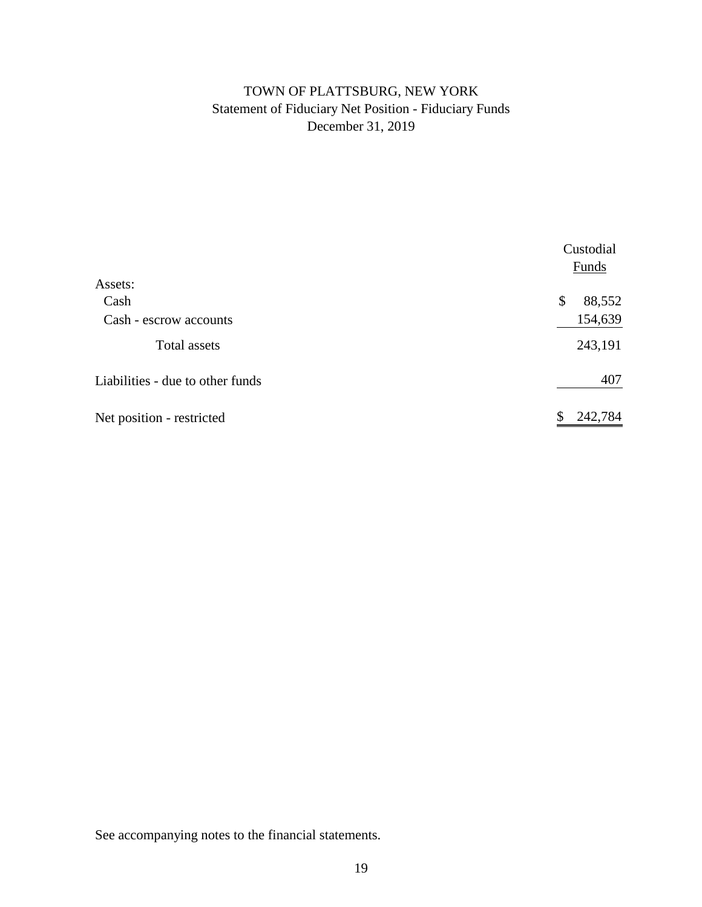# TOWN OF PLATTSBURG, NEW YORK Statement of Fiduciary Net Position - Fiduciary Funds December 31, 2019

|                                  | Custodial<br><b>Funds</b> |
|----------------------------------|---------------------------|
| Assets:                          |                           |
| Cash                             | 88,552<br>\$              |
| Cash - escrow accounts           | 154,639                   |
| Total assets                     | 243,191                   |
| Liabilities - due to other funds | 407                       |
| Net position - restricted        | 242,784                   |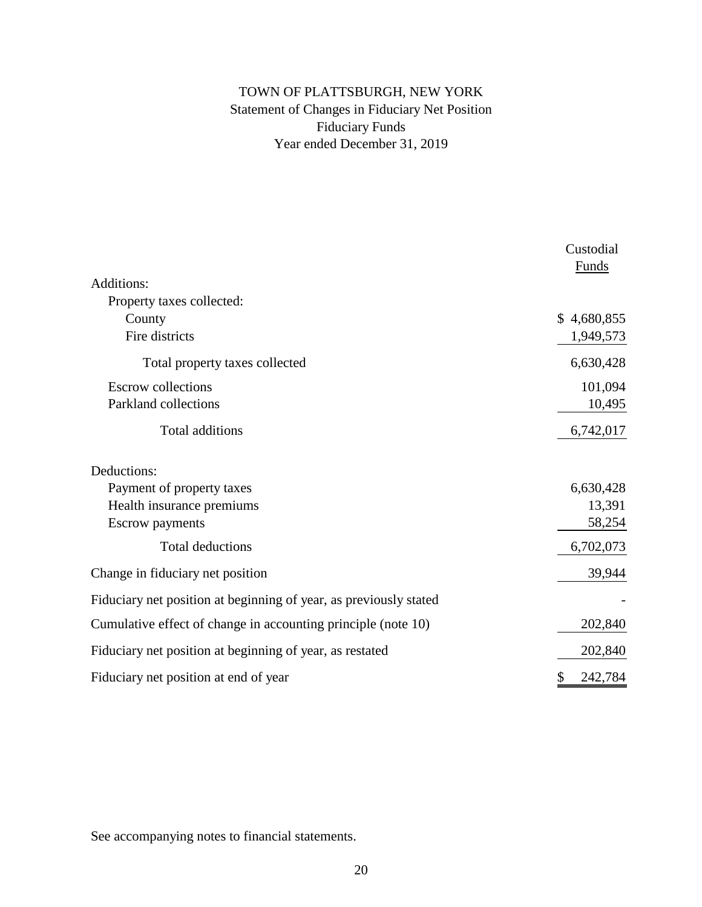# Year ended December 31, 2019 Fiduciary Funds Statement of Changes in Fiduciary Net Position TOWN OF PLATTSBURGH, NEW YORK

|                                                                   | Custodial     |
|-------------------------------------------------------------------|---------------|
|                                                                   | <b>Funds</b>  |
| Additions:                                                        |               |
| Property taxes collected:                                         |               |
| County                                                            | \$4,680,855   |
| Fire districts                                                    | 1,949,573     |
| Total property taxes collected                                    | 6,630,428     |
| <b>Escrow</b> collections                                         | 101,094       |
| Parkland collections                                              | 10,495        |
| <b>Total additions</b>                                            | 6,742,017     |
| Deductions:                                                       |               |
| Payment of property taxes                                         | 6,630,428     |
| Health insurance premiums                                         | 13,391        |
| <b>Escrow</b> payments                                            | 58,254        |
| <b>Total deductions</b>                                           | 6,702,073     |
| Change in fiduciary net position                                  | 39,944        |
| Fiduciary net position at beginning of year, as previously stated |               |
| Cumulative effect of change in accounting principle (note 10)     | 202,840       |
| Fiduciary net position at beginning of year, as restated          | 202,840       |
| Fiduciary net position at end of year                             | \$<br>242,784 |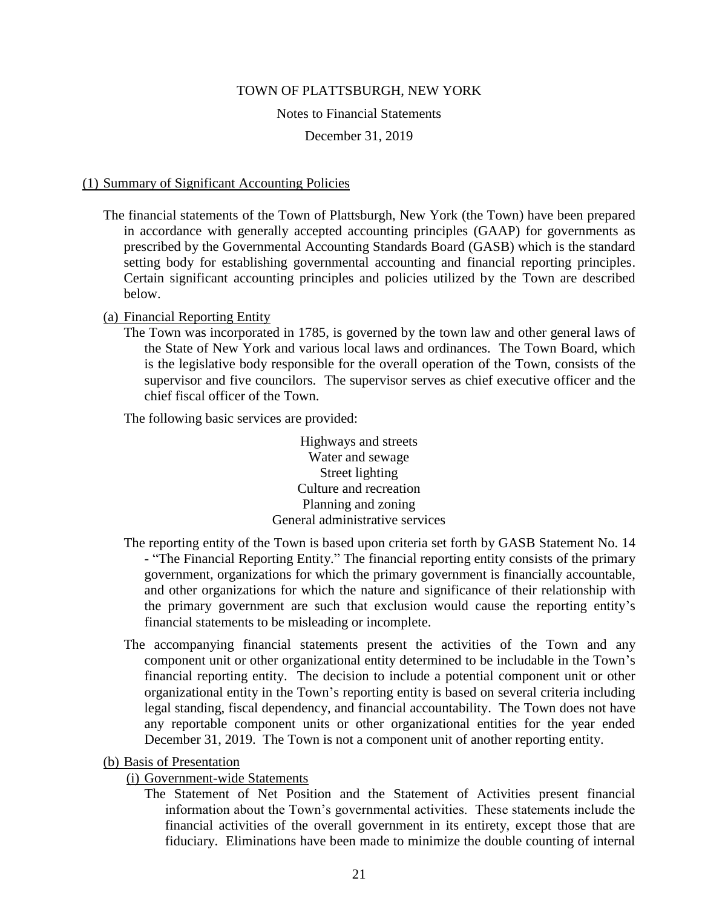#### Notes to Financial Statements

December 31, 2019

### (1) Summary of Significant Accounting Policies

The financial statements of the Town of Plattsburgh, New York (the Town) have been prepared in accordance with generally accepted accounting principles (GAAP) for governments as prescribed by the Governmental Accounting Standards Board (GASB) which is the standard setting body for establishing governmental accounting and financial reporting principles. Certain significant accounting principles and policies utilized by the Town are described below.

#### (a) Financial Reporting Entity

The Town was incorporated in 1785, is governed by the town law and other general laws of the State of New York and various local laws and ordinances. The Town Board, which is the legislative body responsible for the overall operation of the Town, consists of the supervisor and five councilors. The supervisor serves as chief executive officer and the chief fiscal officer of the Town.

The following basic services are provided:

Highways and streets Water and sewage Street lighting Culture and recreation Planning and zoning General administrative services

- The reporting entity of the Town is based upon criteria set forth by GASB Statement No. 14 - "The Financial Reporting Entity." The financial reporting entity consists of the primary government, organizations for which the primary government is financially accountable, and other organizations for which the nature and significance of their relationship with the primary government are such that exclusion would cause the reporting entity's financial statements to be misleading or incomplete.
- The accompanying financial statements present the activities of the Town and any component unit or other organizational entity determined to be includable in the Town's financial reporting entity. The decision to include a potential component unit or other organizational entity in the Town's reporting entity is based on several criteria including legal standing, fiscal dependency, and financial accountability. The Town does not have any reportable component units or other organizational entities for the year ended December 31, 2019. The Town is not a component unit of another reporting entity.

#### (b) Basis of Presentation

#### (i) Government-wide Statements

The Statement of Net Position and the Statement of Activities present financial information about the Town's governmental activities. These statements include the financial activities of the overall government in its entirety, except those that are fiduciary. Eliminations have been made to minimize the double counting of internal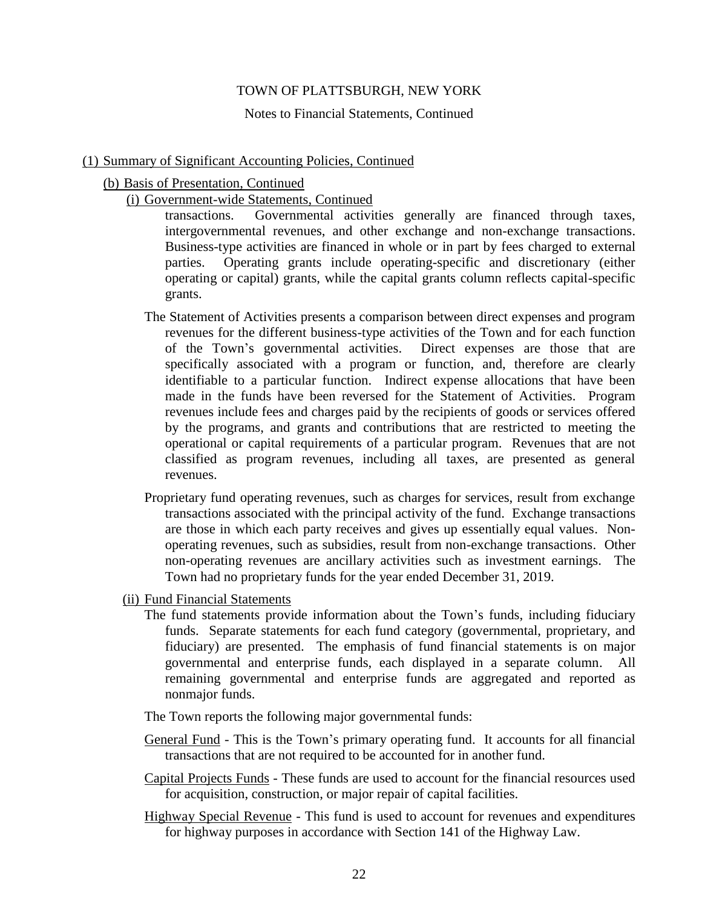#### Notes to Financial Statements, Continued

#### (1) Summary of Significant Accounting Policies, Continued

- (b) Basis of Presentation, Continued
	- (i) Government-wide Statements, Continued

transactions. Governmental activities generally are financed through taxes, intergovernmental revenues, and other exchange and non-exchange transactions. Business-type activities are financed in whole or in part by fees charged to external parties. Operating grants include operating-specific and discretionary (either operating or capital) grants, while the capital grants column reflects capital-specific grants.

- The Statement of Activities presents a comparison between direct expenses and program revenues for the different business-type activities of the Town and for each function of the Town's governmental activities. Direct expenses are those that are specifically associated with a program or function, and, therefore are clearly identifiable to a particular function. Indirect expense allocations that have been made in the funds have been reversed for the Statement of Activities. Program revenues include fees and charges paid by the recipients of goods or services offered by the programs, and grants and contributions that are restricted to meeting the operational or capital requirements of a particular program. Revenues that are not classified as program revenues, including all taxes, are presented as general revenues.
- Proprietary fund operating revenues, such as charges for services, result from exchange transactions associated with the principal activity of the fund. Exchange transactions are those in which each party receives and gives up essentially equal values. Nonoperating revenues, such as subsidies, result from non-exchange transactions. Other non-operating revenues are ancillary activities such as investment earnings. The Town had no proprietary funds for the year ended December 31, 2019.
- (ii) Fund Financial Statements
	- The fund statements provide information about the Town's funds, including fiduciary funds. Separate statements for each fund category (governmental, proprietary, and fiduciary) are presented. The emphasis of fund financial statements is on major governmental and enterprise funds, each displayed in a separate column. All remaining governmental and enterprise funds are aggregated and reported as nonmajor funds.
	- The Town reports the following major governmental funds:
	- General Fund This is the Town's primary operating fund. It accounts for all financial transactions that are not required to be accounted for in another fund.
	- Capital Projects Funds These funds are used to account for the financial resources used for acquisition, construction, or major repair of capital facilities.
	- Highway Special Revenue This fund is used to account for revenues and expenditures for highway purposes in accordance with Section 141 of the Highway Law.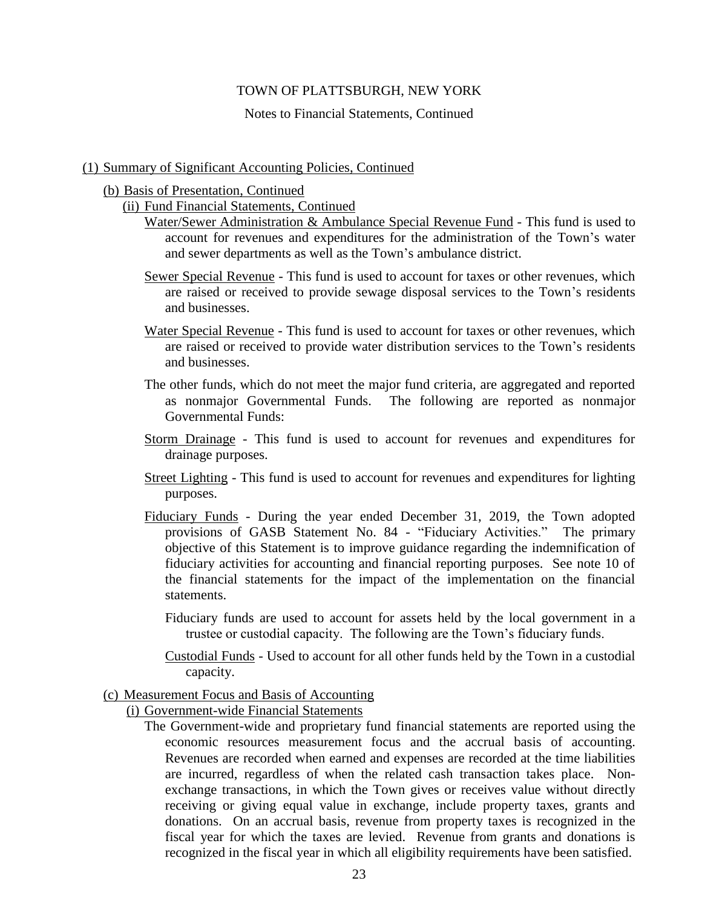#### Notes to Financial Statements, Continued

#### (1) Summary of Significant Accounting Policies, Continued

- (b) Basis of Presentation, Continued
	- (ii) Fund Financial Statements, Continued
		- Water/Sewer Administration & Ambulance Special Revenue Fund This fund is used to account for revenues and expenditures for the administration of the Town's water and sewer departments as well as the Town's ambulance district.
		- Sewer Special Revenue This fund is used to account for taxes or other revenues, which are raised or received to provide sewage disposal services to the Town's residents and businesses.
		- Water Special Revenue This fund is used to account for taxes or other revenues, which are raised or received to provide water distribution services to the Town's residents and businesses.
		- The other funds, which do not meet the major fund criteria, are aggregated and reported as nonmajor Governmental Funds. The following are reported as nonmajor Governmental Funds:
		- Storm Drainage This fund is used to account for revenues and expenditures for drainage purposes.
		- Street Lighting This fund is used to account for revenues and expenditures for lighting purposes.
		- Fiduciary Funds During the year ended December 31, 2019, the Town adopted provisions of GASB Statement No. 84 - "Fiduciary Activities." The primary objective of this Statement is to improve guidance regarding the indemnification of fiduciary activities for accounting and financial reporting purposes. See note 10 of the financial statements for the impact of the implementation on the financial statements.
			- Fiduciary funds are used to account for assets held by the local government in a trustee or custodial capacity. The following are the Town's fiduciary funds.
			- Custodial Funds Used to account for all other funds held by the Town in a custodial capacity.

#### (c) Measurement Focus and Basis of Accounting

(i) Government-wide Financial Statements

The Government-wide and proprietary fund financial statements are reported using the economic resources measurement focus and the accrual basis of accounting. Revenues are recorded when earned and expenses are recorded at the time liabilities are incurred, regardless of when the related cash transaction takes place. Nonexchange transactions, in which the Town gives or receives value without directly receiving or giving equal value in exchange, include property taxes, grants and donations. On an accrual basis, revenue from property taxes is recognized in the fiscal year for which the taxes are levied. Revenue from grants and donations is recognized in the fiscal year in which all eligibility requirements have been satisfied.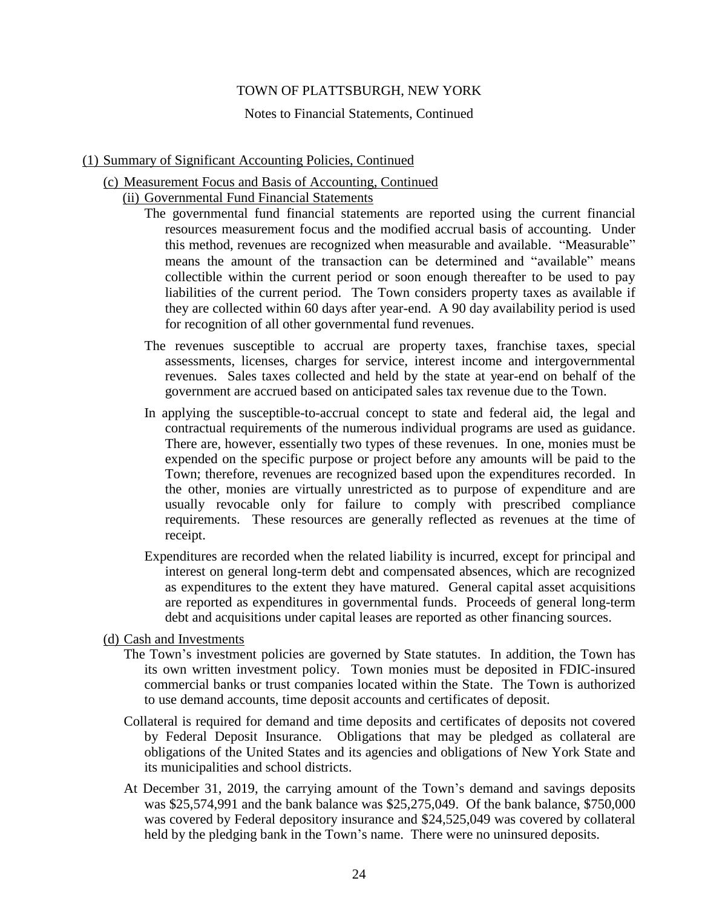#### Notes to Financial Statements, Continued

#### (1) Summary of Significant Accounting Policies, Continued

- (c) Measurement Focus and Basis of Accounting, Continued
	- (ii) Governmental Fund Financial Statements
		- The governmental fund financial statements are reported using the current financial resources measurement focus and the modified accrual basis of accounting. Under this method, revenues are recognized when measurable and available. "Measurable" means the amount of the transaction can be determined and "available" means collectible within the current period or soon enough thereafter to be used to pay liabilities of the current period. The Town considers property taxes as available if they are collected within 60 days after year-end. A 90 day availability period is used for recognition of all other governmental fund revenues.
		- The revenues susceptible to accrual are property taxes, franchise taxes, special assessments, licenses, charges for service, interest income and intergovernmental revenues. Sales taxes collected and held by the state at year-end on behalf of the government are accrued based on anticipated sales tax revenue due to the Town.
		- In applying the susceptible-to-accrual concept to state and federal aid, the legal and contractual requirements of the numerous individual programs are used as guidance. There are, however, essentially two types of these revenues. In one, monies must be expended on the specific purpose or project before any amounts will be paid to the Town; therefore, revenues are recognized based upon the expenditures recorded. In the other, monies are virtually unrestricted as to purpose of expenditure and are usually revocable only for failure to comply with prescribed compliance requirements. These resources are generally reflected as revenues at the time of receipt.
		- Expenditures are recorded when the related liability is incurred, except for principal and interest on general long-term debt and compensated absences, which are recognized as expenditures to the extent they have matured. General capital asset acquisitions are reported as expenditures in governmental funds. Proceeds of general long-term debt and acquisitions under capital leases are reported as other financing sources.
- (d) Cash and Investments
	- The Town's investment policies are governed by State statutes. In addition, the Town has its own written investment policy. Town monies must be deposited in FDIC-insured commercial banks or trust companies located within the State. The Town is authorized to use demand accounts, time deposit accounts and certificates of deposit.
	- Collateral is required for demand and time deposits and certificates of deposits not covered by Federal Deposit Insurance. Obligations that may be pledged as collateral are obligations of the United States and its agencies and obligations of New York State and its municipalities and school districts.
	- At December 31, 2019, the carrying amount of the Town's demand and savings deposits was \$25,574,991 and the bank balance was \$25,275,049. Of the bank balance, \$750,000 was covered by Federal depository insurance and \$24,525,049 was covered by collateral held by the pledging bank in the Town's name. There were no uninsured deposits.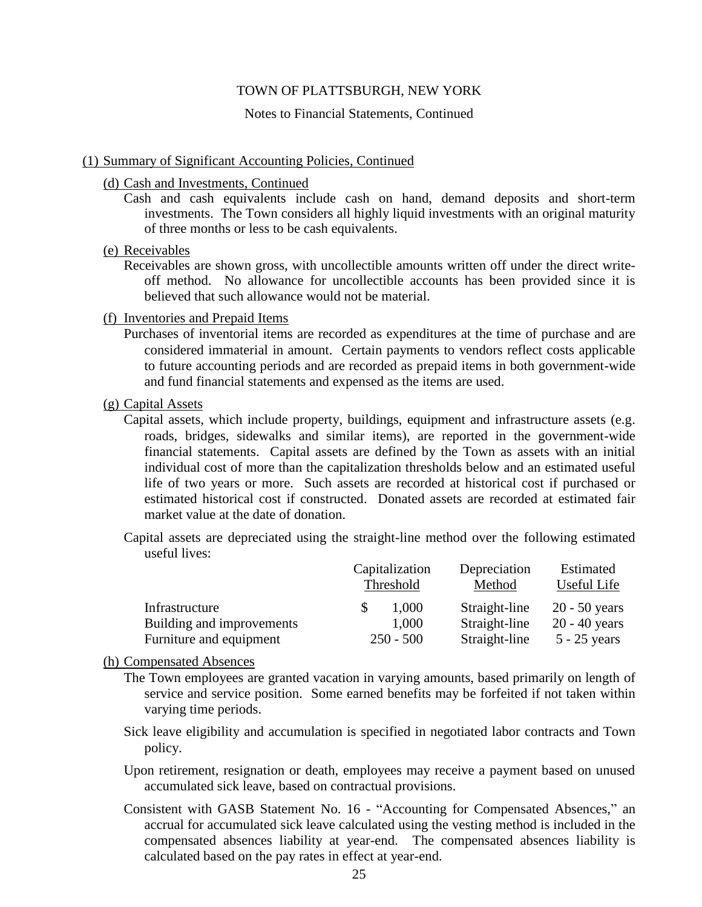#### Notes to Financial Statements, Continued

#### (1) Summary of Significant Accounting Policies, Continued

- (d) Cash and Investments, Continued
	- Cash and cash equivalents include cash on hand, demand deposits and short-term investments. The Town considers all highly liquid investments with an original maturity of three months or less to be cash equivalents.
- (e) Receivables
	- Receivables are shown gross, with uncollectible amounts written off under the direct writeoff method. No allowance for uncollectible accounts has been provided since it is believed that such allowance would not be material.
- (f) Inventories and Prepaid Items
	- Purchases of inventorial items are recorded as expenditures at the time of purchase and are considered immaterial in amount. Certain payments to vendors reflect costs applicable to future accounting periods and are recorded as prepaid items in both government-wide and fund financial statements and expensed as the items are used.
- (g) Capital Assets
	- Capital assets, which include property, buildings, equipment and infrastructure assets (e.g. roads, bridges, sidewalks and similar items), are reported in the government-wide financial statements. Capital assets are defined by the Town as assets with an initial individual cost of more than the capitalization thresholds below and an estimated useful life of two years or more. Such assets are recorded at historical cost if purchased or estimated historical cost if constructed. Donated assets are recorded at estimated fair market value at the date of donation.
	- Capital assets are depreciated using the straight-line method over the following estimated useful lives:

|                           |    | Capitalization | Depreciation  | Estimated       |
|---------------------------|----|----------------|---------------|-----------------|
|                           |    | Threshold      | Method        | Useful Life     |
| Infrastructure            | S. | 1,000          | Straight-line | $20 - 50$ years |
| Building and improvements |    | 1,000          | Straight-line | $20 - 40$ years |
| Furniture and equipment   |    | $250 - 500$    | Straight-line | $5 - 25$ years  |

#### (h) Compensated Absences

- The Town employees are granted vacation in varying amounts, based primarily on length of service and service position. Some earned benefits may be forfeited if not taken within varying time periods.
- Sick leave eligibility and accumulation is specified in negotiated labor contracts and Town policy.
- Upon retirement, resignation or death, employees may receive a payment based on unused accumulated sick leave, based on contractual provisions.
- Consistent with GASB Statement No. 16 "Accounting for Compensated Absences," an accrual for accumulated sick leave calculated using the vesting method is included in the compensated absences liability at year-end. The compensated absences liability is calculated based on the pay rates in effect at year-end.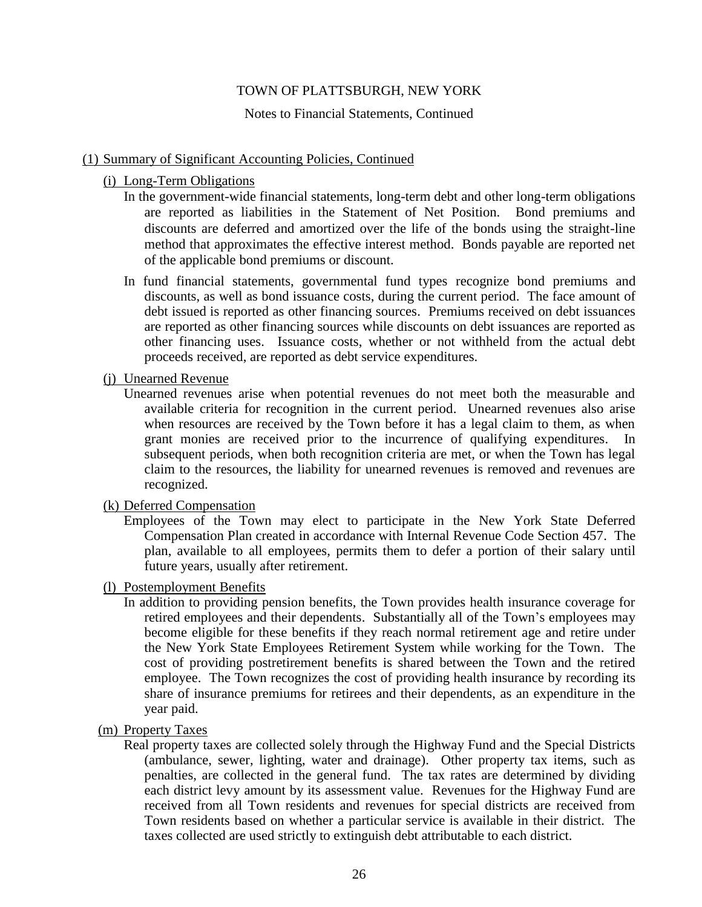#### Notes to Financial Statements, Continued

#### (1) Summary of Significant Accounting Policies, Continued

#### (i) Long-Term Obligations

- In the government-wide financial statements, long-term debt and other long-term obligations are reported as liabilities in the Statement of Net Position. Bond premiums and discounts are deferred and amortized over the life of the bonds using the straight-line method that approximates the effective interest method. Bonds payable are reported net of the applicable bond premiums or discount.
- In fund financial statements, governmental fund types recognize bond premiums and discounts, as well as bond issuance costs, during the current period. The face amount of debt issued is reported as other financing sources. Premiums received on debt issuances are reported as other financing sources while discounts on debt issuances are reported as other financing uses. Issuance costs, whether or not withheld from the actual debt proceeds received, are reported as debt service expenditures.
- (j) Unearned Revenue
	- Unearned revenues arise when potential revenues do not meet both the measurable and available criteria for recognition in the current period. Unearned revenues also arise when resources are received by the Town before it has a legal claim to them, as when grant monies are received prior to the incurrence of qualifying expenditures. In subsequent periods, when both recognition criteria are met, or when the Town has legal claim to the resources, the liability for unearned revenues is removed and revenues are recognized.

#### (k) Deferred Compensation

Employees of the Town may elect to participate in the New York State Deferred Compensation Plan created in accordance with Internal Revenue Code Section 457. The plan, available to all employees, permits them to defer a portion of their salary until future years, usually after retirement.

- (l) Postemployment Benefits
	- In addition to providing pension benefits, the Town provides health insurance coverage for retired employees and their dependents. Substantially all of the Town's employees may become eligible for these benefits if they reach normal retirement age and retire under the New York State Employees Retirement System while working for the Town. The cost of providing postretirement benefits is shared between the Town and the retired employee. The Town recognizes the cost of providing health insurance by recording its share of insurance premiums for retirees and their dependents, as an expenditure in the year paid.

#### (m) Property Taxes

Real property taxes are collected solely through the Highway Fund and the Special Districts (ambulance, sewer, lighting, water and drainage). Other property tax items, such as penalties, are collected in the general fund. The tax rates are determined by dividing each district levy amount by its assessment value. Revenues for the Highway Fund are received from all Town residents and revenues for special districts are received from Town residents based on whether a particular service is available in their district. The taxes collected are used strictly to extinguish debt attributable to each district.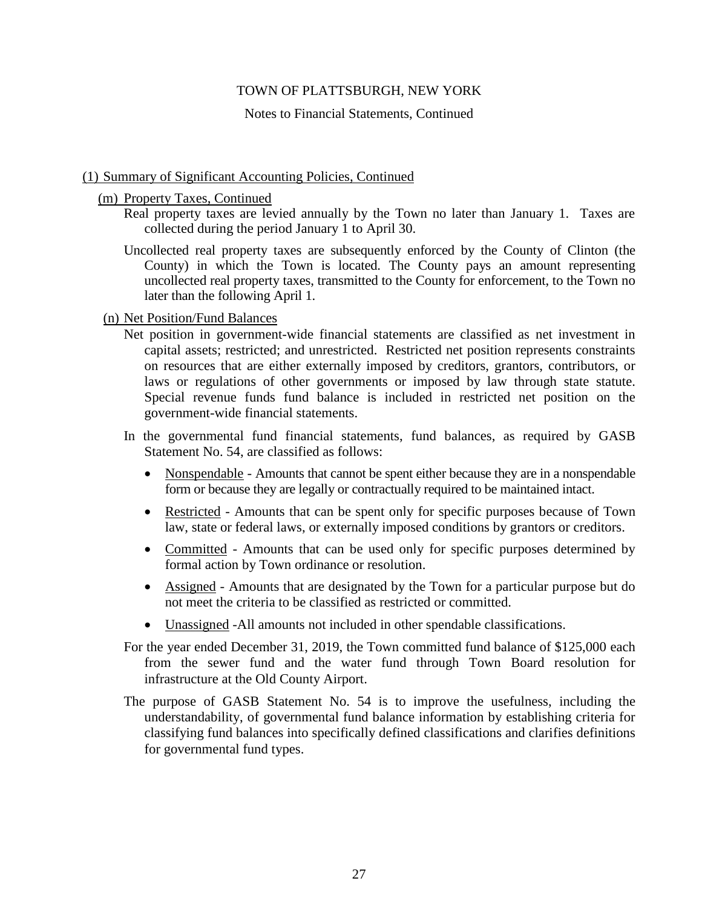### Notes to Financial Statements, Continued

### (1) Summary of Significant Accounting Policies, Continued

#### (m) Property Taxes, Continued

- Real property taxes are levied annually by the Town no later than January 1. Taxes are collected during the period January 1 to April 30.
- Uncollected real property taxes are subsequently enforced by the County of Clinton (the County) in which the Town is located. The County pays an amount representing uncollected real property taxes, transmitted to the County for enforcement, to the Town no later than the following April 1.

### (n) Net Position/Fund Balances

- Net position in government-wide financial statements are classified as net investment in capital assets; restricted; and unrestricted. Restricted net position represents constraints on resources that are either externally imposed by creditors, grantors, contributors, or laws or regulations of other governments or imposed by law through state statute. Special revenue funds fund balance is included in restricted net position on the government-wide financial statements.
- In the governmental fund financial statements, fund balances, as required by GASB Statement No. 54, are classified as follows:
	- Nonspendable Amounts that cannot be spent either because they are in a nonspendable form or because they are legally or contractually required to be maintained intact.
	- Restricted Amounts that can be spent only for specific purposes because of Town law, state or federal laws, or externally imposed conditions by grantors or creditors.
	- Committed Amounts that can be used only for specific purposes determined by formal action by Town ordinance or resolution.
	- Assigned Amounts that are designated by the Town for a particular purpose but do not meet the criteria to be classified as restricted or committed.
	- Unassigned -All amounts not included in other spendable classifications.
- For the year ended December 31, 2019, the Town committed fund balance of \$125,000 each from the sewer fund and the water fund through Town Board resolution for infrastructure at the Old County Airport.
- The purpose of GASB Statement No. 54 is to improve the usefulness, including the understandability, of governmental fund balance information by establishing criteria for classifying fund balances into specifically defined classifications and clarifies definitions for governmental fund types.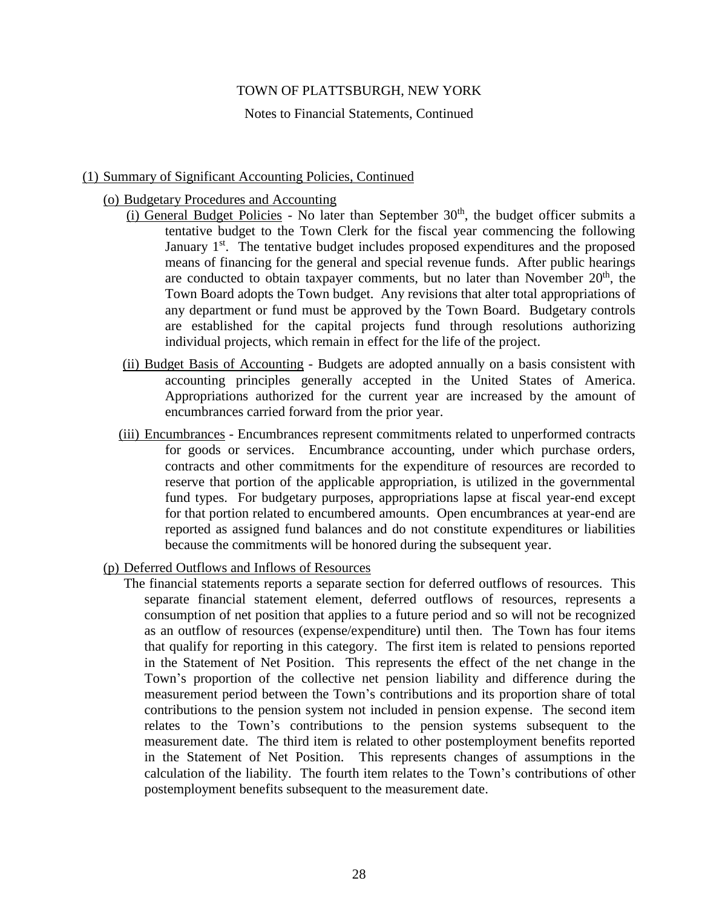#### Notes to Financial Statements, Continued

#### (1) Summary of Significant Accounting Policies, Continued

- (o) Budgetary Procedures and Accounting
	- (i) General Budget Policies No later than September  $30<sup>th</sup>$ , the budget officer submits a tentative budget to the Town Clerk for the fiscal year commencing the following January 1<sup>st</sup>. The tentative budget includes proposed expenditures and the proposed means of financing for the general and special revenue funds. After public hearings are conducted to obtain taxpayer comments, but no later than November  $20<sup>th</sup>$ , the Town Board adopts the Town budget. Any revisions that alter total appropriations of any department or fund must be approved by the Town Board. Budgetary controls are established for the capital projects fund through resolutions authorizing individual projects, which remain in effect for the life of the project.
	- (ii) Budget Basis of Accounting Budgets are adopted annually on a basis consistent with accounting principles generally accepted in the United States of America. Appropriations authorized for the current year are increased by the amount of encumbrances carried forward from the prior year.
	- (iii) Encumbrances Encumbrances represent commitments related to unperformed contracts for goods or services. Encumbrance accounting, under which purchase orders, contracts and other commitments for the expenditure of resources are recorded to reserve that portion of the applicable appropriation, is utilized in the governmental fund types. For budgetary purposes, appropriations lapse at fiscal year-end except for that portion related to encumbered amounts. Open encumbrances at year-end are reported as assigned fund balances and do not constitute expenditures or liabilities because the commitments will be honored during the subsequent year.
- (p) Deferred Outflows and Inflows of Resources
	- The financial statements reports a separate section for deferred outflows of resources. This separate financial statement element, deferred outflows of resources, represents a consumption of net position that applies to a future period and so will not be recognized as an outflow of resources (expense/expenditure) until then. The Town has four items that qualify for reporting in this category. The first item is related to pensions reported in the Statement of Net Position. This represents the effect of the net change in the Town's proportion of the collective net pension liability and difference during the measurement period between the Town's contributions and its proportion share of total contributions to the pension system not included in pension expense. The second item relates to the Town's contributions to the pension systems subsequent to the measurement date. The third item is related to other postemployment benefits reported in the Statement of Net Position. This represents changes of assumptions in the calculation of the liability. The fourth item relates to the Town's contributions of other postemployment benefits subsequent to the measurement date.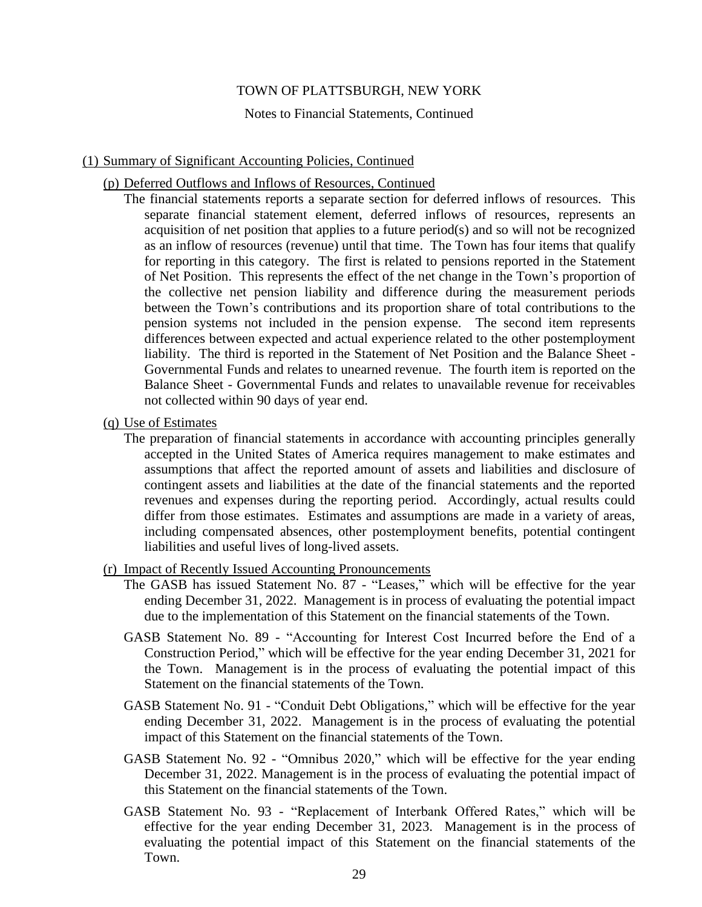#### Notes to Financial Statements, Continued

#### (1) Summary of Significant Accounting Policies, Continued

- (p) Deferred Outflows and Inflows of Resources, Continued
	- The financial statements reports a separate section for deferred inflows of resources. This separate financial statement element, deferred inflows of resources, represents an acquisition of net position that applies to a future period(s) and so will not be recognized as an inflow of resources (revenue) until that time. The Town has four items that qualify for reporting in this category. The first is related to pensions reported in the Statement of Net Position. This represents the effect of the net change in the Town's proportion of the collective net pension liability and difference during the measurement periods between the Town's contributions and its proportion share of total contributions to the pension systems not included in the pension expense. The second item represents differences between expected and actual experience related to the other postemployment liability. The third is reported in the Statement of Net Position and the Balance Sheet - Governmental Funds and relates to unearned revenue. The fourth item is reported on the Balance Sheet - Governmental Funds and relates to unavailable revenue for receivables not collected within 90 days of year end.
- (q) Use of Estimates
	- The preparation of financial statements in accordance with accounting principles generally accepted in the United States of America requires management to make estimates and assumptions that affect the reported amount of assets and liabilities and disclosure of contingent assets and liabilities at the date of the financial statements and the reported revenues and expenses during the reporting period. Accordingly, actual results could differ from those estimates. Estimates and assumptions are made in a variety of areas, including compensated absences, other postemployment benefits, potential contingent liabilities and useful lives of long-lived assets.
- (r) Impact of Recently Issued Accounting Pronouncements
	- The GASB has issued Statement No. 87 "Leases," which will be effective for the year ending December 31, 2022. Management is in process of evaluating the potential impact due to the implementation of this Statement on the financial statements of the Town.
	- GASB Statement No. 89 "Accounting for Interest Cost Incurred before the End of a Construction Period," which will be effective for the year ending December 31, 2021 for the Town. Management is in the process of evaluating the potential impact of this Statement on the financial statements of the Town.
	- GASB Statement No. 91 "Conduit Debt Obligations," which will be effective for the year ending December 31, 2022. Management is in the process of evaluating the potential impact of this Statement on the financial statements of the Town.
	- GASB Statement No. 92 "Omnibus 2020," which will be effective for the year ending December 31, 2022. Management is in the process of evaluating the potential impact of this Statement on the financial statements of the Town.
	- GASB Statement No. 93 "Replacement of Interbank Offered Rates," which will be effective for the year ending December 31, 2023. Management is in the process of evaluating the potential impact of this Statement on the financial statements of the Town.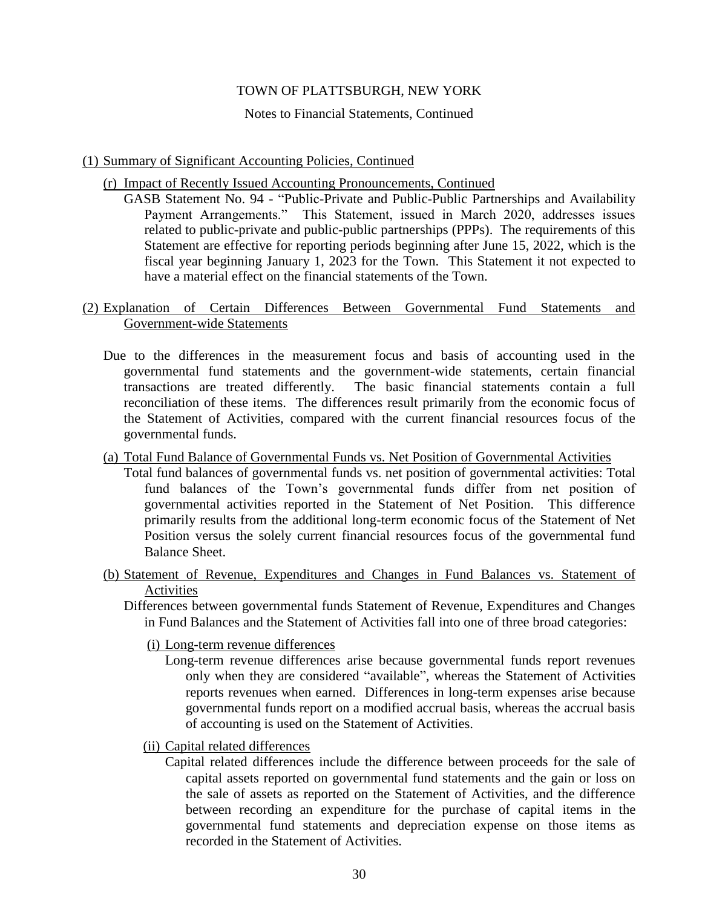## Notes to Financial Statements, Continued

### (1) Summary of Significant Accounting Policies, Continued

- (r) Impact of Recently Issued Accounting Pronouncements, Continued
	- GASB Statement No. 94 "Public-Private and Public-Public Partnerships and Availability Payment Arrangements." This Statement, issued in March 2020, addresses issues related to public-private and public-public partnerships (PPPs). The requirements of this Statement are effective for reporting periods beginning after June 15, 2022, which is the fiscal year beginning January 1, 2023 for the Town. This Statement it not expected to have a material effect on the financial statements of the Town.

# (2) Explanation of Certain Differences Between Governmental Fund Statements and Government-wide Statements

- Due to the differences in the measurement focus and basis of accounting used in the governmental fund statements and the government-wide statements, certain financial transactions are treated differently. The basic financial statements contain a full reconciliation of these items. The differences result primarily from the economic focus of the Statement of Activities, compared with the current financial resources focus of the governmental funds.
- (a) Total Fund Balance of Governmental Funds [vs. Net](http://vs.net/) Position of Governmental Activities
	- Total fund balances of governmental funds vs. net position of governmental activities: Total fund balances of the Town's governmental funds differ from net position of governmental activities reported in the Statement of Net Position. This difference primarily results from the additional long-term economic focus of the Statement of Net Position versus the solely current financial resources focus of the governmental fund Balance Sheet.
- (b) Statement of Revenue, Expenditures and Changes in Fund Balances vs. Statement of Activities
	- Differences between governmental funds Statement of Revenue, Expenditures and Changes in Fund Balances and the Statement of Activities fall into one of three broad categories:

(i) Long-term revenue differences

- Long-term revenue differences arise because governmental funds report revenues only when they are considered "available", whereas the Statement of Activities reports revenues when earned. Differences in long-term expenses arise because governmental funds report on a modified accrual basis, whereas the accrual basis of accounting is used on the Statement of Activities.
- (ii) Capital related differences
	- Capital related differences include the difference between proceeds for the sale of capital assets reported on governmental fund statements and the gain or loss on the sale of assets as reported on the Statement of Activities, and the difference between recording an expenditure for the purchase of capital items in the governmental fund statements and depreciation expense on those items as recorded in the Statement of Activities.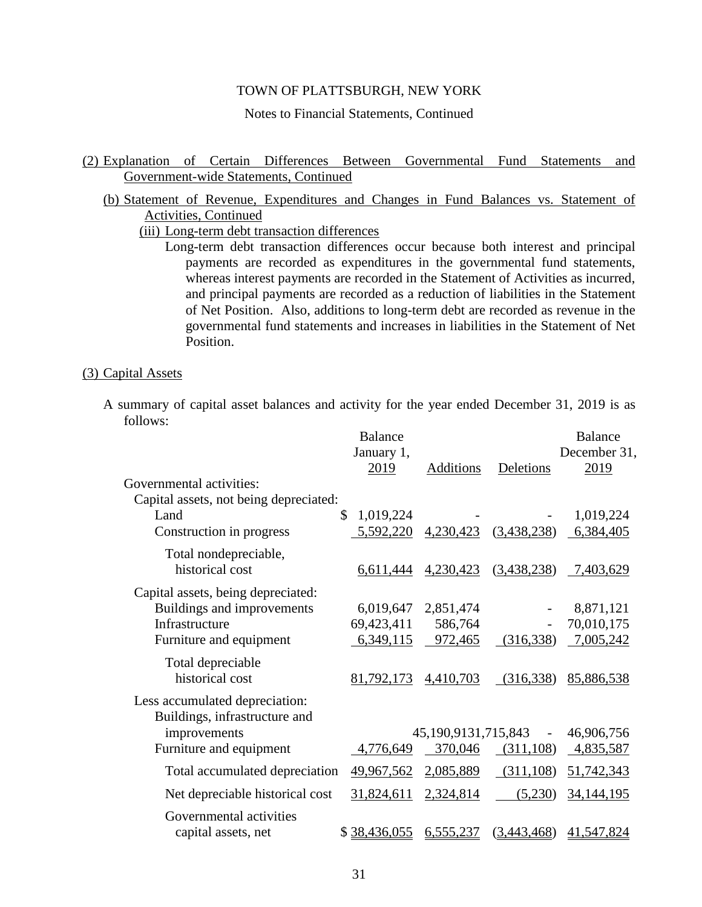# Notes to Financial Statements, Continued

(2) Explanation of Certain Differences Between Governmental Fund Statements and Government-wide Statements, Continued

# (b) Statement of Revenue, Expenditures and Changes in Fund Balances vs. Statement of Activities, Continued

(iii) Long-term debt transaction differences

Long-term debt transaction differences occur because both interest and principal payments are recorded as expenditures in the governmental fund statements, whereas interest payments are recorded in the Statement of Activities as incurred, and principal payments are recorded as a reduction of liabilities in the Statement of Net Position. Also, additions to long-term debt are recorded as revenue in the governmental fund statements and increases in liabilities in the Statement of Net Position.

# (3) Capital Assets

A summary of capital asset balances and activity for the year ended December 31, 2019 is as follows:

|                                        | <b>Balance</b>  |                     |             | <b>Balance</b> |
|----------------------------------------|-----------------|---------------------|-------------|----------------|
|                                        | January 1,      |                     |             | December 31,   |
|                                        | 2019            | Additions           | Deletions   | 2019           |
| Governmental activities:               |                 |                     |             |                |
| Capital assets, not being depreciated: |                 |                     |             |                |
| Land                                   | \$<br>1,019,224 |                     |             | 1,019,224      |
| Construction in progress               | 5,592,220       | 4,230,423           | (3,438,238) | 6,384,405      |
| Total nondepreciable,                  |                 |                     |             |                |
| historical cost                        | 6,611,444       | 4,230,423           | (3,438,238) | 7,403,629      |
| Capital assets, being depreciated:     |                 |                     |             |                |
| Buildings and improvements             | 6,019,647       | 2,851,474           |             | 8,871,121      |
| Infrastructure                         | 69,423,411      | 586,764             |             | 70,010,175     |
| Furniture and equipment                | 6,349,115       | 972,465             | (316, 338)  | 7,005,242      |
| Total depreciable                      |                 |                     |             |                |
| historical cost                        | 81,792,173      | 4,410,703           | (316, 338)  | 85,886,538     |
| Less accumulated depreciation:         |                 |                     |             |                |
| Buildings, infrastructure and          |                 |                     |             |                |
| improvements                           |                 | 45,190,9131,715,843 |             | 46,906,756     |
| Furniture and equipment                | 4,776,649       | 370,046             | (311,108)   | 4,835,587      |
| Total accumulated depreciation         | 49,967,562      | 2,085,889           | (311,108)   | 51,742,343     |
| Net depreciable historical cost        | 31,824,611      | 2,324,814           | (5,230)     | 34, 144, 195   |
| Governmental activities                |                 |                     |             |                |
| capital assets, net                    | \$38,436,055    | 6,555,237           | (3,443,468) | 41,547,824     |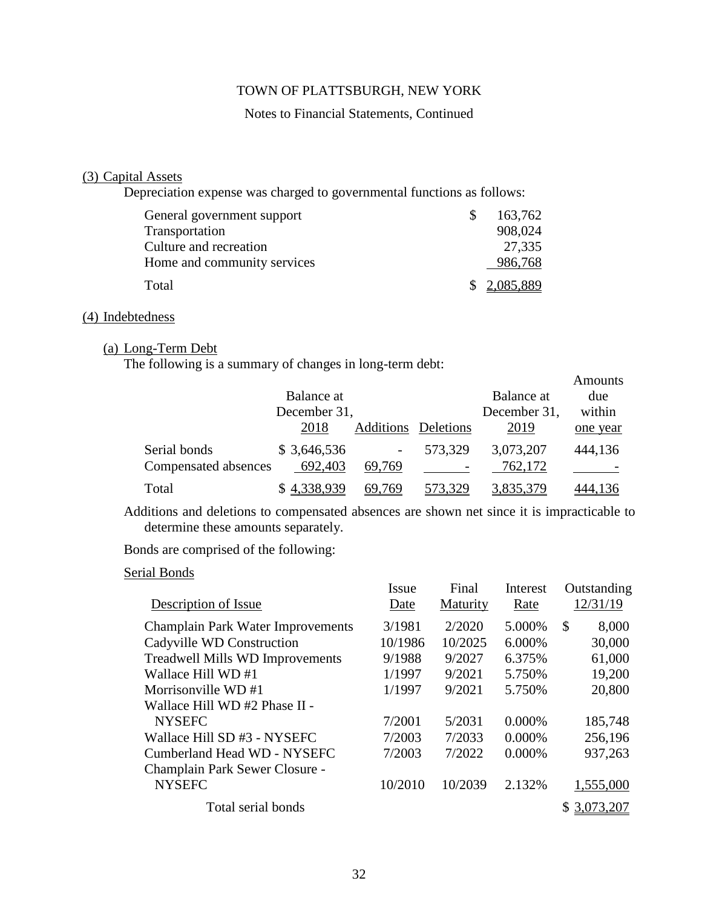## Notes to Financial Statements, Continued

# (3) Capital Assets

Depreciation expense was charged to governmental functions as follows:

| General government support  | 163,762     |
|-----------------------------|-------------|
| Transportation              | 908,024     |
| Culture and recreation      | 27,335      |
| Home and community services | 986,768     |
| Total                       | \$2,085,889 |

# (4) Indebtedness

#### (a) Long-Term Debt

The following is a summary of changes in long-term debt:

|                                      | Balance at<br>December 31, |           |           | Balance at<br>December 31, | Amounts<br>due<br>within |
|--------------------------------------|----------------------------|-----------|-----------|----------------------------|--------------------------|
|                                      | 2018                       | Additions | Deletions | 2019                       | <u>one</u> year          |
| Serial bonds<br>Compensated absences | \$3,646,536<br>692,403     | 69,769    | 573,329   | 3,073,207<br>762,172       | 444,136                  |
| Total                                | \$4,338,939                | 69,769    | 573,329   | 3,835,379                  |                          |

Additions and deletions to compensated absences are shown net since it is impracticable to determine these amounts separately.

Bonds are comprised of the following:

### Serial Bonds

| Description of Issue                     | Issue<br>Date | Final<br>Maturity | Interest<br>Rate | Outstanding<br>12/31/19 |
|------------------------------------------|---------------|-------------------|------------------|-------------------------|
| <b>Champlain Park Water Improvements</b> | 3/1981        | 2/2020            | 5.000%           | 8,000<br>\$             |
| Cadyville WD Construction                | 10/1986       | 10/2025           | 6.000%           | 30,000                  |
| <b>Treadwell Mills WD Improvements</b>   | 9/1988        | 9/2027            | 6.375%           | 61,000                  |
| Wallace Hill WD #1                       | 1/1997        | 9/2021            | 5.750%           | 19,200                  |
| Morrisonville WD #1                      | 1/1997        | 9/2021            | 5.750%           | 20,800                  |
| Wallace Hill WD #2 Phase II -            |               |                   |                  |                         |
| <b>NYSEFC</b>                            | 7/2001        | 5/2031            | 0.000%           | 185,748                 |
| Wallace Hill SD #3 - NYSEFC              | 7/2003        | 7/2033            | 0.000%           | 256,196                 |
| Cumberland Head WD - NYSEFC              | 7/2003        | 7/2022            | 0.000%           | 937,263                 |
| Champlain Park Sewer Closure -           |               |                   |                  |                         |
| <b>NYSEFC</b>                            | 10/2010       | 10/2039           | 2.132%           | 1,555,000               |
| Total serial bonds                       |               |                   |                  | \$3,073                 |
|                                          |               |                   |                  |                         |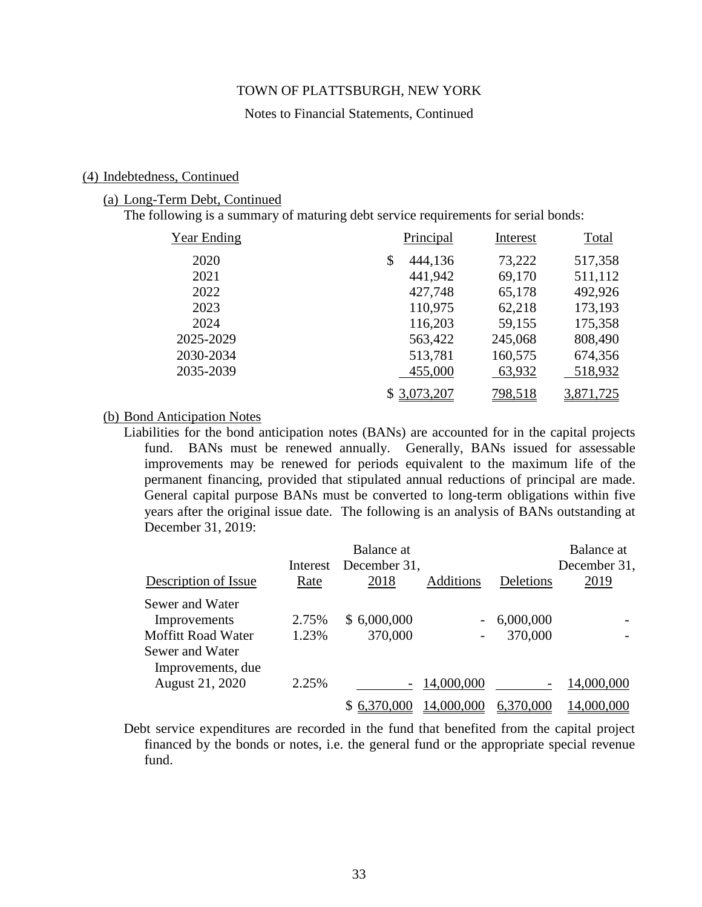## Notes to Financial Statements, Continued

## (4) Indebtedness, Continued

#### (a) Long-Term Debt, Continued

The following is a summary of maturing debt service requirements for serial bonds:

| Year Ending | Principal     | Interest | Total     |
|-------------|---------------|----------|-----------|
| 2020        | 444,136<br>\$ | 73,222   | 517,358   |
| 2021        | 441,942       | 69,170   | 511,112   |
| 2022        | 427,748       | 65,178   | 492,926   |
| 2023        | 110,975       | 62,218   | 173,193   |
| 2024        | 116,203       | 59,155   | 175,358   |
| 2025-2029   | 563,422       | 245,068  | 808,490   |
| 2030-2034   | 513,781       | 160,575  | 674,356   |
| 2035-2039   | 455,000       | 63,932   | 518,932   |
|             | \$3,073,207   | 798,518  | 3,871,725 |

## (b) Bond Anticipation Notes

Liabilities for the bond anticipation notes (BANs) are accounted for in the capital projects fund. BANs must be renewed annually. Generally, BANs issued for assessable improvements may be renewed for periods equivalent to the maximum life of the permanent financing, provided that stipulated annual reductions of principal are made. General capital purpose BANs must be converted to long-term obligations within five years after the original issue date. The following is an analysis of BANs outstanding at December 31, 2019:

|                           |          | Balance at   |                  |           | Balance at   |
|---------------------------|----------|--------------|------------------|-----------|--------------|
|                           | Interest | December 31, |                  |           | December 31, |
| Description of Issue      | Rate     | 2018         | <b>Additions</b> | Deletions | 2019         |
| Sewer and Water           |          |              |                  |           |              |
| Improvements              | 2.75%    | \$6,000,000  | -                | 6,000,000 |              |
| <b>Moffitt Road Water</b> | 1.23%    | 370,000      |                  | 370,000   |              |
| Sewer and Water           |          |              |                  |           |              |
| Improvements, due         |          |              |                  |           |              |
| August 21, 2020           | 2.25%    |              | 14,000,000       |           | 14,000,000   |
|                           |          |              | 14,000,000       | 6,370,000 | 14,000,000   |

Debt service expenditures are recorded in the fund that benefited from the capital project financed by the bonds or notes, i.e. the general fund or the appropriate special revenue fund.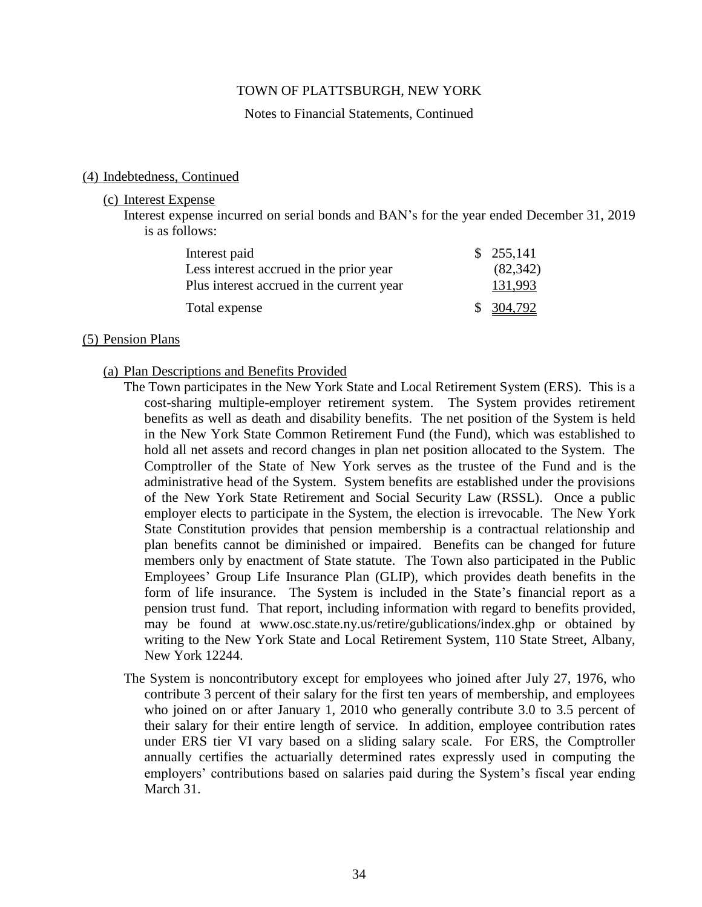#### Notes to Financial Statements, Continued

### (4) Indebtedness, Continued

#### (c) Interest Expense

Interest expense incurred on serial bonds and BAN's for the year ended December 31, 2019 is as follows:

| Interest paid                             | \$255,141 |
|-------------------------------------------|-----------|
| Less interest accrued in the prior year   | (82, 342) |
| Plus interest accrued in the current year | 131,993   |
| Total expense                             | \$304,792 |

#### (5) Pension Plans

#### (a) Plan Descriptions and Benefits Provided

- The Town participates in the New York State and Local Retirement System (ERS). This is a cost-sharing multiple-employer retirement system. The System provides retirement benefits as well as death and disability benefits. The net position of the System is held in the New York State Common Retirement Fund (the Fund), which was established to hold all net assets and record changes in plan net position allocated to the System. The Comptroller of the State of New York serves as the trustee of the Fund and is the administrative head of the System. System benefits are established under the provisions of the New York State Retirement and Social Security Law (RSSL). Once a public employer elects to participate in the System, the election is irrevocable. The New York State Constitution provides that pension membership is a contractual relationship and plan benefits cannot be diminished or impaired. Benefits can be changed for future members only by enactment of State statute. The Town also participated in the Public Employees' Group Life Insurance Plan (GLIP), which provides death benefits in the form of life insurance. The System is included in the State's financial report as a pension trust fund. That report, including information with regard to benefits provided, may be found at www.osc.state.ny.us/retire/gublications/index.ghp or obtained by writing to the New York State and Local Retirement System, 110 State Street, Albany, New York 12244.
- The System is noncontributory except for employees who joined after July 27, 1976, who contribute 3 percent of their salary for the first ten years of membership, and employees who joined on or after January 1, 2010 who generally contribute 3.0 to 3.5 percent of their salary for their entire length of service. In addition, employee contribution rates under ERS tier VI vary based on a sliding salary scale. For ERS, the Comptroller annually certifies the actuarially determined rates expressly used in computing the employers' contributions based on salaries paid during the System's fiscal year ending March 31.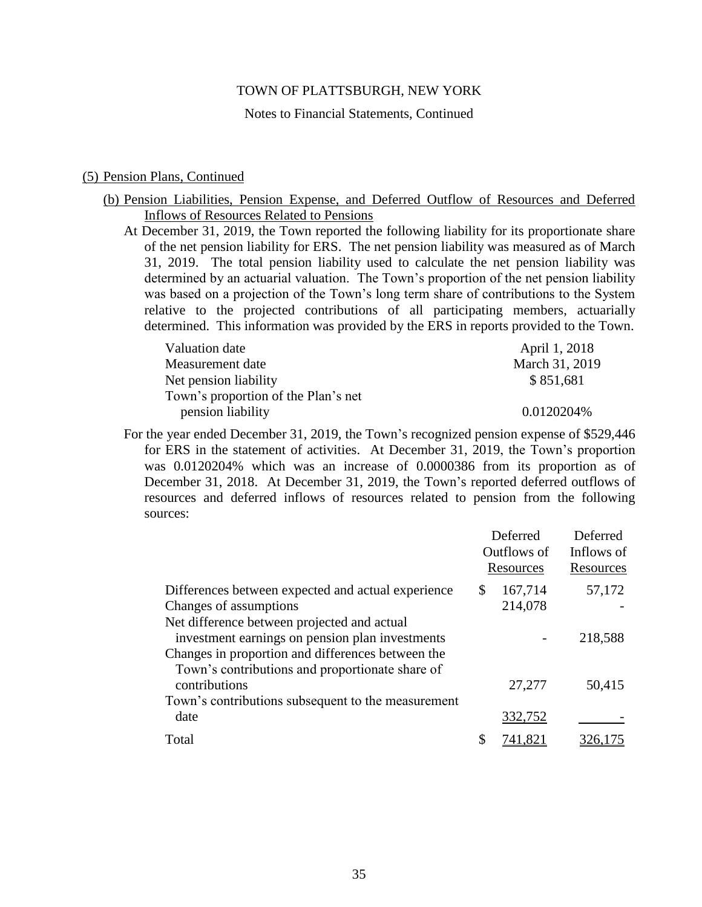#### Notes to Financial Statements, Continued

#### (5) Pension Plans, Continued

- (b) Pension Liabilities, Pension Expense, and Deferred Outflow of Resources and Deferred Inflows of Resources Related to Pensions
	- At December 31, 2019, the Town reported the following liability for its proportionate share of the net pension liability for ERS. The net pension liability was measured as of March 31, 2019. The total pension liability used to calculate the net pension liability was determined by an actuarial valuation. The Town's proportion of the net pension liability was based on a projection of the Town's long term share of contributions to the System relative to the projected contributions of all participating members, actuarially determined. This information was provided by the ERS in reports provided to the Town.

| Valuation date                      | April 1, 2018  |
|-------------------------------------|----------------|
| Measurement date                    | March 31, 2019 |
| Net pension liability               | \$851,681      |
| Town's proportion of the Plan's net |                |
| pension liability                   | 0.0120204%     |

For the year ended December 31, 2019, the Town's recognized pension expense of \$529,446 for ERS in the statement of activities. At December 31, 2019, the Town's proportion was 0.0120204% which was an increase of 0.0000386 from its proportion as of December 31, 2018. At December 31, 2019, the Town's reported deferred outflows of resources and deferred inflows of resources related to pension from the following sources:

|                                                                                                                       |   | Deferred<br>Outflows of<br>Resources | Deferred<br>Inflows of<br>Resources |
|-----------------------------------------------------------------------------------------------------------------------|---|--------------------------------------|-------------------------------------|
| Differences between expected and actual experience                                                                    | S | 167,714                              | 57,172                              |
| Changes of assumptions                                                                                                |   | 214,078                              |                                     |
| Net difference between projected and actual<br>investment earnings on pension plan investments                        |   |                                      | 218,588                             |
| Changes in proportion and differences between the<br>Town's contributions and proportionate share of<br>contributions |   | 27,277                               | 50,415                              |
| Town's contributions subsequent to the measurement<br>date                                                            |   | 332,752                              |                                     |
| Total                                                                                                                 |   | 741,821                              | 326.I                               |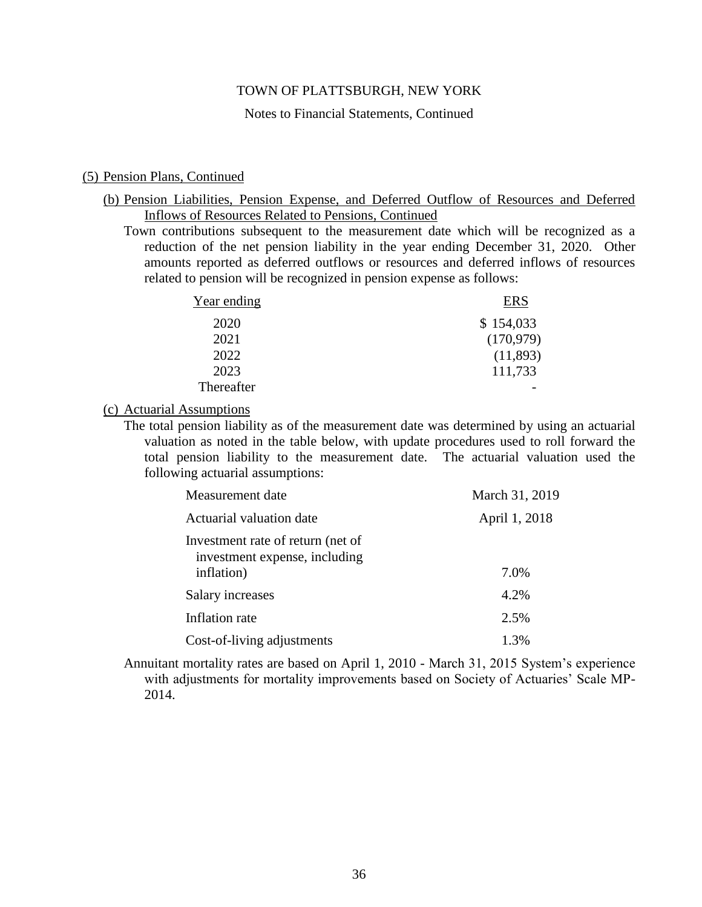# Notes to Financial Statements, Continued

# (5) Pension Plans, Continued

#### (b) Pension Liabilities, Pension Expense, and Deferred Outflow of Resources and Deferred Inflows of Resources Related to Pensions, Continued

Town contributions subsequent to the measurement date which will be recognized as a reduction of the net pension liability in the year ending December 31, 2020. Other amounts reported as deferred outflows or resources and deferred inflows of resources related to pension will be recognized in pension expense as follows:

| Year ending | ERS        |
|-------------|------------|
| 2020        | \$154,033  |
| 2021        | (170, 979) |
| 2022        | (11,893)   |
| 2023        | 111,733    |
| Thereafter  |            |

#### (c) Actuarial Assumptions

The total pension liability as of the measurement date was determined by using an actuarial valuation as noted in the table below, with update procedures used to roll forward the total pension liability to the measurement date. The actuarial valuation used the following actuarial assumptions:

| Measurement date                                                                 | March 31, 2019 |
|----------------------------------------------------------------------------------|----------------|
| Actuarial valuation date                                                         | April 1, 2018  |
| Investment rate of return (net of<br>investment expense, including<br>inflation) | 7.0%           |
| Salary increases                                                                 | 4.2%           |
| Inflation rate                                                                   | 2.5%           |
| Cost-of-living adjustments                                                       | 1.3%           |

Annuitant mortality rates are based on April 1, 2010 - March 31, 2015 System's experience with adjustments for mortality improvements based on Society of Actuaries' Scale MP-2014.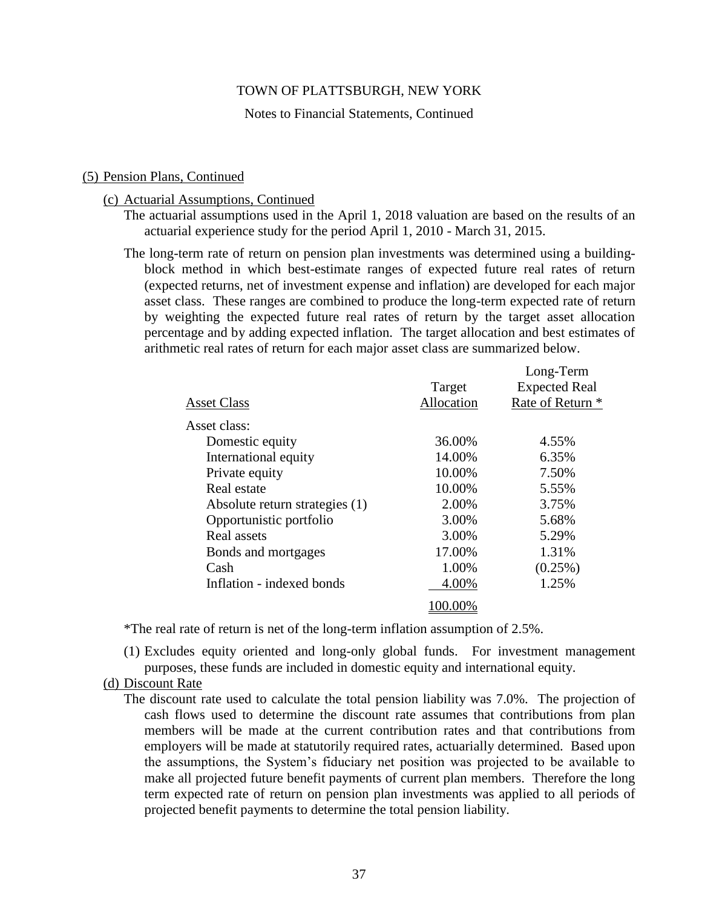Notes to Financial Statements, Continued

#### (5) Pension Plans, Continued

#### (c) Actuarial Assumptions, Continued

The actuarial assumptions used in the April 1, 2018 valuation are based on the results of an actuarial experience study for the period April 1, 2010 - March 31, 2015.

The long-term rate of return on pension plan investments was determined using a buildingblock method in which best-estimate ranges of expected future real rates of return (expected returns, net of investment expense and inflation) are developed for each major asset class. These ranges are combined to produce the long-term expected rate of return by weighting the expected future real rates of return by the target asset allocation percentage and by adding expected inflation. The target allocation and best estimates of arithmetic real rates of return for each major asset class are summarized below.

 $L_{\text{max}}$  T<sub>erm</sub>

|            | Long-Term            |
|------------|----------------------|
| Target     | <b>Expected Real</b> |
| Allocation | Rate of Return *     |
|            |                      |
| 36.00%     | 4.55%                |
| 14.00%     | 6.35%                |
| 10.00%     | 7.50%                |
| 10.00%     | 5.55%                |
| 2.00%      | 3.75%                |
| 3.00%      | 5.68%                |
| 3.00%      | 5.29%                |
| 17.00%     | 1.31%                |
| 1.00%      | $(0.25\%)$           |
| 4.00%      | 1.25%                |
| 100.00%    |                      |
|            |                      |

\*The real rate of return is net of the long-term inflation assumption of 2.5%.

- (1) Excludes equity oriented and long-only global funds. For investment management purposes, these funds are included in domestic equity and international equity.
- (d) Discount Rate
	- The discount rate used to calculate the total pension liability was 7.0%. The projection of cash flows used to determine the discount rate assumes that contributions from plan members will be made at the current contribution rates and that contributions from employers will be made at statutorily required rates, actuarially determined. Based upon the assumptions, the System's fiduciary net position was projected to be available to make all projected future benefit payments of current plan members. Therefore the long term expected rate of return on pension plan investments was applied to all periods of projected benefit payments to determine the total pension liability.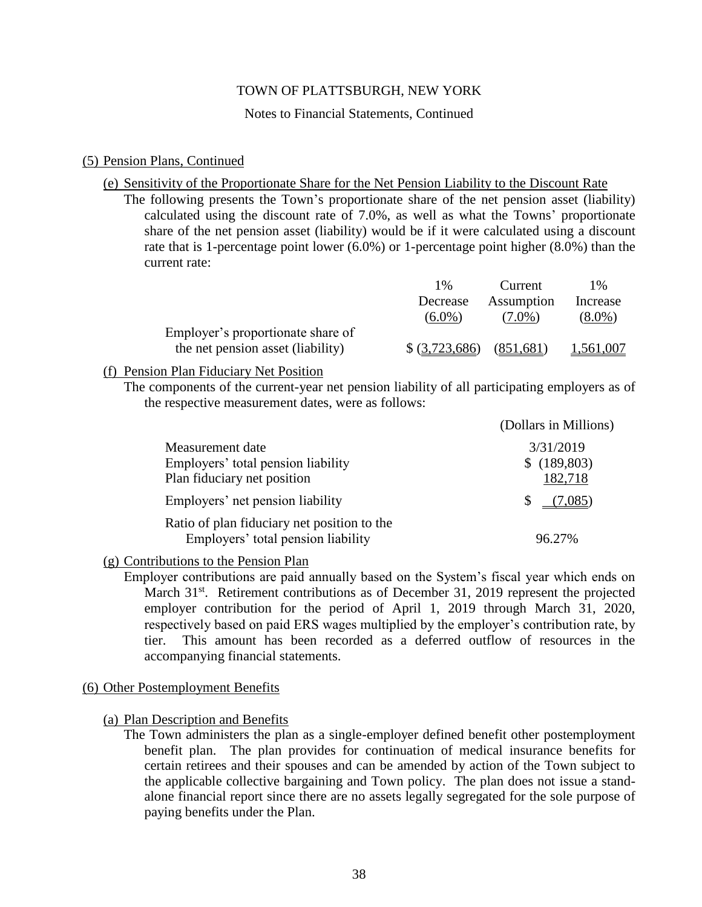#### Notes to Financial Statements, Continued

#### (5) Pension Plans, Continued

(e) Sensitivity of the Proportionate Share for the Net Pension Liability to the Discount Rate

The following presents the Town's proportionate share of the net pension asset (liability) calculated using the discount rate of 7.0%, as well as what the Towns' proportionate share of the net pension asset (liability) would be if it were calculated using a discount rate that is 1-percentage point lower (6.0%) or 1-percentage point higher (8.0%) than the current rate:

|                                   | $1\%$           | Current    | 1%        |
|-----------------------------------|-----------------|------------|-----------|
|                                   | Decrease        | Assumption | Increase  |
|                                   | $(6.0\%)$       | $(7.0\%$   | $(8.0\%)$ |
| Employer's proportionate share of |                 |            |           |
| the net pension asset (liability) | $$$ (3,723,686) | (851,681)  | 1.561.007 |
|                                   |                 |            |           |

# (f) Pension Plan Fiduciary Net Position

The components of the current-year net pension liability of all participating employers as of the respective measurement dates, were as follows:

|                                                                                   | (Dollars in Millions) |
|-----------------------------------------------------------------------------------|-----------------------|
| Measurement date                                                                  | 3/31/2019             |
| Employers' total pension liability                                                | \$(189,803)           |
| Plan fiduciary net position                                                       | 182,718               |
| Employers' net pension liability                                                  | (7,085)<br>\$         |
| Ratio of plan fiduciary net position to the<br>Employers' total pension liability | 96.27%                |

#### (g) Contributions to the Pension Plan

Employer contributions are paid annually based on the System's fiscal year which ends on March 31<sup>st</sup>. Retirement contributions as of December 31, 2019 represent the projected employer contribution for the period of April 1, 2019 through March 31, 2020, respectively based on paid ERS wages multiplied by the employer's contribution rate, by tier. This amount has been recorded as a deferred outflow of resources in the accompanying financial statements.

#### (6) Other Postemployment Benefits

#### (a) Plan Description and Benefits

The Town administers the plan as a single-employer defined benefit other postemployment benefit plan. The plan provides for continuation of medical insurance benefits for certain retirees and their spouses and can be amended by action of the Town subject to the applicable collective bargaining and Town policy. The plan does not issue a standalone financial report since there are no assets legally segregated for the sole purpose of paying benefits under the Plan.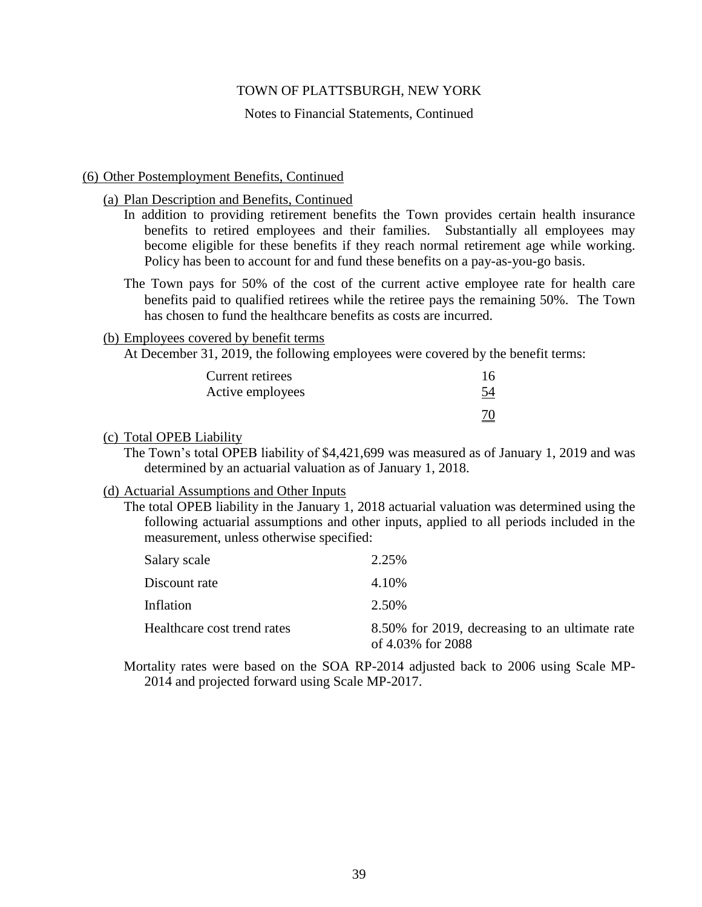#### Notes to Financial Statements, Continued

#### (6) Other Postemployment Benefits, Continued

#### (a) Plan Description and Benefits, Continued

- In addition to providing retirement benefits the Town provides certain health insurance benefits to retired employees and their families. Substantially all employees may become eligible for these benefits if they reach normal retirement age while working. Policy has been to account for and fund these benefits on a pay-as-you-go basis.
- The Town pays for 50% of the cost of the current active employee rate for health care benefits paid to qualified retirees while the retiree pays the remaining 50%. The Town has chosen to fund the healthcare benefits as costs are incurred.

#### (b) Employees covered by benefit terms

At December 31, 2019, the following employees were covered by the benefit terms:

| Current retirees | 16        |
|------------------|-----------|
| Active employees | <u>54</u> |
|                  | 70        |

#### (c) Total OPEB Liability

The Town's total OPEB liability of \$4,421,699 was measured as of January 1, 2019 and was determined by an actuarial valuation as of January 1, 2018.

## (d) Actuarial Assumptions and Other Inputs

The total OPEB liability in the January 1, 2018 actuarial valuation was determined using the following actuarial assumptions and other inputs, applied to all periods included in the measurement, unless otherwise specified:

| Salary scale                | 2.25%                                                               |
|-----------------------------|---------------------------------------------------------------------|
| Discount rate               | 4.10%                                                               |
| Inflation                   | 2.50%                                                               |
| Healthcare cost trend rates | 8.50% for 2019, decreasing to an ultimate rate<br>of 4.03% for 2088 |

Mortality rates were based on the SOA RP-2014 adjusted back to 2006 using Scale MP-2014 and projected forward using Scale MP-2017.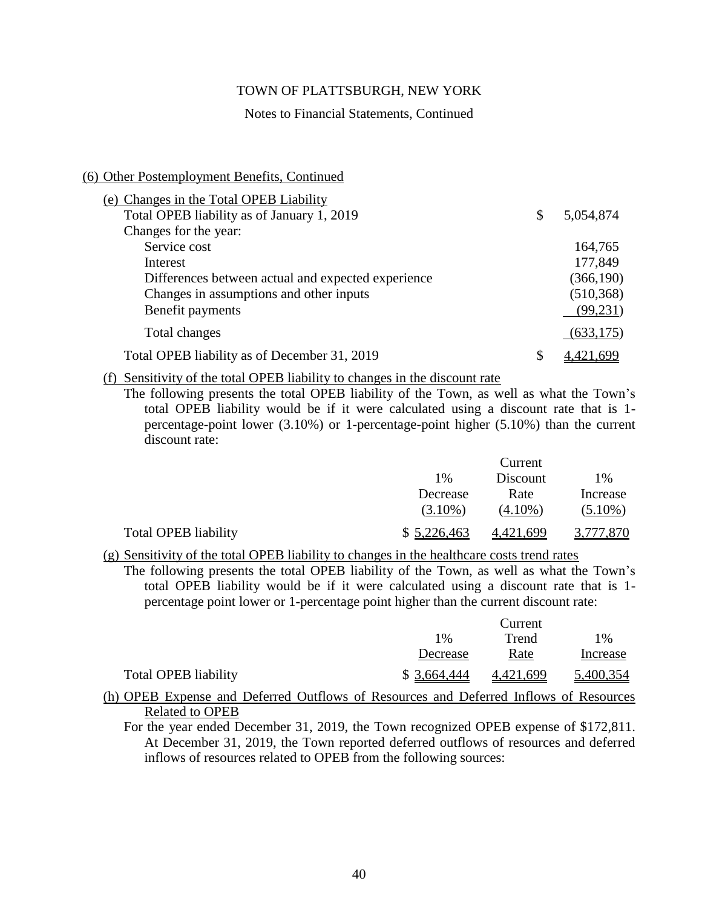#### Notes to Financial Statements, Continued

### (6) Other Postemployment Benefits, Continued

| (e) Changes in the Total OPEB Liability            |                 |
|----------------------------------------------------|-----------------|
| Total OPEB liability as of January 1, 2019         | \$<br>5,054,874 |
| Changes for the year:                              |                 |
| Service cost                                       | 164,765         |
| Interest                                           | 177,849         |
| Differences between actual and expected experience | (366, 190)      |
| Changes in assumptions and other inputs            | (510, 368)      |
| Benefit payments                                   | (99, 231)       |
| Total changes                                      | (633, 175)      |
| Total OPEB liability as of December 31, 2019       | \$              |
|                                                    |                 |

(f) Sensitivity of the total OPEB liability to changes in the discount rate

The following presents the total OPEB liability of the Town, as well as what the Town's total OPEB liability would be if it were calculated using a discount rate that is 1 percentage-point lower (3.10%) or 1-percentage-point higher (5.10%) than the current discount rate:

|                             | Current     |            |            |
|-----------------------------|-------------|------------|------------|
|                             | 1%          | Discount   | 1%         |
|                             | Decrease    | Rate       | Increase   |
|                             | $(3.10\%)$  | $(4.10\%)$ | $(5.10\%)$ |
| <b>Total OPEB liability</b> | \$5,226,463 | 4,421,699  | 3,777,870  |

(g) Sensitivity of the total OPEB liability to changes in the healthcare costs trend rates

The following presents the total OPEB liability of the Town, as well as what the Town's total OPEB liability would be if it were calculated using a discount rate that is 1 percentage point lower or 1-percentage point higher than the current discount rate:

|                             |             | Current   |           |
|-----------------------------|-------------|-----------|-----------|
|                             | 1%          | Trend     | 1%        |
|                             | Decrease    | Rate      | Increase  |
| <b>Total OPEB liability</b> | \$3,664,444 | 4,421,699 | 5,400,354 |

(h) OPEB Expense and Deferred Outflows of Resources and Deferred Inflows of Resources Related to OPEB

For the year ended December 31, 2019, the Town recognized OPEB expense of \$172,811. At December 31, 2019, the Town reported deferred outflows of resources and deferred inflows of resources related to OPEB from the following sources: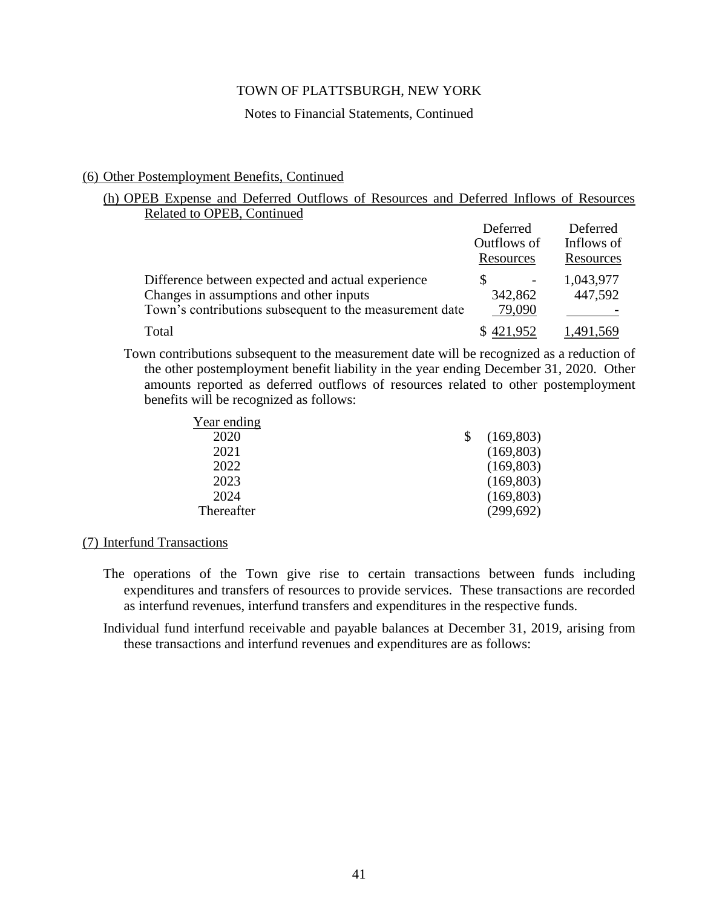# Notes to Financial Statements, Continued

## (6) Other Postemployment Benefits, Continued

# (h) OPEB Expense and Deferred Outflows of Resources and Deferred Inflows of Resources Related to OPEB, Continued

|                                                         | Deferred    | Deferred   |
|---------------------------------------------------------|-------------|------------|
|                                                         | Outflows of | Inflows of |
|                                                         | Resources   | Resources  |
| Difference between expected and actual experience       |             | 1,043,977  |
| Changes in assumptions and other inputs                 | 342,862     | 447,592    |
| Town's contributions subsequent to the measurement date | 79,090      |            |
| Total                                                   | \$421,952   | .491.569   |

Town contributions subsequent to the measurement date will be recognized as a reduction of the other postemployment benefit liability in the year ending December 31, 2020. Other amounts reported as deferred outflows of resources related to other postemployment benefits will be recognized as follows:

| Year ending |            |
|-------------|------------|
| 2020        | (169, 803) |
| 2021        | (169, 803) |
| 2022        | (169, 803) |
| 2023        | (169, 803) |
| 2024        | (169, 803) |
| Thereafter  | (299, 692) |
|             |            |

(7) Interfund Transactions

The operations of the Town give rise to certain transactions between funds including expenditures and transfers of resources to provide services. These transactions are recorded as interfund revenues, interfund transfers and expenditures in the respective funds.

Individual fund interfund receivable and payable balances at December 31, 2019, arising from these transactions and interfund revenues and expenditures are as follows: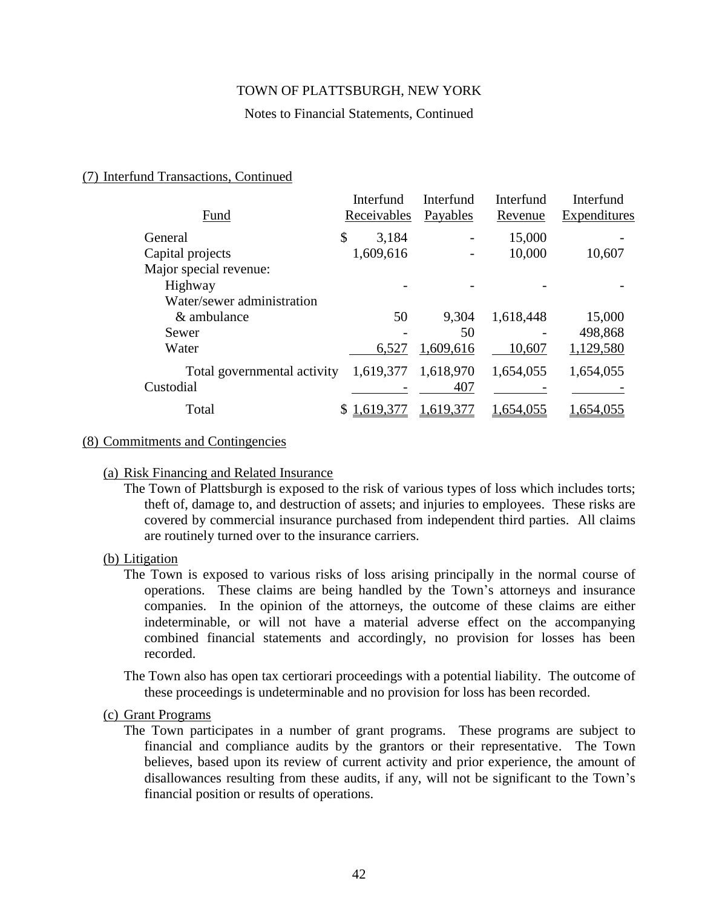#### Notes to Financial Statements, Continued

#### (7) Interfund Transactions, Continued

| Fund                        | Interfund<br>Receivables | Interfund<br>Payables | Interfund<br>Revenue | Interfund<br>Expenditures |
|-----------------------------|--------------------------|-----------------------|----------------------|---------------------------|
| General                     | \$<br>3,184              |                       | 15,000               |                           |
| Capital projects            | 1,609,616                |                       | 10,000               | 10,607                    |
| Major special revenue:      |                          |                       |                      |                           |
| Highway                     |                          |                       |                      |                           |
| Water/sewer administration  |                          |                       |                      |                           |
| & ambulance                 | 50                       | 9,304                 | 1,618,448            | 15,000                    |
| Sewer                       |                          | 50                    |                      | 498,868                   |
| Water                       | 6,527                    | 1,609,616             | 10,607               | 1,129,580                 |
| Total governmental activity | 1,619,377                | 1,618,970             | 1,654,055            | 1,654,055                 |
| Custodial                   |                          | 407                   |                      |                           |
| Total                       | 1,619,377                | 1,619,377             | 1,654,055            | 1,654,055                 |

#### (8) Commitments and Contingencies

### (a) Risk Financing and Related Insurance

The Town of Plattsburgh is exposed to the risk of various types of loss which includes torts; theft of, damage to, and destruction of assets; and injuries to employees. These risks are covered by commercial insurance purchased from independent third parties. All claims are routinely turned over to the insurance carriers.

#### (b) Litigation

- The Town is exposed to various risks of loss arising principally in the normal course of operations. These claims are being handled by the Town's attorneys and insurance companies. In the opinion of the attorneys, the outcome of these claims are either indeterminable, or will not have a material adverse effect on the accompanying combined financial statements and accordingly, no provision for losses has been recorded.
- The Town also has open tax certiorari proceedings with a potential liability. The outcome of these proceedings is undeterminable and no provision for loss has been recorded.

#### (c) Grant Programs

The Town participates in a number of grant programs. These programs are subject to financial and compliance audits by the grantors or their representative. The Town believes, based upon its review of current activity and prior experience, the amount of disallowances resulting from these audits, if any, will not be significant to the Town's financial position or results of operations.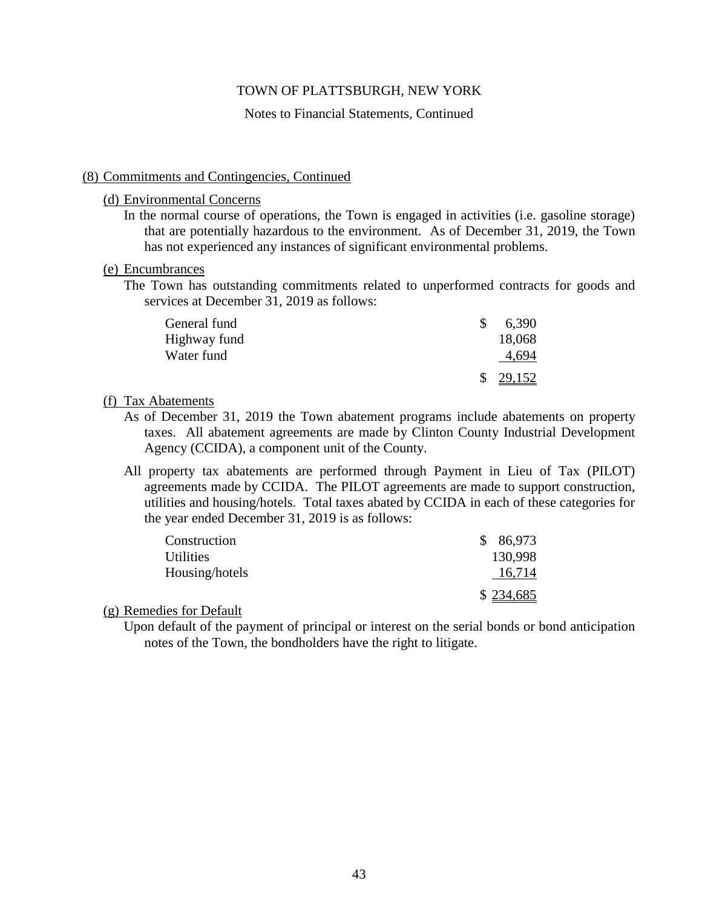#### Notes to Financial Statements, Continued

### (8) Commitments and Contingencies, Continued

#### (d) Environmental Concerns

In the normal course of operations, the Town is engaged in activities (i.e. gasoline storage) that are potentially hazardous to the environment. As of December 31, 2019, the Town has not experienced any instances of significant environmental problems.

#### (e) Encumbrances

The Town has outstanding commitments related to unperformed contracts for goods and services at December 31, 2019 as follows:

| General fund | <sup>\$</sup> | 6,390    |
|--------------|---------------|----------|
| Highway fund |               | 18,068   |
| Water fund   |               | 4,694    |
|              |               | \$29,152 |

## (f) Tax Abatements

- As of December 31, 2019 the Town abatement programs include abatements on property taxes. All abatement agreements are made by Clinton County Industrial Development Agency (CCIDA), a component unit of the County.
- All property tax abatements are performed through Payment in Lieu of Tax (PILOT) agreements made by CCIDA. The PILOT agreements are made to support construction, utilities and housing/hotels. Total taxes abated by CCIDA in each of these categories for the year ended December 31, 2019 is as follows:

| Construction     | \$86,973  |
|------------------|-----------|
| <b>Utilities</b> | 130,998   |
| Housing/hotels   | 16,714    |
|                  | \$234,685 |

#### (g) Remedies for Default

Upon default of the payment of principal or interest on the serial bonds or bond anticipation notes of the Town, the bondholders have the right to litigate.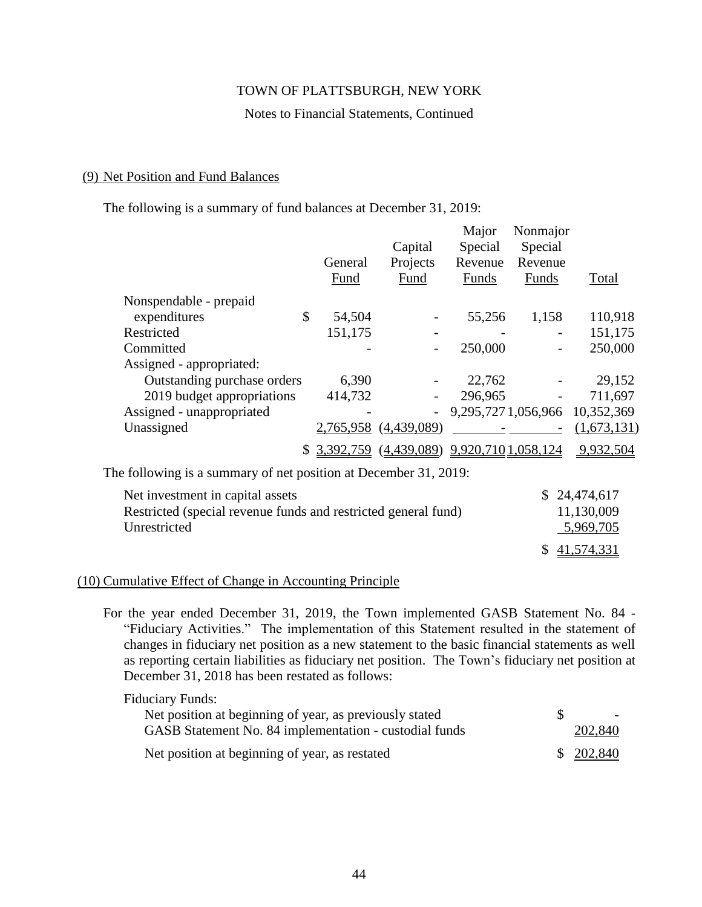# Notes to Financial Statements, Continued

## (9) Net Position and Fund Balances

The following is a summary of fund balances at December 31, 2019:

|                             |              |                          | Major              | Nonmajor |             |
|-----------------------------|--------------|--------------------------|--------------------|----------|-------------|
|                             |              | Capital                  | Special            | Special  |             |
|                             | General      | Projects                 | Revenue            | Revenue  |             |
|                             | Fund         | Fund                     | Funds              | Funds    | Total       |
| Nonspendable - prepaid      |              |                          |                    |          |             |
| expenditures                | \$<br>54,504 |                          | 55,256             | 1,158    | 110,918     |
| Restricted                  | 151,175      |                          |                    |          | 151,175     |
| Committed                   |              | $\overline{a}$           | 250,000            |          | 250,000     |
| Assigned - appropriated:    |              |                          |                    |          |             |
| Outstanding purchase orders | 6,390        |                          | 22,762             |          | 29,152      |
| 2019 budget appropriations  | 414,732      | $\overline{\phantom{0}}$ | 296,965            |          | 711,697     |
| Assigned - unappropriated   |              | $\overline{\phantom{0}}$ | 9,295,7271,056,966 |          | 10,352,369  |
| Unassigned                  | 2,765,958    | (4,439,089)              |                    |          | (1,673,131) |
|                             | 3,392,759    | (4,439,089)              | 9,920,7101,058,124 |          | 9,932,504   |

The following is a summary of net position at December 31, 2019:

| Net investment in capital assets                               | \$24,474,617 |
|----------------------------------------------------------------|--------------|
| Restricted (special revenue funds and restricted general fund) | 11,130,009   |
| Unrestricted                                                   | 5,969,705    |
|                                                                | \$41,574,331 |

## (10) Cumulative Effect of Change in Accounting Principle

For the year ended December 31, 2019, the Town implemented GASB Statement No. 84 - "Fiduciary Activities." The implementation of this Statement resulted in the statement of changes in fiduciary net position as a new statement to the basic financial statements as well as reporting certain liabilities as fiduciary net position. The Town's fiduciary net position at December 31, 2018 has been restated as follows:

| <b>Fiduciary Funds:</b>                                 |           |
|---------------------------------------------------------|-----------|
| Net position at beginning of year, as previously stated |           |
| GASB Statement No. 84 implementation - custodial funds  | 202,840   |
| Net position at beginning of year, as restated          | \$202,840 |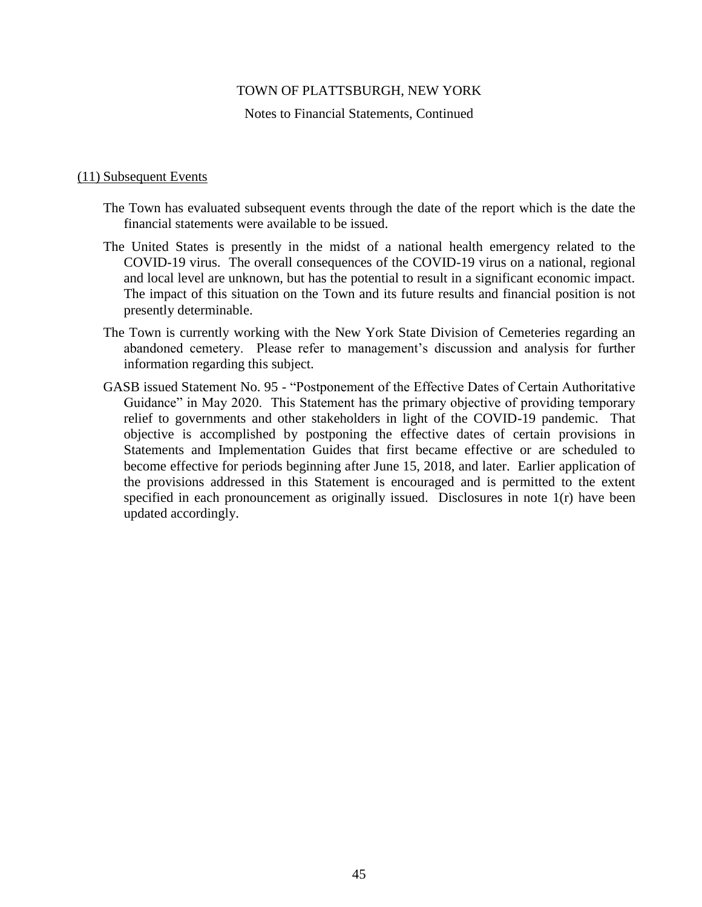Notes to Financial Statements, Continued

#### (11) Subsequent Events

- The Town has evaluated subsequent events through the date of the report which is the date the financial statements were available to be issued.
- The United States is presently in the midst of a national health emergency related to the COVID-19 virus. The overall consequences of the COVID-19 virus on a national, regional and local level are unknown, but has the potential to result in a significant economic impact. The impact of this situation on the Town and its future results and financial position is not presently determinable.
- The Town is currently working with the New York State Division of Cemeteries regarding an abandoned cemetery. Please refer to management's discussion and analysis for further information regarding this subject.
- GASB issued Statement No. 95 "Postponement of the Effective Dates of Certain Authoritative Guidance" in May 2020. This Statement has the primary objective of providing temporary relief to governments and other stakeholders in light of the COVID-19 pandemic. That objective is accomplished by postponing the effective dates of certain provisions in Statements and Implementation Guides that first became effective or are scheduled to become effective for periods beginning after June 15, 2018, and later. Earlier application of the provisions addressed in this Statement is encouraged and is permitted to the extent specified in each pronouncement as originally issued. Disclosures in note 1(r) have been updated accordingly.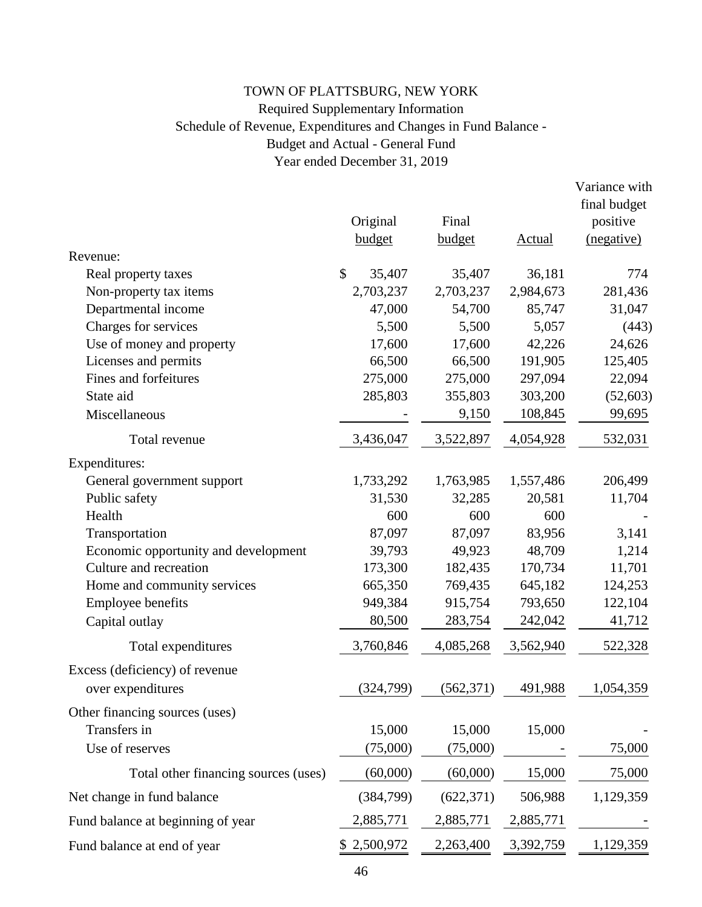# TOWN OF PLATTSBURG, NEW YORK Required Supplementary Information Schedule of Revenue, Expenditures and Changes in Fund Balance - Budget and Actual - General Fund Year ended December 31, 2019

Variance with

|                                      | Original<br>budget | Final<br><b>budget</b> | <b>Actual</b> | final budget<br>positive<br>(negative) |
|--------------------------------------|--------------------|------------------------|---------------|----------------------------------------|
| Revenue:                             |                    |                        |               |                                        |
| Real property taxes                  | \$<br>35,407       | 35,407                 | 36,181        | 774                                    |
| Non-property tax items               | 2,703,237          | 2,703,237              | 2,984,673     | 281,436                                |
| Departmental income                  | 47,000             | 54,700                 | 85,747        | 31,047                                 |
| Charges for services                 | 5,500              | 5,500                  | 5,057         | (443)                                  |
| Use of money and property            | 17,600             | 17,600                 | 42,226        | 24,626                                 |
| Licenses and permits                 | 66,500             | 66,500                 | 191,905       | 125,405                                |
| Fines and forfeitures                | 275,000            | 275,000                | 297,094       | 22,094                                 |
| State aid                            | 285,803            | 355,803                | 303,200       | (52, 603)                              |
| Miscellaneous                        |                    | 9,150                  | 108,845       | 99,695                                 |
| Total revenue                        | 3,436,047          | 3,522,897              | 4,054,928     | 532,031                                |
| Expenditures:                        |                    |                        |               |                                        |
| General government support           | 1,733,292          | 1,763,985              | 1,557,486     | 206,499                                |
| Public safety                        | 31,530             | 32,285                 | 20,581        | 11,704                                 |
| Health                               | 600                | 600                    | 600           |                                        |
| Transportation                       | 87,097             | 87,097                 | 83,956        | 3,141                                  |
| Economic opportunity and development | 39,793             | 49,923                 | 48,709        | 1,214                                  |
| Culture and recreation               | 173,300            | 182,435                | 170,734       | 11,701                                 |
| Home and community services          | 665,350            | 769,435                | 645,182       | 124,253                                |
| <b>Employee benefits</b>             | 949,384            | 915,754                | 793,650       | 122,104                                |
| Capital outlay                       | 80,500             | 283,754                | 242,042       | 41,712                                 |
| Total expenditures                   | 3,760,846          | 4,085,268              | 3,562,940     | 522,328                                |
| Excess (deficiency) of revenue       |                    |                        |               |                                        |
| over expenditures                    | (324,799)          | (562, 371)             | 491,988       | 1,054,359                              |
| Other financing sources (uses)       |                    |                        |               |                                        |
| Transfers in                         | 15,000             | 15,000                 | 15,000        |                                        |
| Use of reserves                      | (75,000)           | (75,000)               |               | 75,000                                 |
| Total other financing sources (uses) | (60,000)           | (60,000)               | 15,000        | 75,000                                 |
| Net change in fund balance           | (384,799)          | (622, 371)             | 506,988       | 1,129,359                              |
| Fund balance at beginning of year    | 2,885,771          | 2,885,771              | 2,885,771     |                                        |
| Fund balance at end of year          | 2,500,972<br>\$    | 2,263,400              | 3,392,759     | 1,129,359                              |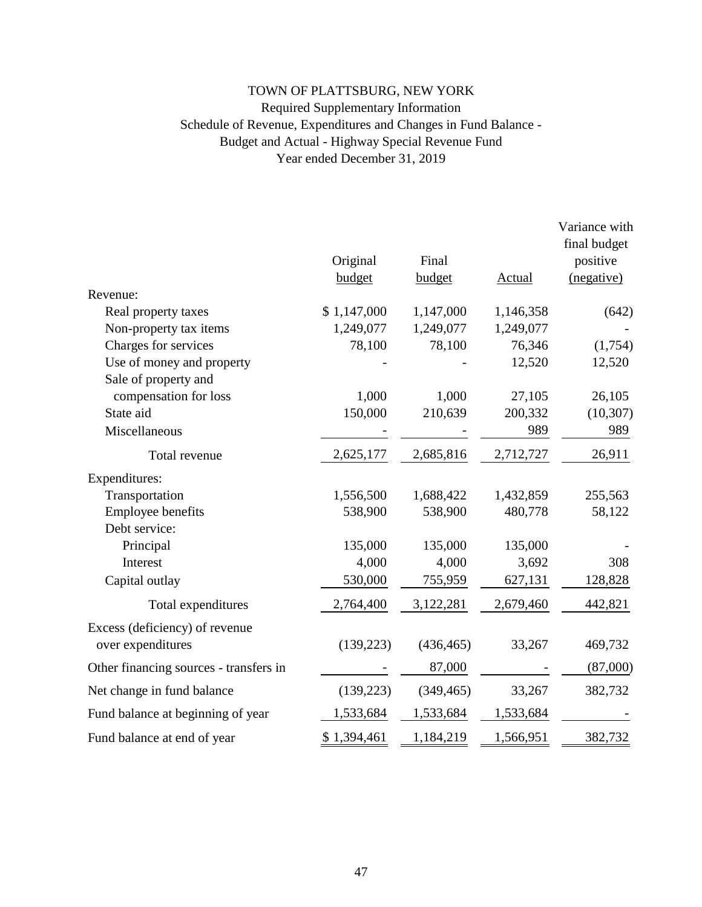# TOWN OF PLATTSBURG, NEW YORK Required Supplementary Information Schedule of Revenue, Expenditures and Changes in Fund Balance - Budget and Actual - Highway Special Revenue Fund Year ended December 31, 2019

|                                        |             |            |           | Variance with<br>final budget |
|----------------------------------------|-------------|------------|-----------|-------------------------------|
|                                        | Original    | Final      |           | positive                      |
|                                        | budget      | budget     | Actual    | (negative)                    |
| Revenue:                               |             |            |           |                               |
| Real property taxes                    | \$1,147,000 | 1,147,000  | 1,146,358 | (642)                         |
| Non-property tax items                 | 1,249,077   | 1,249,077  | 1,249,077 |                               |
| Charges for services                   | 78,100      | 78,100     | 76,346    | (1,754)                       |
| Use of money and property              |             |            | 12,520    | 12,520                        |
| Sale of property and                   |             |            |           |                               |
| compensation for loss                  | 1,000       | 1,000      | 27,105    | 26,105                        |
| State aid                              | 150,000     | 210,639    | 200,332   | (10, 307)                     |
| Miscellaneous                          |             |            | 989       | 989                           |
| Total revenue                          | 2,625,177   | 2,685,816  | 2,712,727 | 26,911                        |
| Expenditures:                          |             |            |           |                               |
| Transportation                         | 1,556,500   | 1,688,422  | 1,432,859 | 255,563                       |
| Employee benefits                      | 538,900     | 538,900    | 480,778   | 58,122                        |
| Debt service:                          |             |            |           |                               |
| Principal                              | 135,000     | 135,000    | 135,000   |                               |
| Interest                               | 4,000       | 4,000      | 3,692     | 308                           |
| Capital outlay                         | 530,000     | 755,959    | 627,131   | 128,828                       |
| Total expenditures                     | 2,764,400   | 3,122,281  | 2,679,460 | 442,821                       |
| Excess (deficiency) of revenue         |             |            |           |                               |
| over expenditures                      | (139, 223)  | (436, 465) | 33,267    | 469,732                       |
| Other financing sources - transfers in |             | 87,000     |           | (87,000)                      |
| Net change in fund balance             | (139, 223)  | (349, 465) | 33,267    | 382,732                       |
| Fund balance at beginning of year      | 1,533,684   | 1,533,684  | 1,533,684 |                               |
| Fund balance at end of year            | \$1,394,461 | 1,184,219  | 1,566,951 | 382,732                       |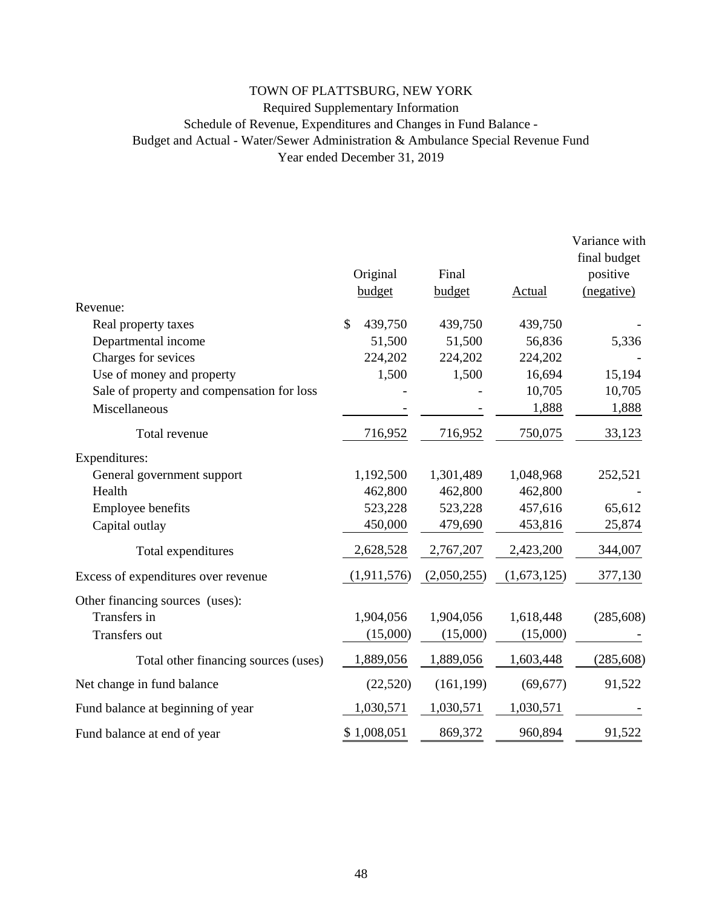# TOWN OF PLATTSBURG, NEW YORK Required Supplementary Information Schedule of Revenue, Expenditures and Changes in Fund Balance - Budget and Actual - Water/Sewer Administration & Ambulance Special Revenue Fund Year ended December 31, 2019

|                                            |               |             |               | Variance with<br>final budget |
|--------------------------------------------|---------------|-------------|---------------|-------------------------------|
|                                            | Original      | Final       |               | positive                      |
|                                            | budget        | budget      | <b>Actual</b> | (negative)                    |
| Revenue:                                   |               |             |               |                               |
| Real property taxes                        | \$<br>439,750 | 439,750     | 439,750       |                               |
| Departmental income                        | 51,500        | 51,500      | 56,836        | 5,336                         |
| Charges for sevices                        | 224,202       | 224,202     | 224,202       |                               |
| Use of money and property                  | 1,500         | 1,500       | 16,694        | 15,194                        |
| Sale of property and compensation for loss |               |             | 10,705        | 10,705                        |
| Miscellaneous                              |               |             | 1,888         | 1,888                         |
| Total revenue                              | 716,952       | 716,952     | 750,075       | 33,123                        |
| Expenditures:                              |               |             |               |                               |
| General government support                 | 1,192,500     | 1,301,489   | 1,048,968     | 252,521                       |
| Health                                     | 462,800       | 462,800     | 462,800       |                               |
| Employee benefits                          | 523,228       | 523,228     | 457,616       | 65,612                        |
| Capital outlay                             | 450,000       | 479,690     | 453,816       | 25,874                        |
| Total expenditures                         | 2,628,528     | 2,767,207   | 2,423,200     | 344,007                       |
| Excess of expenditures over revenue        | (1,911,576)   | (2,050,255) | (1,673,125)   | 377,130                       |
| Other financing sources (uses):            |               |             |               |                               |
| Transfers in                               | 1,904,056     | 1,904,056   | 1,618,448     | (285, 608)                    |
| Transfers out                              | (15,000)      | (15,000)    | (15,000)      |                               |
| Total other financing sources (uses)       | 1,889,056     | 1,889,056   | 1,603,448     | (285, 608)                    |
| Net change in fund balance                 | (22, 520)     | (161, 199)  | (69, 677)     | 91,522                        |
| Fund balance at beginning of year          | 1,030,571     | 1,030,571   | 1,030,571     |                               |
| Fund balance at end of year                | \$1,008,051   | 869,372     | 960,894       | 91,522                        |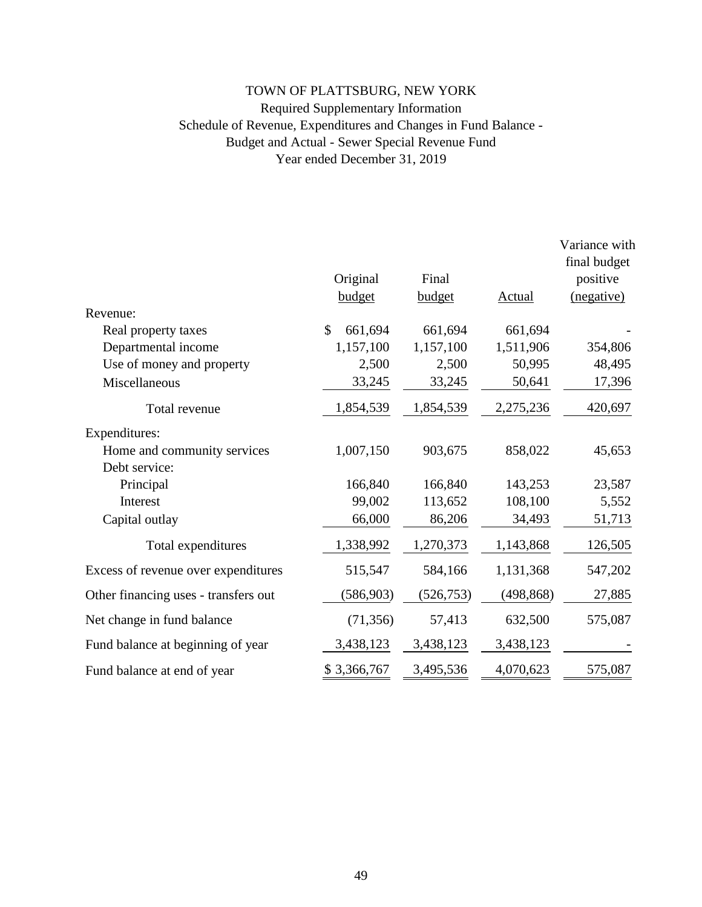# TOWN OF PLATTSBURG, NEW YORK Required Supplementary Information Schedule of Revenue, Expenditures and Changes in Fund Balance - Budget and Actual - Sewer Special Revenue Fund Year ended December 31, 2019

|                                      |               |            |            | Variance with<br>final budget |
|--------------------------------------|---------------|------------|------------|-------------------------------|
|                                      | Original      | Final      |            | positive                      |
|                                      | budget        | budget     | Actual     | (negative)                    |
| Revenue:                             |               |            |            |                               |
| Real property taxes                  | \$<br>661,694 | 661,694    | 661,694    |                               |
| Departmental income                  | 1,157,100     | 1,157,100  | 1,511,906  | 354,806                       |
| Use of money and property            | 2,500         | 2,500      | 50,995     | 48,495                        |
| Miscellaneous                        | 33,245        | 33,245     | 50,641     | 17,396                        |
| Total revenue                        | 1,854,539     | 1,854,539  | 2,275,236  | 420,697                       |
| Expenditures:                        |               |            |            |                               |
| Home and community services          | 1,007,150     | 903,675    | 858,022    | 45,653                        |
| Debt service:                        |               |            |            |                               |
| Principal                            | 166,840       | 166,840    | 143,253    | 23,587                        |
| Interest                             | 99,002        | 113,652    | 108,100    | 5,552                         |
| Capital outlay                       | 66,000        | 86,206     | 34,493     | 51,713                        |
| Total expenditures                   | 1,338,992     | 1,270,373  | 1,143,868  | 126,505                       |
| Excess of revenue over expenditures  | 515,547       | 584,166    | 1,131,368  | 547,202                       |
| Other financing uses - transfers out | (586, 903)    | (526, 753) | (498, 868) | 27,885                        |
| Net change in fund balance           | (71, 356)     | 57,413     | 632,500    | 575,087                       |
| Fund balance at beginning of year    | 3,438,123     | 3,438,123  | 3,438,123  |                               |
| Fund balance at end of year          | \$3,366,767   | 3,495,536  | 4,070,623  | 575,087                       |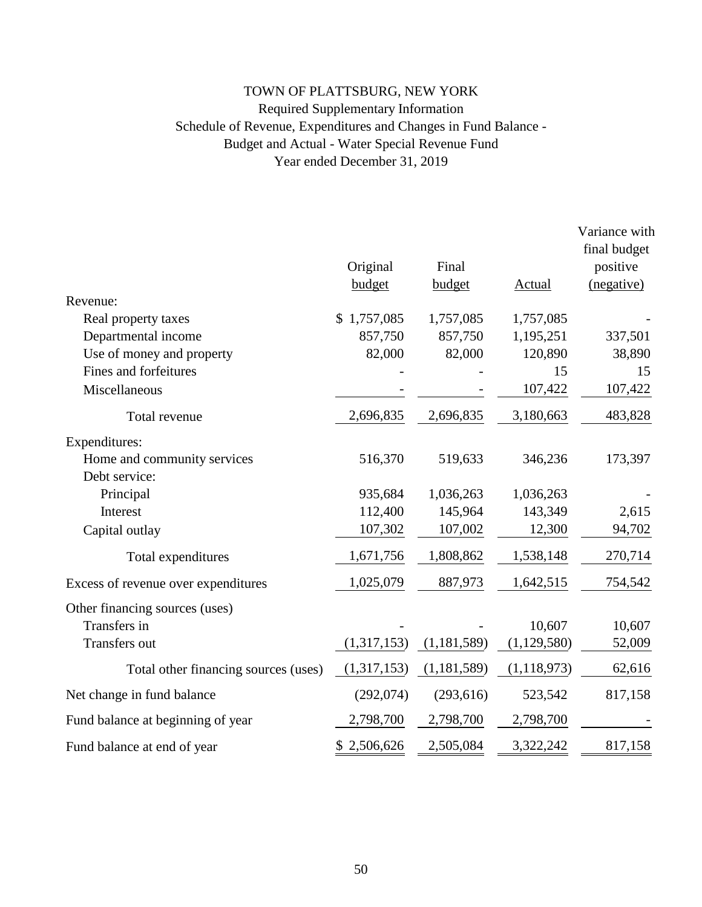# TOWN OF PLATTSBURG, NEW YORK Required Supplementary Information Schedule of Revenue, Expenditures and Changes in Fund Balance - Budget and Actual - Water Special Revenue Fund Year ended December 31, 2019

|                                      |                 |             |               | Variance with<br>final budget |
|--------------------------------------|-----------------|-------------|---------------|-------------------------------|
|                                      | Original        | Final       |               | positive                      |
|                                      | budget          | budget      | <b>Actual</b> | (negative)                    |
| Revenue:                             |                 |             |               |                               |
| Real property taxes                  | 1,757,085<br>\$ | 1,757,085   | 1,757,085     |                               |
| Departmental income                  | 857,750         | 857,750     | 1,195,251     | 337,501                       |
| Use of money and property            | 82,000          | 82,000      | 120,890       | 38,890                        |
| Fines and forfeitures                |                 |             | 15            | 15                            |
| Miscellaneous                        |                 |             | 107,422       | 107,422                       |
| Total revenue                        | 2,696,835       | 2,696,835   | 3,180,663     | 483,828                       |
| Expenditures:                        |                 |             |               |                               |
| Home and community services          | 516,370         | 519,633     | 346,236       | 173,397                       |
| Debt service:                        |                 |             |               |                               |
| Principal                            | 935,684         | 1,036,263   | 1,036,263     |                               |
| Interest                             | 112,400         | 145,964     | 143,349       | 2,615                         |
| Capital outlay                       | 107,302         | 107,002     | 12,300        | 94,702                        |
| Total expenditures                   | 1,671,756       | 1,808,862   | 1,538,148     | 270,714                       |
| Excess of revenue over expenditures  | 1,025,079       | 887,973     | 1,642,515     | 754,542                       |
| Other financing sources (uses)       |                 |             |               |                               |
| Transfers in                         |                 |             | 10,607        | 10,607                        |
| Transfers out                        | (1,317,153)     | (1,181,589) | (1,129,580)   | 52,009                        |
| Total other financing sources (uses) | (1,317,153)     | (1,181,589) | (1, 118, 973) | 62,616                        |
| Net change in fund balance           | (292,074)       | (293, 616)  | 523,542       | 817,158                       |
| Fund balance at beginning of year    | 2,798,700       | 2,798,700   | 2,798,700     |                               |
| Fund balance at end of year          | \$2,506,626     | 2,505,084   | 3,322,242     | 817,158                       |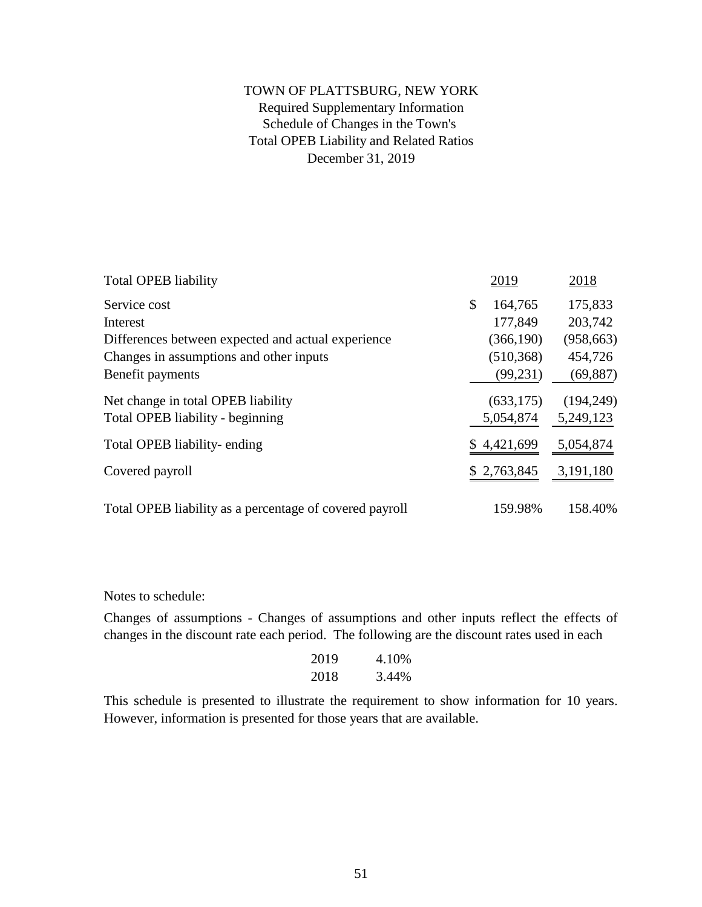# TOWN OF PLATTSBURG, NEW YORK Required Supplementary Information Schedule of Changes in the Town's Total OPEB Liability and Related Ratios December 31, 2019

| <b>Total OPEB liability</b>                             | 2019          | 2018       |
|---------------------------------------------------------|---------------|------------|
| Service cost                                            | \$<br>164,765 | 175,833    |
| Interest                                                | 177,849       | 203,742    |
| Differences between expected and actual experience      | (366, 190)    | (958, 663) |
| Changes in assumptions and other inputs                 | (510, 368)    | 454,726    |
| Benefit payments                                        | (99, 231)     | (69, 887)  |
| Net change in total OPEB liability                      | (633, 175)    | (194, 249) |
| Total OPEB liability - beginning                        | 5,054,874     | 5,249,123  |
| Total OPEB liability-ending                             | \$4,421,699   | 5,054,874  |
| Covered payroll                                         | \$2,763,845   | 3,191,180  |
| Total OPEB liability as a percentage of covered payroll | 159.98%       | 158.40%    |

Notes to schedule:

Changes of assumptions - Changes of assumptions and other inputs reflect the effects of changes in the discount rate each period. The following are the discount rates used in each

| 2019 | 4.10% |
|------|-------|
| 2018 | 3.44% |

This schedule is presented to illustrate the requirement to show information for 10 years. However, information is presented for those years that are available.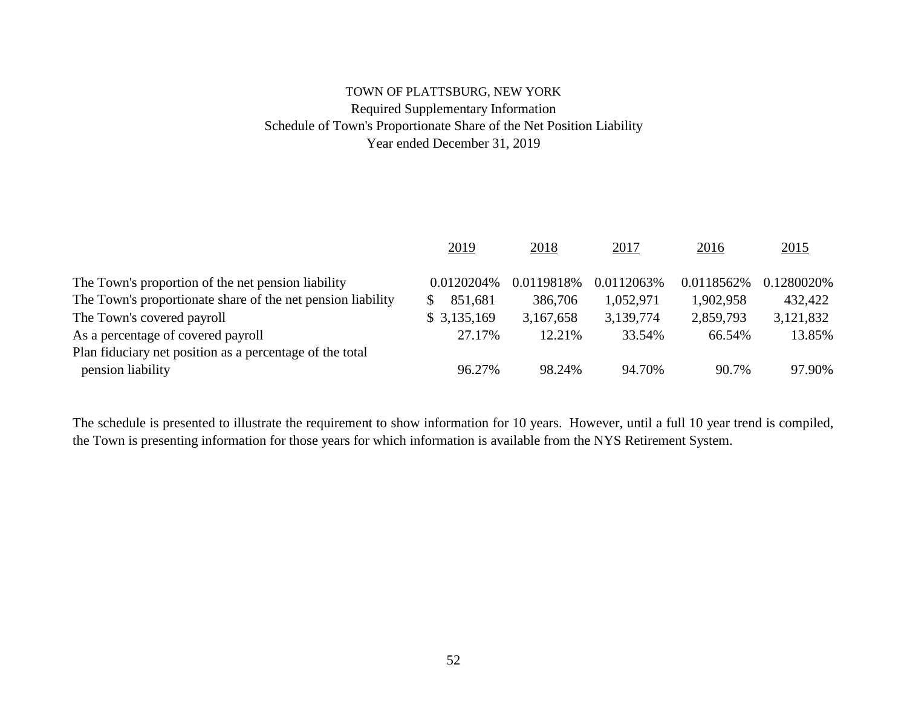# TOWN OF PLATTSBURG, NEW YORK Required Supplementary Information Schedule of Town's Proportionate Share of the Net Position Liability Year ended December 31, 2019

|                                                             | 2019        | 2018       | 2017       | 2016       | 2015       |
|-------------------------------------------------------------|-------------|------------|------------|------------|------------|
| The Town's proportion of the net pension liability          | 0.0120204%  | 0.0119818% | 0.0112063% | 0.0118562% | 0.1280020% |
| The Town's proportionate share of the net pension liability | 851,681     | 386,706    | 1,052,971  | 1,902,958  | 432,422    |
| The Town's covered payroll                                  | \$3,135,169 | 3,167,658  | 3,139,774  | 2,859,793  | 3,121,832  |
| As a percentage of covered payroll                          | 27.17%      | 12.21%     | 33.54%     | 66.54%     | 13.85%     |
| Plan fiduciary net position as a percentage of the total    |             |            |            |            |            |
| pension liability                                           | 96.27%      | 98.24%     | 94.70%     | 90.7%      | 97.90%     |

The schedule is presented to illustrate the requirement to show information for 10 years. However, until a full 10 year trend is compiled, the Town is presenting information for those years for which information is available from the NYS Retirement System.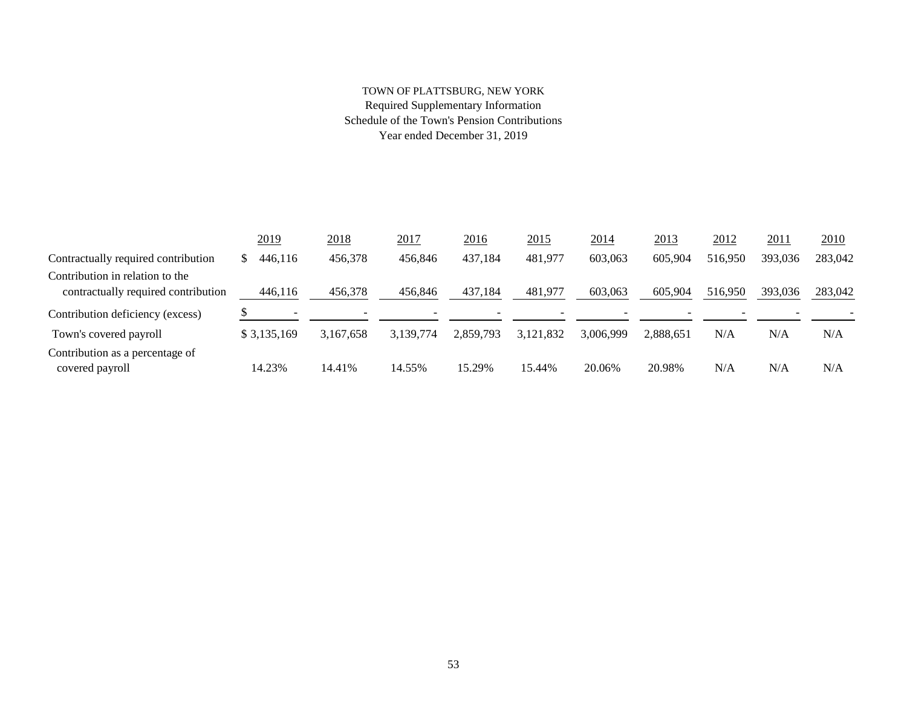# TOWN OF PLATTSBURG, NEW YORK Required Supplementary Information Schedule of the Town's Pension Contributions Year ended December 31, 2019

|                                                                        |    | 2019        | 2018      | 2017      | 2016      | 2015      | 2014      | 2013      | 2012    | 2011    | 2010    |
|------------------------------------------------------------------------|----|-------------|-----------|-----------|-----------|-----------|-----------|-----------|---------|---------|---------|
| Contractually required contribution                                    | S. | 446.116     | 456,378   | 456,846   | 437,184   | 481,977   | 603,063   | 605.904   | 516,950 | 393,036 | 283,042 |
| Contribution in relation to the<br>contractually required contribution |    | 446,116     | 456,378   | 456,846   | 437.184   | 481,977   | 603,063   | 605.904   | 516,950 | 393,036 | 283,042 |
| Contribution deficiency (excess)                                       |    |             |           |           |           |           |           |           |         |         |         |
| Town's covered payroll                                                 |    | \$3,135,169 | 3.167.658 | 3.139.774 | 2.859.793 | 3,121,832 | 3,006,999 | 2,888,651 | N/A     | N/A     | N/A     |
| Contribution as a percentage of<br>covered payroll                     |    | 14.23%      | 14.41%    | 14.55%    | 15.29%    | 15.44%    | 20.06%    | 20.98%    | N/A     | N/A     | N/A     |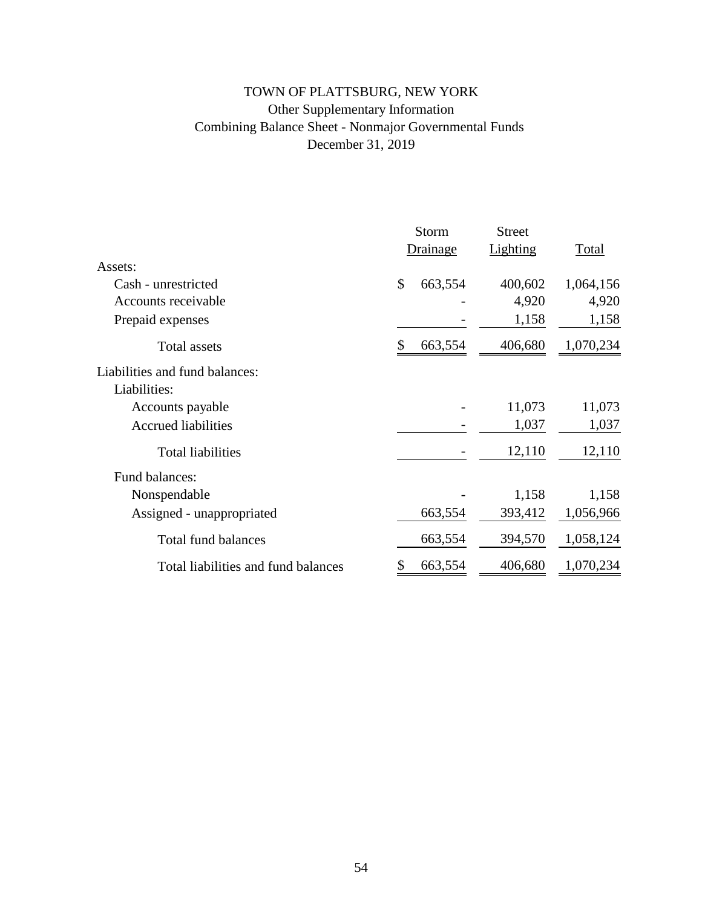# TOWN OF PLATTSBURG, NEW YORK Combining Balance Sheet - Nonmajor Governmental Funds December 31, 2019 Other Supplementary Information

|                                     | Storm<br>Drainage |         | <b>Street</b><br><b>Lighting</b> | Total     |  |
|-------------------------------------|-------------------|---------|----------------------------------|-----------|--|
| Assets:                             |                   |         |                                  |           |  |
| Cash - unrestricted                 | \$                | 663,554 | 400,602                          | 1,064,156 |  |
| Accounts receivable                 |                   |         | 4,920                            | 4,920     |  |
| Prepaid expenses                    |                   |         | 1,158                            | 1,158     |  |
| <b>Total assets</b>                 | S                 | 663,554 | 406,680                          | 1,070,234 |  |
| Liabilities and fund balances:      |                   |         |                                  |           |  |
| Liabilities:                        |                   |         |                                  |           |  |
| Accounts payable                    |                   |         | 11,073                           | 11,073    |  |
| <b>Accrued liabilities</b>          |                   |         | 1,037                            | 1,037     |  |
| <b>Total liabilities</b>            |                   |         | 12,110                           | 12,110    |  |
| Fund balances:                      |                   |         |                                  |           |  |
| Nonspendable                        |                   |         | 1,158                            | 1,158     |  |
| Assigned - unappropriated           |                   | 663,554 | 393,412                          | 1,056,966 |  |
| <b>Total fund balances</b>          |                   | 663,554 | 394,570                          | 1,058,124 |  |
| Total liabilities and fund balances | \$                | 663,554 | 406,680                          | 1,070,234 |  |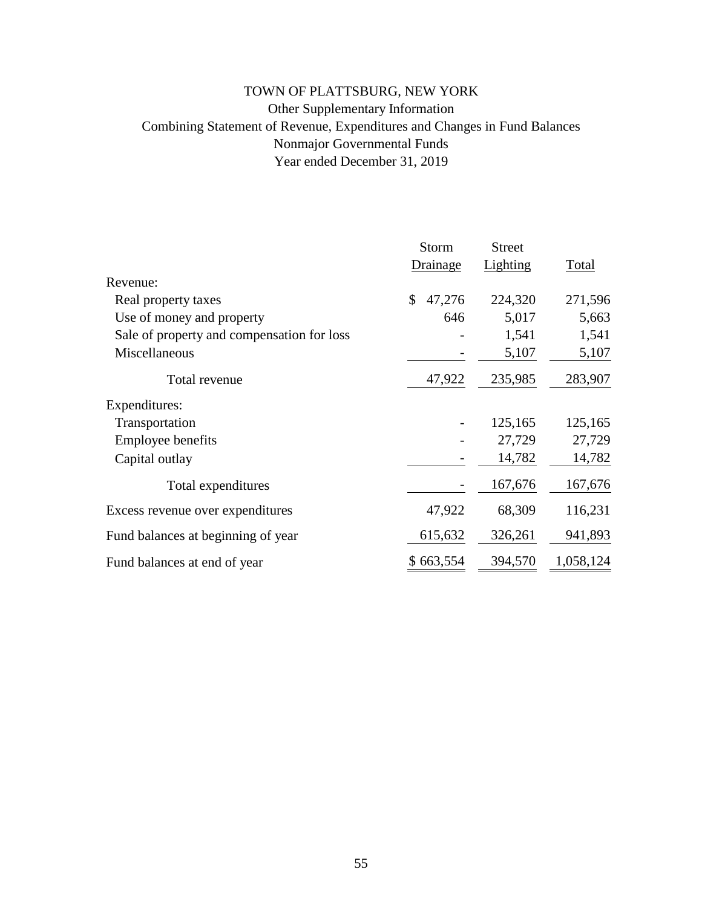# TOWN OF PLATTSBURG, NEW YORK Other Supplementary Information Combining Statement of Revenue, Expenditures and Changes in Fund Balances Nonmajor Governmental Funds Year ended December 31, 2019

|                                            | Storm        | <b>Street</b> |           |
|--------------------------------------------|--------------|---------------|-----------|
|                                            | Drainage     | Lighting      | Total     |
| Revenue:                                   |              |               |           |
| Real property taxes                        | \$<br>47,276 | 224,320       | 271,596   |
| Use of money and property                  | 646          | 5,017         | 5,663     |
| Sale of property and compensation for loss |              | 1,541         | 1,541     |
| Miscellaneous                              |              | 5,107         | 5,107     |
| Total revenue                              | 47,922       | 235,985       | 283,907   |
| Expenditures:                              |              |               |           |
| Transportation                             |              | 125,165       | 125,165   |
| Employee benefits                          |              | 27,729        | 27,729    |
| Capital outlay                             |              | 14,782        | 14,782    |
| Total expenditures                         |              | 167,676       | 167,676   |
| Excess revenue over expenditures           | 47,922       | 68,309        | 116,231   |
| Fund balances at beginning of year         | 615,632      | 326,261       | 941,893   |
| Fund balances at end of year               | \$663,554    | 394,570       | 1,058,124 |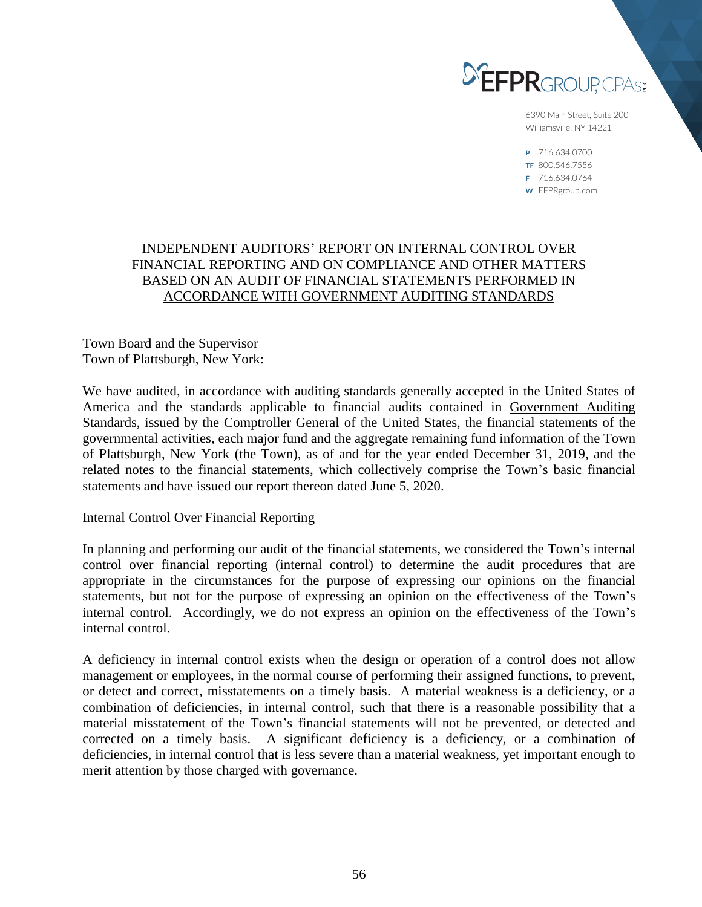

6390 Main Street, Suite 200 Williamsville, NY 14221

P 716.634.0700 TF 800.546.7556 F 716.634.0764 W EFPRgroup.com

# INDEPENDENT AUDITORS' REPORT ON INTERNAL CONTROL OVER FINANCIAL REPORTING AND ON COMPLIANCE AND OTHER MATTERS BASED ON AN AUDIT OF FINANCIAL STATEMENTS PERFORMED IN ACCORDANCE WITH GOVERNMENT AUDITING STANDARDS

Town Board and the Supervisor Town of Plattsburgh, New York:

We have audited, in accordance with auditing standards generally accepted in the United States of America and the standards applicable to financial audits contained in Government Auditing Standards, issued by the Comptroller General of the United States, the financial statements of the governmental activities, each major fund and the aggregate remaining fund information of the Town of Plattsburgh, New York (the Town), as of and for the year ended December 31, 2019, and the related notes to the financial statements, which collectively comprise the Town's basic financial statements and have issued our report thereon dated June 5, 2020.

#### Internal Control Over Financial Reporting

In planning and performing our audit of the financial statements, we considered the Town's internal control over financial reporting (internal control) to determine the audit procedures that are appropriate in the circumstances for the purpose of expressing our opinions on the financial statements, but not for the purpose of expressing an opinion on the effectiveness of the Town's internal control. Accordingly, we do not express an opinion on the effectiveness of the Town's internal control.

A deficiency in internal control exists when the design or operation of a control does not allow management or employees, in the normal course of performing their assigned functions, to prevent, or detect and correct, misstatements on a timely basis. A material weakness is a deficiency, or a combination of deficiencies, in internal control, such that there is a reasonable possibility that a material misstatement of the Town's financial statements will not be prevented, or detected and corrected on a timely basis. A significant deficiency is a deficiency, or a combination of deficiencies, in internal control that is less severe than a material weakness, yet important enough to merit attention by those charged with governance.